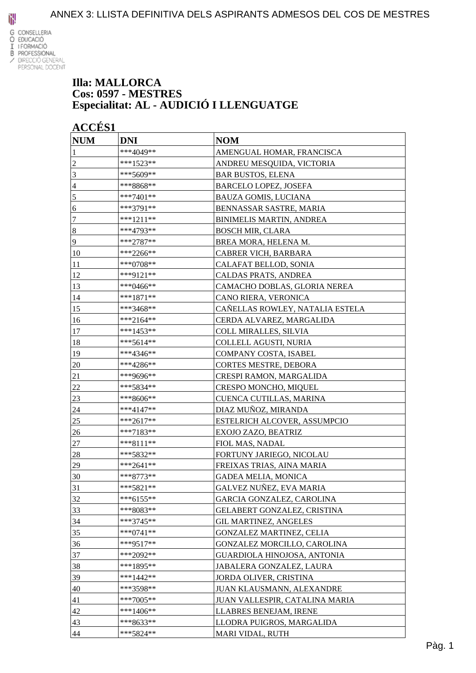

#### **Illa: MALLORCA Cos: 0597 - MESTRES Especialitat: AL - AUDICIÓ I LLENGUATGE**

| <b>NUM</b>     | <b>DNI</b>  | <b>NOM</b>                      |
|----------------|-------------|---------------------------------|
| 1              | ***4049**   | AMENGUAL HOMAR, FRANCISCA       |
| $\overline{c}$ | ***1523**   | ANDREU MESQUIDA, VICTORIA       |
| $\mathfrak{Z}$ | ***5609**   | <b>BAR BUSTOS, ELENA</b>        |
| $\overline{4}$ | ***8868**   | <b>BARCELO LOPEZ, JOSEFA</b>    |
| 5              | ***7401**   | <b>BAUZA GOMIS, LUCIANA</b>     |
| 6              | ***3791**   | BENNASSAR SASTRE, MARIA         |
| $\tau$         | ***1211**   | <b>BINIMELIS MARTIN, ANDREA</b> |
| $\sqrt{8}$     | ***4793**   | <b>BOSCH MIR, CLARA</b>         |
| $\overline{9}$ | $***2787**$ | BREA MORA, HELENA M.            |
| 10             | ***2266**   | CABRER VICH, BARBARA            |
| 11             | ***0708**   | CALAFAT BELLOD, SONIA           |
| 12             | ***9121**   | CALDAS PRATS, ANDREA            |
| 13             | ***0466**   | CAMACHO DOBLAS, GLORIA NEREA    |
| 14             | ***1871**   | CANO RIERA, VERONICA            |
| 15             | ***3468**   | CAÑELLAS ROWLEY, NATALIA ESTELA |
| 16             | ***2164**   | CERDA ALVAREZ, MARGALIDA        |
| 17             | ***1453**   | <b>COLL MIRALLES, SILVIA</b>    |
| 18             | ***5614**   | COLLELL AGUSTI, NURIA           |
| 19             | ***4346**   | COMPANY COSTA, ISABEL           |
| 20             | ***4286**   | <b>CORTES MESTRE, DEBORA</b>    |
| 21             | ***9696**   | CRESPI RAMON, MARGALIDA         |
| 22             | ***5834**   | <b>CRESPO MONCHO, MIQUEL</b>    |
| 23             | ***8606**   | CUENCA CUTILLAS, MARINA         |
| 24             | ***4147**   | DIAZ MUÑOZ, MIRANDA             |
| 25             | ***2617**   | ESTELRICH ALCOVER, ASSUMPCIO    |
| 26             | ***7183**   | EXOJO ZAZO, BEATRIZ             |
| 27             | $***8111**$ | FIOL MAS, NADAL                 |
| 28             | ***5832**   | FORTUNY JARIEGO, NICOLAU        |
| 29             | ***2641**   | FREIXAS TRIAS, AINA MARIA       |
| 30             | ***8773**   | <b>GADEA MELIA, MONICA</b>      |
| 31             | ***5821**   | GALVEZ NUÑEZ, EVA MARIA         |
| 32             | $***6155**$ | GARCIA GONZALEZ, CAROLINA       |
| 33             | ***8083**   | GELABERT GONZALEZ, CRISTINA     |
| 34             | ***3745**   | <b>GIL MARTINEZ, ANGELES</b>    |
| 35             | $***0741**$ | GONZALEZ MARTINEZ, CELIA        |
| 36             | ***9517**   | GONZALEZ MORCILLO, CAROLINA     |
| 37             | ***2092**   | GUARDIOLA HINOJOSA, ANTONIA     |
| 38             | ***1895**   | JABALERA GONZALEZ, LAURA        |
| 39             | ***1442**   | JORDA OLIVER, CRISTINA          |
| 40             | ***3598**   | JUAN KLAUSMANN, ALEXANDRE       |
| 41             | ***7005**   | JUAN VALLESPIR, CATALINA MARIA  |
| 42             | $***1406**$ | LLABRES BENEJAM, IRENE          |
| 43             | ***8633**   | LLODRA PUIGROS, MARGALIDA       |
| 44             | ***5824**   | MARI VIDAL, RUTH                |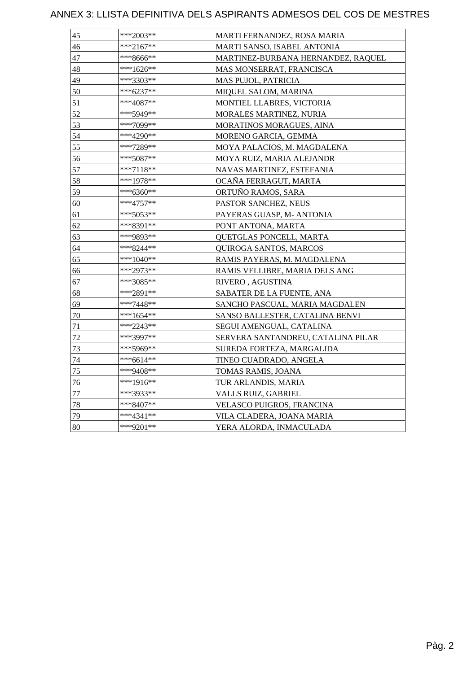| 45 | ***2003**   | MARTI FERNANDEZ, ROSA MARIA        |
|----|-------------|------------------------------------|
| 46 | $***2167**$ | MARTI SANSO, ISABEL ANTONIA        |
| 47 | ***8666**   | MARTINEZ-BURBANA HERNANDEZ, RAQUEL |
| 48 | ***1626**   | MAS MONSERRAT, FRANCISCA           |
| 49 | ***3303**   | MAS PUJOL, PATRICIA                |
| 50 | ***6237**   | MIQUEL SALOM, MARINA               |
| 51 | ***4087**   | MONTIEL LLABRES, VICTORIA          |
| 52 | ***5949**   | MORALES MARTINEZ, NURIA            |
| 53 | ***7099**   | MORATINOS MORAGUES, AINA           |
| 54 | ***4290**   | MORENO GARCIA, GEMMA               |
| 55 | ***7289**   | MOYA PALACIOS, M. MAGDALENA        |
| 56 | ***5087**   | MOYA RUIZ, MARIA ALEJANDR          |
| 57 | ***7118**   | NAVAS MARTINEZ, ESTEFANIA          |
| 58 | ***1978**   | OCAÑA FERRAGUT, MARTA              |
| 59 | ***6360**   | ORTUÑO RAMOS, SARA                 |
| 60 | $***4757**$ | PASTOR SANCHEZ, NEUS               |
| 61 | ***5053**   | PAYERAS GUASP, M- ANTONIA          |
| 62 | ***8391**   | PONT ANTONA, MARTA                 |
| 63 | ***9893**   | QUETGLAS PONCELL, MARTA            |
| 64 | ***8244**   | QUIROGA SANTOS, MARCOS             |
| 65 | $***1040**$ | RAMIS PAYERAS, M. MAGDALENA        |
| 66 | ***2973**   | RAMIS VELLIBRE, MARIA DELS ANG     |
| 67 | ***3085**   | RIVERO, AGUSTINA                   |
| 68 | ***2891**   | SABATER DE LA FUENTE, ANA          |
| 69 | ***7448**   | SANCHO PASCUAL, MARIA MAGDALEN     |
| 70 | $***1654**$ | SANSO BALLESTER, CATALINA BENVI    |
| 71 | ***2243**   | SEGUI AMENGUAL, CATALINA           |
| 72 | ***3997**   | SERVERA SANTANDREU, CATALINA PILAR |
| 73 | ***5969**   | SUREDA FORTEZA, MARGALIDA          |
| 74 | ***6614**   | TINEO CUADRADO, ANGELA             |
| 75 | ***9408**   | TOMAS RAMIS, JOANA                 |
| 76 | ***1916**   | TUR ARLANDIS, MARIA                |
| 77 | ***3933**   | VALLS RUIZ, GABRIEL                |
| 78 | ***8407**   | VELASCO PUIGROS, FRANCINA          |
| 79 | $***4341**$ | VILA CLADERA, JOANA MARIA          |
| 80 | ***9201**   | YERA ALORDA, INMACULADA            |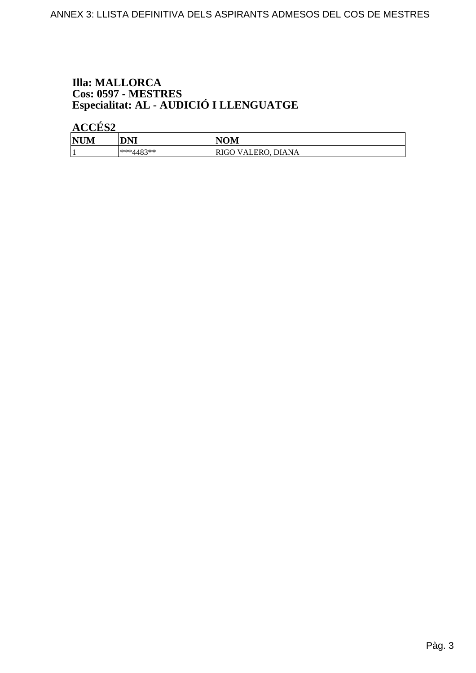# **Illa: MALLORCA** Cos: 0597 - MESTRES<br>Especialitat: AL - AUDICIÓ I LLENGUATGE

| <b>NUM</b><br>WЦ | <b>DNI</b>           | VOM                                   |
|------------------|----------------------|---------------------------------------|
|                  | 192**<br>***/<br>— ப | <b>DIANA</b><br>'ALERO<br><b>KIGO</b> |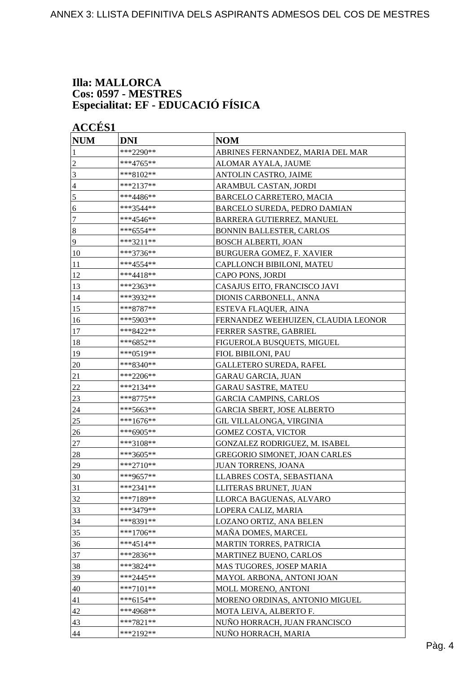#### **Illa: MALLORCA Cos: 0597 - MESTRES Especialitat: EF - EDUCACIÓ FÍSICA**

| <b>NUM</b>       | <b>DNI</b>  | <b>NOM</b>                          |
|------------------|-------------|-------------------------------------|
| 1                | ***2290**   | ABRINES FERNANDEZ, MARIA DEL MAR    |
| $\overline{c}$   | ***4765**   | ALOMAR AYALA, JAUME                 |
| 3                | ***8102**   | ANTOLIN CASTRO, JAIME               |
| 4                | ***2137**   | ARAMBUL CASTAN, JORDI               |
| 5                | ***4486**   | BARCELO CARRETERO, MACIA            |
| 6                | ***3544**   | <b>BARCELO SUREDA, PEDRO DAMIAN</b> |
| 7                | ***4546**   | BARRERA GUTIERREZ, MANUEL           |
| $\boldsymbol{8}$ | ***6554**   | <b>BONNIN BALLESTER, CARLOS</b>     |
| 9                | $***3211**$ | <b>BOSCH ALBERTI, JOAN</b>          |
| 10               | ***3736**   | <b>BURGUERA GOMEZ, F. XAVIER</b>    |
| 11               | ***4554**   | CAPLLONCH BIBILONI, MATEU           |
| 12               | ***4418**   | CAPO PONS, JORDI                    |
| 13               | ***2363**   | CASAJUS EITO, FRANCISCO JAVI        |
| 14               | ***3932**   | DIONIS CARBONELL, ANNA              |
| 15               | ***8787**   | ESTEVA FLAQUER, AINA                |
| 16               | ***5903**   | FERNANDEZ WEEHUIZEN, CLAUDIA LEONOR |
| 17               | ***8422**   | FERRER SASTRE, GABRIEL              |
| 18               | ***6852**   | FIGUEROLA BUSQUETS, MIGUEL          |
| 19               | ***0519**   | FIOL BIBILONI, PAU                  |
| 20               | ***8340**   | <b>GALLETERO SUREDA, RAFEL</b>      |
| 21               | ***2206**   | <b>GARAU GARCIA, JUAN</b>           |
| 22               | ***2134**   | <b>GARAU SASTRE, MATEU</b>          |
| 23               | ***8775**   | <b>GARCIA CAMPINS, CARLOS</b>       |
| 24               | ***5663**   | <b>GARCIA SBERT, JOSE ALBERTO</b>   |
| 25               | $***1676**$ | GIL VILLALONGA, VIRGINIA            |
| 26               | ***6905**   | <b>GOMEZ COSTA, VICTOR</b>          |
| $27\,$           | ***3108**   | GONZALEZ RODRIGUEZ, M. ISABEL       |
| 28               | ***3605**   | GREGORIO SIMONET, JOAN CARLES       |
| 29               | $***2710**$ | JUAN TORRENS, JOANA                 |
| 30               | ***9657**   | LLABRES COSTA, SEBASTIANA           |
| 31               | ***2341**   | LLITERAS BRUNET, JUAN               |
| 32               | ***7189**   | LLORCA BAGUENAS, ALVARO             |
| 33               | ***3479**   | LOPERA CALIZ, MARIA                 |
| 34               | ***8391**   | LOZANO ORTIZ, ANA BELEN             |
| 35               | $***1706**$ | MAÑA DOMES, MARCEL                  |
| 36               | $***4514**$ | MARTIN TORRES, PATRICIA             |
| 37               | ***2836**   | MARTINEZ BUENO, CARLOS              |
| 38               | ***3824**   | MAS TUGORES, JOSEP MARIA            |
| 39               | $***2445**$ | MAYOL ARBONA, ANTONI JOAN           |
| 40               | ***7101**   | MOLL MORENO, ANTONI                 |
| 41               | $***6154**$ | MORENO ORDINAS, ANTONIO MIGUEL      |
| 42               | ***4968**   | MOTA LEIVA, ALBERTO F.              |
|                  | ***7821**   | NUÑO HORRACH, JUAN FRANCISCO        |
| 43               | ***2192**   |                                     |
| 44               |             | NUÑO HORRACH, MARIA                 |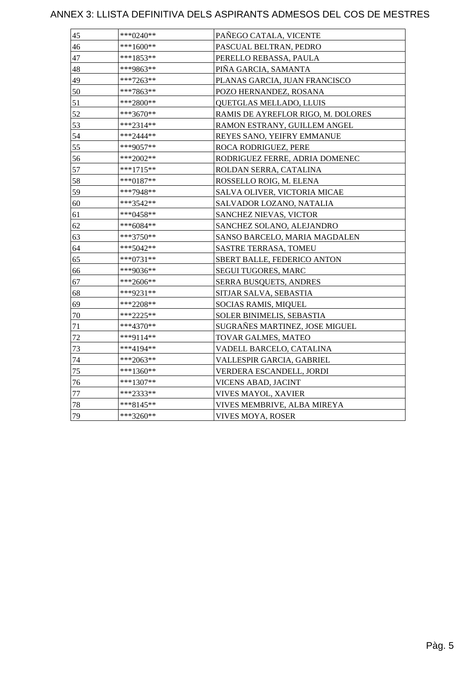| 45 | $***0240**$ | PAÑEGO CATALA, VICENTE             |
|----|-------------|------------------------------------|
| 46 | ***1600**   | PASCUAL BELTRAN, PEDRO             |
| 47 | ***1853**   | PERELLO REBASSA, PAULA             |
| 48 | ***9863**   | PIÑA GARCIA, SAMANTA               |
| 49 | ***7263**   | PLANAS GARCIA, JUAN FRANCISCO      |
| 50 | ***7863**   | POZO HERNANDEZ, ROSANA             |
| 51 | $***2800**$ | QUETGLAS MELLADO, LLUIS            |
| 52 | ***3670**   | RAMIS DE AYREFLOR RIGO, M. DOLORES |
| 53 | ***2314**   | RAMON ESTRANY, GUILLEM ANGEL       |
| 54 | ***2444**   | REYES SANO, YEIFRY EMMANUE         |
| 55 | ***9057**   | ROCA RODRIGUEZ, PERE               |
| 56 | $***2002**$ | RODRIGUEZ FERRE, ADRIA DOMENEC     |
| 57 | ***1715**   | ROLDAN SERRA, CATALINA             |
| 58 | $***0187**$ | ROSSELLO ROIG, M. ELENA            |
| 59 | ***7948**   | SALVA OLIVER, VICTORIA MICAE       |
| 60 | ***3542**   | SALVADOR LOZANO, NATALIA           |
| 61 | $***0458**$ | SANCHEZ NIEVAS, VICTOR             |
| 62 | $***6084**$ | SANCHEZ SOLANO, ALEJANDRO          |
| 63 | ***3750**   | SANSO BARCELO, MARIA MAGDALEN      |
| 64 | ***5042**   | <b>SASTRE TERRASA, TOMEU</b>       |
| 65 | ***0731**   | SBERT BALLE, FEDERICO ANTON        |
| 66 | ***9036**   | <b>SEGUI TUGORES, MARC</b>         |
| 67 | $***2606**$ | <b>SERRA BUSQUETS, ANDRES</b>      |
| 68 | ***9231**   | SITJAR SALVA, SEBASTIA             |
| 69 | ***2208**   | SOCIAS RAMIS, MIQUEL               |
| 70 | ***2225**   | SOLER BINIMELIS, SEBASTIA          |
| 71 | ***4370**   | SUGRAÑES MARTINEZ, JOSE MIGUEL     |
| 72 | ***9114**   | TOVAR GALMES, MATEO                |
| 73 | ***4194**   | VADELL BARCELO, CATALINA           |
| 74 | $***2063**$ | VALLESPIR GARCIA, GABRIEL          |
| 75 | $***1360**$ | VERDERA ESCANDELL, JORDI           |
| 76 | $***1307**$ | VICENS ABAD, JACINT                |
| 77 | ***2333**   | VIVES MAYOL, XAVIER                |
| 78 | $***8145**$ | VIVES MEMBRIVE, ALBA MIREYA        |
| 79 | ***3260**   | VIVES MOYA, ROSER                  |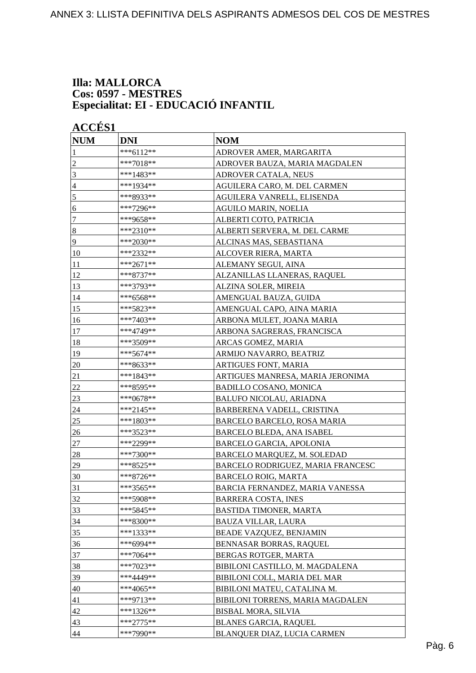#### **Illa: MALLORCA Cos: 0597 - MESTRES Especialitat: EI - EDUCACIÓ INFANTIL**

| <b>NUM</b>       | <b>DNI</b>  | <b>NOM</b>                        |
|------------------|-------------|-----------------------------------|
| 1                | ***6112**   | ADROVER AMER, MARGARITA           |
| $\overline{c}$   | $***7018**$ | ADROVER BAUZA, MARIA MAGDALEN     |
| 3                | ***1483**   | ADROVER CATALA, NEUS              |
| 4                | ***1934**   | AGUILERA CARO, M. DEL CARMEN      |
| 5                | ***8933**   | AGUILERA VANRELL, ELISENDA        |
| 6                | ***7296**   | AGUILO MARIN, NOELIA              |
| 7                | ***9658**   | ALBERTI COTO, PATRICIA            |
| $\boldsymbol{8}$ | ***2310**   | ALBERTI SERVERA, M. DEL CARME     |
| 9                | ***2030**   | ALCINAS MAS, SEBASTIANA           |
| 10               | ***2332**   | ALCOVER RIERA, MARTA              |
| 11               | ***2671**   | ALEMANY SEGUI, AINA               |
| 12               | $***8737**$ | ALZANILLAS LLANERAS, RAQUEL       |
| 13               | ***3793**   | ALZINA SOLER, MIREIA              |
| 14               | ***6568**   | AMENGUAL BAUZA, GUIDA             |
| 15               | ***5823**   | AMENGUAL CAPO, AINA MARIA         |
| 16               | ***7403**   | ARBONA MULET, JOANA MARIA         |
| 17               | ***4749**   | ARBONA SAGRERAS, FRANCISCA        |
| 18               | ***3509**   | ARCAS GOMEZ, MARIA                |
| 19               | ***5674**   | ARMIJO NAVARRO, BEATRIZ           |
| 20               | ***8633**   | ARTIGUES FONT, MARIA              |
| 21               | ***1843**   | ARTIGUES MANRESA, MARIA JERONIMA  |
| 22               | ***8595**   | <b>BADILLO COSANO, MONICA</b>     |
| 23               | ***0678**   | <b>BALUFO NICOLAU, ARIADNA</b>    |
| 24               | ***2145**   | BARBERENA VADELL, CRISTINA        |
| 25               | ***1803**   | BARCELO BARCELO, ROSA MARIA       |
| 26               | ***3523**   | BARCELO BLEDA, ANA ISABEL         |
| 27               | ***2299**   | BARCELO GARCIA, APOLONIA          |
| 28               | ***7300**   | BARCELO MARQUEZ, M. SOLEDAD       |
| 29               | ***8525**   | BARCELO RODRIGUEZ, MARIA FRANCESC |
| 30               | ***8726**   | BARCELO ROIG, MARTA               |
| 31               | ***3565**   | BARCIA FERNANDEZ, MARIA VANESSA   |
| 32               | ***5908**   | <b>BARRERA COSTA, INES</b>        |
| 33               | ***5845**   | <b>BASTIDA TIMONER, MARTA</b>     |
| 34               | ***8300**   | <b>BAUZA VILLAR, LAURA</b>        |
| 35               | ***1333**   | BEADE VAZQUEZ, BENJAMIN           |
| 36               | ***6994**   | BENNASAR BORRAS, RAQUEL           |
| 37               | ***7064**   | BERGAS ROTGER, MARTA              |
| 38               | ***7023**   | BIBILONI CASTILLO, M. MAGDALENA   |
| 39               | ***4449**   | BIBILONI COLL, MARIA DEL MAR      |
| 40               | ***4065**   | BIBILONI MATEU, CATALINA M.       |
| 41               | ***9713**   | BIBILONI TORRENS, MARIA MAGDALEN  |
| 42               | ***1326**   | <b>BISBAL MORA, SILVIA</b>        |
| 43               | $***2775**$ | <b>BLANES GARCIA, RAQUEL</b>      |
| 44               | ***7990**   | BLANQUER DIAZ, LUCIA CARMEN       |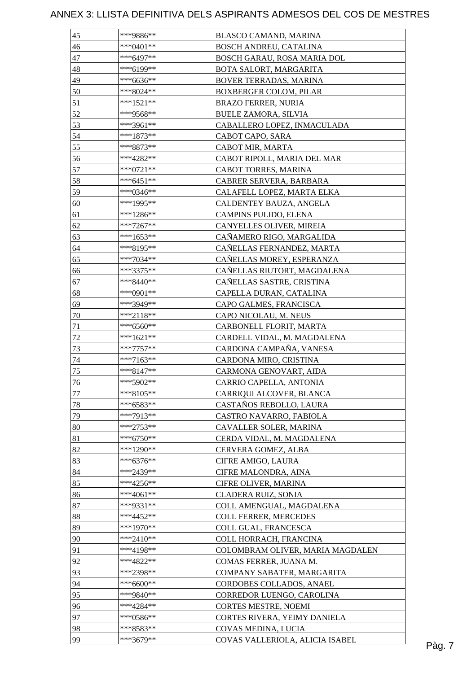| $***0401**$<br>BOSCH ANDREU, CATALINA<br>46<br>***6497**<br>47<br>BOSCH GARAU, ROSA MARIA DOL<br>***6199**<br>48<br>BOTA SALORT, MARGARITA<br>49<br>BOVER TERRADAS, MARINA<br>$***6636**$<br>50<br>***8024**<br><b>BOXBERGER COLOM, PILAR</b> |        |
|-----------------------------------------------------------------------------------------------------------------------------------------------------------------------------------------------------------------------------------------------|--------|
|                                                                                                                                                                                                                                               |        |
|                                                                                                                                                                                                                                               |        |
|                                                                                                                                                                                                                                               |        |
|                                                                                                                                                                                                                                               |        |
|                                                                                                                                                                                                                                               |        |
| $***1521**$<br>51<br><b>BRAZO FERRER, NURIA</b>                                                                                                                                                                                               |        |
| 52<br>***9568**<br><b>BUELE ZAMORA, SILVIA</b>                                                                                                                                                                                                |        |
| 53<br>***3961**<br>CABALLERO LOPEZ, INMACULADA                                                                                                                                                                                                |        |
| 54<br>$***1873**$<br>CABOT CAPO, SARA                                                                                                                                                                                                         |        |
| 55<br>***8873**<br>CABOT MIR, MARTA                                                                                                                                                                                                           |        |
| CABOT RIPOLL, MARIA DEL MAR<br>56<br>$***4282**$                                                                                                                                                                                              |        |
| 57<br>$***0721**$<br>CABOT TORRES, MARINA                                                                                                                                                                                                     |        |
| 58<br>$***6451**$<br>CABRER SERVERA, BARBARA                                                                                                                                                                                                  |        |
| 59<br>CALAFELL LOPEZ, MARTA ELKA<br>***0346**                                                                                                                                                                                                 |        |
| ***1995**<br>60<br>CALDENTEY BAUZA, ANGELA                                                                                                                                                                                                    |        |
| $***1286**$<br>CAMPINS PULIDO, ELENA<br>61                                                                                                                                                                                                    |        |
| 62<br>CANYELLES OLIVER, MIREIA<br>$***7267**$                                                                                                                                                                                                 |        |
| $***1653**$<br>63<br>CAÑAMERO RIGO, MARGALIDA                                                                                                                                                                                                 |        |
| $***8195**$<br>CAÑELLAS FERNANDEZ, MARTA<br>64                                                                                                                                                                                                |        |
| 65<br>CAÑELLAS MOREY, ESPERANZA<br>$***7034**$                                                                                                                                                                                                |        |
| ***3375**<br>CAÑELLAS RIUTORT, MAGDALENA<br>66                                                                                                                                                                                                |        |
| CAÑELLAS SASTRE, CRISTINA<br>67<br>***8440**                                                                                                                                                                                                  |        |
| 68<br>***0901**<br>CAPELLA DURAN, CATALINA                                                                                                                                                                                                    |        |
| 69<br>***3949**<br>CAPO GALMES, FRANCISCA                                                                                                                                                                                                     |        |
| $***2118**$<br>CAPO NICOLAU, M. NEUS                                                                                                                                                                                                          |        |
| 70<br>CARBONELL FLORIT, MARTA                                                                                                                                                                                                                 |        |
| 71<br>$***6560**$<br>$72\,$                                                                                                                                                                                                                   |        |
| ***1621**<br>CARDELL VIDAL, M. MAGDALENA                                                                                                                                                                                                      |        |
| CARDONA CAMPAÑA, VANESA<br>73<br>$***7757**$                                                                                                                                                                                                  |        |
| 74<br>***7163**<br>CARDONA MIRO, CRISTINA                                                                                                                                                                                                     |        |
| 75<br>$***8147**$<br>CARMONA GENOVART, AIDA                                                                                                                                                                                                   |        |
| ***5902**<br>CARRIO CAPELLA, ANTONIA<br>76                                                                                                                                                                                                    |        |
| $***8105**$<br>77<br>CARRIQUI ALCOVER, BLANCA                                                                                                                                                                                                 |        |
| 78<br>***6583**<br>CASTAÑOS REBOLLO, LAURA                                                                                                                                                                                                    |        |
| 79<br>***7913**<br>CASTRO NAVARRO, FABIOLA                                                                                                                                                                                                    |        |
| 80<br>$***2753**$<br>CAVALLER SOLER, MARINA                                                                                                                                                                                                   |        |
| 81<br>$***6750**$<br>CERDA VIDAL, M. MAGDALENA                                                                                                                                                                                                |        |
| 82<br>***1290**<br>CERVERA GOMEZ, ALBA                                                                                                                                                                                                        |        |
| 83<br>$***6376**$<br>CIFRE AMIGO, LAURA                                                                                                                                                                                                       |        |
| 84<br>***2439**<br>CIFRE MALONDRA, AINA                                                                                                                                                                                                       |        |
| 85<br>$***4256**$<br>CIFRE OLIVER, MARINA                                                                                                                                                                                                     |        |
| 86<br>$***4061**$<br>CLADERA RUIZ, SONIA                                                                                                                                                                                                      |        |
| 87<br>***9331**<br>COLL AMENGUAL, MAGDALENA                                                                                                                                                                                                   |        |
| 88<br>$***4452**$<br>COLL FERRER, MERCEDES                                                                                                                                                                                                    |        |
| 89<br>$***1970**$<br>COLL GUAL, FRANCESCA                                                                                                                                                                                                     |        |
| 90<br>$***2410**$<br>COLL HORRACH, FRANCINA                                                                                                                                                                                                   |        |
| 91<br>$***4198**$<br>COLOMBRAM OLIVER, MARIA MAGDALEN                                                                                                                                                                                         |        |
| 92<br>***4822**<br>COMAS FERRER, JUANA M.                                                                                                                                                                                                     |        |
| 93<br>***2398**<br>COMPANY SABATER, MARGARITA                                                                                                                                                                                                 |        |
| 94<br>***6600**<br>CORDOBES COLLADOS, ANAEL                                                                                                                                                                                                   |        |
| 95<br>***9840**<br>CORREDOR LUENGO, CAROLINA                                                                                                                                                                                                  |        |
| 96<br>***4284**<br><b>CORTES MESTRE, NOEMI</b>                                                                                                                                                                                                |        |
| 97<br>***0586**<br>CORTES RIVERA, YEIMY DANIELA                                                                                                                                                                                               |        |
| 98<br>***8583**<br>COVAS MEDINA, LUCIA                                                                                                                                                                                                        |        |
| 99<br>***3679**<br>COVAS VALLERIOLA, ALICIA ISABEL                                                                                                                                                                                            | Pàg. 7 |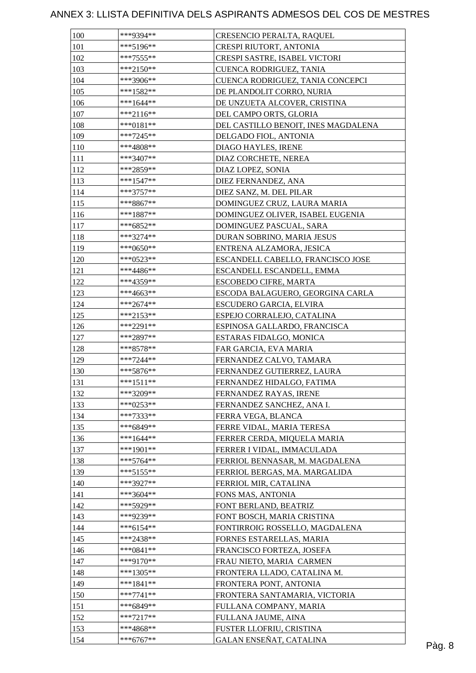| 100 | ***9394**   | CRESENCIO PERALTA, RAQUEL           |  |
|-----|-------------|-------------------------------------|--|
| 101 | $***5196**$ | CRESPI RIUTORT, ANTONIA             |  |
| 102 | $***7555**$ | CRESPI SASTRE, ISABEL VICTORI       |  |
| 103 | $***2150**$ | CUENCA RODRIGUEZ, TANIA             |  |
| 104 | ***3906**   | CUENCA RODRIGUEZ, TANIA CONCEPCI    |  |
| 105 | ***1582**   | DE PLANDOLIT CORRO, NURIA           |  |
| 106 | $***1644**$ | DE UNZUETA ALCOVER, CRISTINA        |  |
| 107 | ***2116**   | DEL CAMPO ORTS, GLORIA              |  |
| 108 | ***0181**   | DEL CASTILLO BENOIT, INES MAGDALENA |  |
| 109 | $***7245**$ | DELGADO FIOL, ANTONIA               |  |
| 110 | ***4808**   | DIAGO HAYLES, IRENE                 |  |
| 111 | ***3407**   | DIAZ CORCHETE, NEREA                |  |
| 112 | ***2859**   | DIAZ LOPEZ, SONIA                   |  |
| 113 | $***1547**$ | DIEZ FERNANDEZ, ANA                 |  |
| 114 | ***3757**   | DIEZ SANZ, M. DEL PILAR             |  |
| 115 | ***8867**   | DOMINGUEZ CRUZ, LAURA MARIA         |  |
|     |             |                                     |  |
| 116 | $***1887**$ | DOMINGUEZ OLIVER, ISABEL EUGENIA    |  |
| 117 | ***6852**   | DOMINGUEZ PASCUAL, SARA             |  |
| 118 | ***3274**   | DURAN SOBRINO, MARIA JESUS          |  |
| 119 | ***0650**   | ENTRENA ALZAMORA, JESICA            |  |
| 120 | ***0523**   | ESCANDELL CABELLO, FRANCISCO JOSE   |  |
| 121 | $***4486**$ | ESCANDELL ESCANDELL, EMMA           |  |
| 122 | ***4359**   | <b>ESCOBEDO CIFRE, MARTA</b>        |  |
| 123 | ***4663**   | ESCODA BALAGUERO, GEORGINA CARLA    |  |
| 124 | ***2674**   | ESCUDERO GARCIA, ELVIRA             |  |
| 125 | ***2153**   | ESPEJO CORRALEJO, CATALINA          |  |
| 126 | ***2291**   | ESPINOSA GALLARDO, FRANCISCA        |  |
| 127 | ***2897**   | ESTARAS FIDALGO, MONICA             |  |
| 128 | $***8578**$ | FAR GARCIA, EVA MARIA               |  |
| 129 | ***7244**   | FERNANDEZ CALVO, TAMARA             |  |
| 130 | ***5876**   | FERNANDEZ GUTIERREZ, LAURA          |  |
| 131 | $***1511**$ | FERNANDEZ HIDALGO, FATIMA           |  |
| 132 | ***3209**   | FERNANDEZ RAYAS, IRENE              |  |
| 133 | $***0253**$ | FERNANDEZ SANCHEZ, ANA I.           |  |
| 134 | ***7333**   | FERRA VEGA, BLANCA                  |  |
| 135 | ***6849**   | FERRE VIDAL, MARIA TERESA           |  |
| 136 | $***1644**$ | FERRER CERDA, MIQUELA MARIA         |  |
| 137 | ***1901**   | FERRER I VIDAL, IMMACULADA          |  |
| 138 | $***5764**$ | FERRIOL BENNASAR, M. MAGDALENA      |  |
| 139 | *** 5155**  | FERRIOL BERGAS, MA. MARGALIDA       |  |
| 140 | ***3927**   | FERRIOL MIR, CATALINA               |  |
| 141 | ***3604**   | FONS MAS, ANTONIA                   |  |
| 142 | ***5929**   | FONT BERLAND, BEATRIZ               |  |
| 143 | ***9239**   | FONT BOSCH, MARIA CRISTINA          |  |
| 144 | ***6154**   | FONTIRROIG ROSSELLO, MAGDALENA      |  |
| 145 | ***2438**   | FORNES ESTARELLAS, MARIA            |  |
| 146 | ***0841**   | FRANCISCO FORTEZA, JOSEFA           |  |
| 147 | ***9170**   | FRAU NIETO, MARIA CARMEN            |  |
| 148 | $***1305**$ | FRONTERA LLADO, CATALINA M.         |  |
| 149 | $***1841**$ | FRONTERA PONT, ANTONIA              |  |
| 150 | $***7741**$ | FRONTERA SANTAMARIA, VICTORIA       |  |
| 151 | ***6849**   | FULLANA COMPANY, MARIA              |  |
| 152 | $***7217**$ | FULLANA JAUME, AINA                 |  |
| 153 | ***4868**   | FUSTER LLOFRIU, CRISTINA            |  |
|     |             |                                     |  |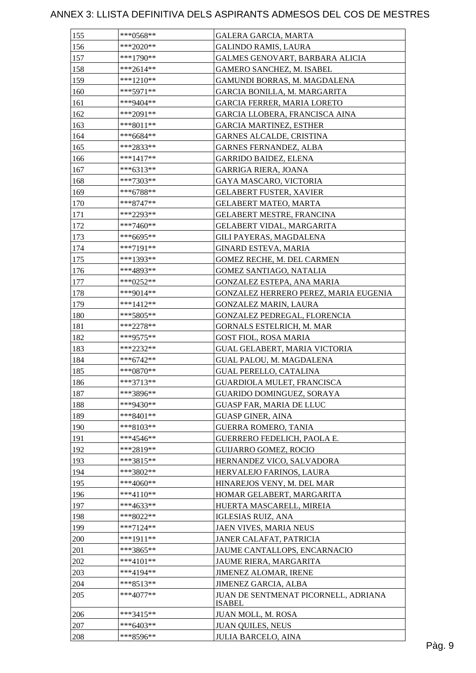| 155        | ***0568**                | GALERA GARCIA, MARTA                                  |
|------------|--------------------------|-------------------------------------------------------|
| 156        | ***2020**                | <b>GALINDO RAMIS, LAURA</b>                           |
| 157        | ***1790**                | GALMES GENOVART, BARBARA ALICIA                       |
| 158        | $***2614**$              | <b>GAMERO SANCHEZ, M. ISABEL</b>                      |
| 159        | ***1210**                | GAMUNDI BORRAS, M. MAGDALENA                          |
| 160        | ***5971**                | GARCIA BONILLA, M. MARGARITA                          |
| 161        | ***9404**                | GARCIA FERRER, MARIA LORETO                           |
| 162        | ***2091**                | GARCIA LLOBERA, FRANCISCA AINA                        |
| 163        | ***8011**                | <b>GARCIA MARTINEZ, ESTHER</b>                        |
| 164        | ***6684**                | GARNES ALCALDE, CRISTINA                              |
| 165        | ***2833**                | <b>GARNES FERNANDEZ, ALBA</b>                         |
| 166        | $***1417**$              | GARRIDO BAIDEZ, ELENA                                 |
| 167        | ***6313**                | GARRIGA RIERA, JOANA                                  |
| 168        | $***7303**$              | GAYA MASCARO, VICTORIA                                |
| 169        | ***6788**                | <b>GELABERT FUSTER, XAVIER</b>                        |
| 170        | $***8747**$              | <b>GELABERT MATEO, MARTA</b>                          |
| 171        | ***2293**                | GELABERT MESTRE, FRANCINA                             |
| 172        | ***7460**                | <b>GELABERT VIDAL, MARGARITA</b>                      |
| 173        | ***6695**                | GILI PAYERAS, MAGDALENA                               |
| 174        | ***7191**                | <b>GINARD ESTEVA, MARIA</b>                           |
| 175        | ***1393**                | GOMEZ RECHE, M. DEL CARMEN                            |
| 176        | ***4893**                | GOMEZ SANTIAGO, NATALIA                               |
| 177        | ***0252**                | GONZALEZ ESTEPA, ANA MARIA                            |
| 178        | ***9014**                | GONZALEZ HERRERO PEREZ, MARIA EUGENIA                 |
| 179        | $***1412**$              | GONZALEZ MARIN, LAURA                                 |
| 180        | $***5805**$              | GONZALEZ PEDREGAL, FLORENCIA                          |
| 181        | ***2278**                | GORNALS ESTELRICH, M. MAR                             |
| 182        | ***9575**                | GOST FIOL, ROSA MARIA                                 |
| 183        | ***2232**                | GUAL GELABERT, MARIA VICTORIA                         |
| 184        | ***6742**                | GUAL PALOU, M. MAGDALENA                              |
| 185        | ***0870**                | <b>GUAL PERELLO, CATALINA</b>                         |
| 186        | $***3713**$              | GUARDIOLA MULET, FRANCISCA                            |
| 187        | ***3896**                | GUARIDO DOMINGUEZ, SORAYA                             |
| 188        | ***9430**                | <b>GUASP FAR, MARIA DE LLUC</b>                       |
| 189        | $***8401**$              | <b>GUASP GINER, AINA</b>                              |
| 190        | $***8103**$              | <b>GUERRA ROMERO, TANIA</b>                           |
| 191        | $***4546**$              | GUERRERO FEDELICH, PAOLA E.                           |
| 192        | ***2819**                |                                                       |
|            | ***3815**                | <b>GUIJARRO GOMEZ, ROCIO</b>                          |
| 193<br>194 | ***3802**                | HERNANDEZ VICO, SALVADORA<br>HERVALEJO FARINOS, LAURA |
|            |                          |                                                       |
| 195        | ***4060**                | HINAREJOS VENY, M. DEL MAR                            |
| 196        | ***4110**                | HOMAR GELABERT, MARGARITA                             |
| 197        | ***4633**<br>$***8022**$ | HUERTA MASCARELL, MIREIA                              |
| 198        |                          | <b>IGLESIAS RUIZ, ANA</b>                             |
| 199        | ***7124**                | JAEN VIVES, MARIA NEUS                                |
| 200        | ***1911**                | JANER CALAFAT, PATRICIA                               |
| 201        | ***3865**                | JAUME CANTALLOPS, ENCARNACIO                          |
| 202        | ***4101**                | JAUME RIERA, MARGARITA                                |
| 203        | ***4194**                | JIMENEZ ALOMAR, IRENE                                 |
| 204        | $***8513**$              | JIMENEZ GARCIA, ALBA                                  |
| 205        | $***4077**$              | JUAN DE SENTMENAT PICORNELL, ADRIANA<br><b>ISABEL</b> |
| 206        | ***3415**                | JUAN MOLL, M. ROSA                                    |
| 207        | ***6403**                | <b>JUAN QUILES, NEUS</b>                              |
| 208        | ***8596**                | <b>JULIA BARCELO, AINA</b>                            |
|            |                          |                                                       |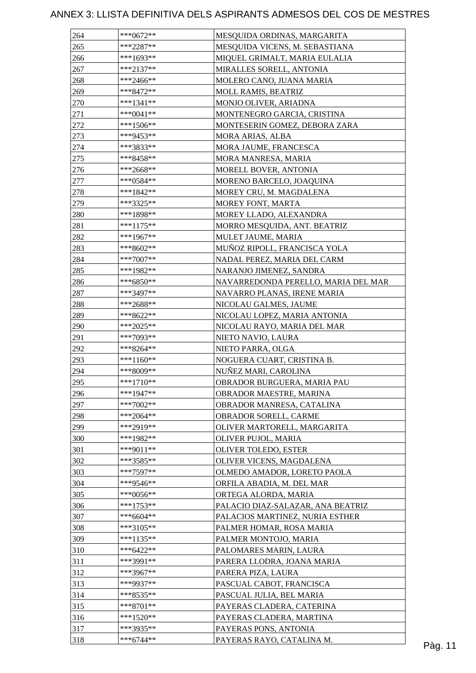| 264 | ***0672**   | MESQUIDA ORDINAS, MARGARITA         |  |
|-----|-------------|-------------------------------------|--|
| 265 | ***2287**   | MESQUIDA VICENS, M. SEBASTIANA      |  |
| 266 | ***1693**   | MIQUEL GRIMALT, MARIA EULALIA       |  |
| 267 | $***2137**$ | MIRALLES SORELL, ANTONIA            |  |
| 268 | ***2466**   | MOLERO CANO, JUANA MARIA            |  |
| 269 | ***8472**   | MOLL RAMIS, BEATRIZ                 |  |
| 270 | $***1341**$ | MONJO OLIVER, ARIADNA               |  |
| 271 | ***0041**   | MONTENEGRO GARCIA, CRISTINA         |  |
| 272 | ***1506**   | MONTESERIN GOMEZ, DEBORA ZARA       |  |
| 273 | ***9453**   | MORA ARIAS, ALBA                    |  |
| 274 | ***3833**   | MORA JAUME, FRANCESCA               |  |
| 275 | ***8458**   | MORA MANRESA, MARIA                 |  |
| 276 | ***2668**   | MORELL BOVER, ANTONIA               |  |
| 277 | ***0584**   | MORENO BARCELO, JOAQUINA            |  |
| 278 | ***1842**   | MOREY CRU, M. MAGDALENA             |  |
| 279 | ***3325**   | MOREY FONT, MARTA                   |  |
| 280 | $***1898**$ | MOREY LLADO, ALEXANDRA              |  |
| 281 | ***1175**   | MORRO MESQUIDA, ANT. BEATRIZ        |  |
| 282 | ***1967**   | MULET JAUME, MARIA                  |  |
| 283 | ***8602**   | MUÑOZ RIPOLL, FRANCISCA YOLA        |  |
| 284 | $***7007**$ | NADAL PEREZ, MARIA DEL CARM         |  |
| 285 | ***1982**   | NARANJO JIMENEZ, SANDRA             |  |
| 286 | ***6850**   | NAVARREDONDA PERELLO, MARIA DEL MAR |  |
| 287 | ***3497**   |                                     |  |
|     |             | NAVARRO PLANAS, IRENE MARIA         |  |
| 288 | ***2688**   | NICOLAU GALMES, JAUME               |  |
| 289 | ***8622**   | NICOLAU LOPEZ, MARIA ANTONIA        |  |
| 290 | ***2025**   | NICOLAU RAYO, MARIA DEL MAR         |  |
| 291 | ***7093**   | NIETO NAVIO, LAURA                  |  |
| 292 | ***8264**   | NIETO PARRA, OLGA                   |  |
| 293 | ***1160**   | NOGUERA CUART, CRISTINA B.          |  |
| 294 | ***8009**   | NUÑEZ MARI, CAROLINA                |  |
| 295 | $***1710**$ | OBRADOR BURGUERA, MARIA PAU         |  |
| 296 | $***1947**$ | OBRADOR MAESTRE, MARINA             |  |
| 297 | $***7002**$ | OBRADOR MANRESA, CATALINA           |  |
| 298 | ***2064**   | OBRADOR SORELL, CARME               |  |
| 299 | ***2919**   | OLIVER MARTORELL, MARGARITA         |  |
| 300 | ***1982**   | OLIVER PUJOL, MARIA                 |  |
| 301 | ***9011**   | OLIVER TOLEDO, ESTER                |  |
| 302 | ***3585**   | OLIVER VICENS, MAGDALENA            |  |
| 303 | ***7597**   | OLMEDO AMADOR, LORETO PAOLA         |  |
| 304 | ***9546**   | ORFILA ABADIA, M. DEL MAR           |  |
| 305 | $***0056**$ | ORTEGA ALORDA, MARIA                |  |
| 306 | $***1753**$ | PALACIO DIAZ-SALAZAR, ANA BEATRIZ   |  |
| 307 | ***6604**   | PALACIOS MARTINEZ, NURIA ESTHER     |  |
| 308 | ***3105**   | PALMER HOMAR, ROSA MARIA            |  |
| 309 | $***1135**$ | PALMER MONTOJO, MARIA               |  |
| 310 | $***6422**$ | PALOMARES MARIN, LAURA              |  |
| 311 | ***3991**   | PARERA LLODRA, JOANA MARIA          |  |
| 312 | $***3967**$ | PARERA PIZA, LAURA                  |  |
| 313 | ***9937**   | PASCUAL CABOT, FRANCISCA            |  |
| 314 | ***8535**   | PASCUAL JULIA, BEL MARIA            |  |
| 315 | $***8701**$ | PAYERAS CLADERA, CATERINA           |  |
| 316 | $***1520**$ | PAYERAS CLADERA, MARTINA            |  |
| 317 | ***3935**   | PAYERAS PONS, ANTONIA               |  |
| 318 | $***6744**$ | PAYERAS RAYO, CATALINA M.           |  |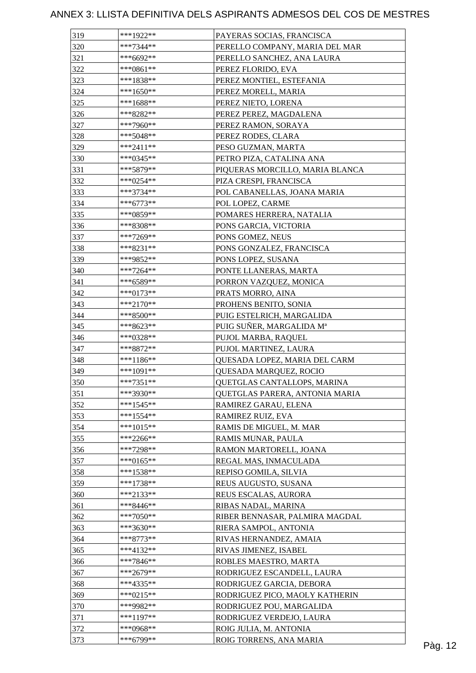| 319 | ***1922**                  | PAYERAS SOCIAS, FRANCISCA       |         |
|-----|----------------------------|---------------------------------|---------|
| 320 | ***7344**                  | PERELLO COMPANY, MARIA DEL MAR  |         |
| 321 | ***6692**                  | PERELLO SANCHEZ, ANA LAURA      |         |
| 322 | $***0861**$                | PEREZ FLORIDO, EVA              |         |
| 323 | $***1838**$                | PEREZ MONTIEL, ESTEFANIA        |         |
| 324 | ***1650**                  | PEREZ MORELL, MARIA             |         |
| 325 | $***1688**$                | PEREZ NIETO, LORENA             |         |
| 326 | ***8282**                  | PEREZ PEREZ, MAGDALENA          |         |
| 327 | ***7960**                  | PEREZ RAMON, SORAYA             |         |
| 328 | $***5048**$                | PEREZ RODES, CLARA              |         |
| 329 | $***2411**$                | PESO GUZMAN, MARTA              |         |
| 330 | ***0345**                  | PETRO PIZA, CATALINA ANA        |         |
| 331 | ***5879**                  | PIQUERAS MORCILLO, MARIA BLANCA |         |
| 332 | $***0254**$                | PIZA CRESPI, FRANCISCA          |         |
| 333 | ***3734**                  | POL CABANELLAS, JOANA MARIA     |         |
| 334 | $***6773**$                | POL LOPEZ, CARME                |         |
| 335 | ***0859**                  | POMARES HERRERA, NATALIA        |         |
| 336 | ***8308**                  | PONS GARCIA, VICTORIA           |         |
| 337 | ***7269**                  | PONS GOMEZ, NEUS                |         |
| 338 | $***8231**$                | PONS GONZALEZ, FRANCISCA        |         |
| 339 | ***9852**                  | PONS LOPEZ, SUSANA              |         |
| 340 | $***7264**$                | PONTE LLANERAS, MARTA           |         |
| 341 | ***6589**                  | PORRON VAZQUEZ, MONICA          |         |
| 342 | ***0173**                  | PRATS MORRO, AINA               |         |
| 343 | $***2170**$                | PROHENS BENITO, SONIA           |         |
| 344 | $***8500**$                | PUIG ESTELRICH, MARGALIDA       |         |
| 345 | ***8623**                  | PUIG SUÑER, MARGALIDA Mª        |         |
| 346 | ***0328**                  | PUJOL MARBA, RAQUEL             |         |
| 347 | $***8872**$                |                                 |         |
| 348 | ***1186**                  | PUJOL MARTINEZ, LAURA           |         |
|     | $***1091**$                | QUESADA LOPEZ, MARIA DEL CARM   |         |
| 349 |                            | QUESADA MARQUEZ, ROCIO          |         |
| 350 | $***7351**$<br>$***3930**$ | QUETGLAS CANTALLOPS, MARINA     |         |
| 351 | $***1545**$                | QUETGLAS PARERA, ANTONIA MARIA  |         |
| 352 |                            | RAMIREZ GARAU, ELENA            |         |
| 353 | $***1554**$                | RAMIREZ RUIZ, EVA               |         |
| 354 | ***1015**                  | RAMIS DE MIGUEL, M. MAR         |         |
| 355 | $***2266**$                | RAMIS MUNAR, PAULA              |         |
| 356 | ***7298**                  | RAMON MARTORELL, JOANA          |         |
| 357 | ***0165**                  | REGAL MAS, INMACULADA           |         |
| 358 | $***1538**$                | REPISO GOMILA, SILVIA           |         |
| 359 | $***1738**$                | REUS AUGUSTO, SUSANA            |         |
| 360 | $***2133**$                | REUS ESCALAS, AURORA            |         |
| 361 | ***8446**                  | RIBAS NADAL, MARINA             |         |
| 362 | $***7050**$                | RIBER BENNASAR, PALMIRA MAGDAL  |         |
| 363 | ***3630**                  | RIERA SAMPOL, ANTONIA           |         |
| 364 | ***8773**                  | RIVAS HERNANDEZ, AMAIA          |         |
| 365 | $***4132**$                | RIVAS JIMENEZ, ISABEL           |         |
| 366 | ***7846**                  | ROBLES MAESTRO, MARTA           |         |
| 367 | $***2679**$                | RODRIGUEZ ESCANDELL, LAURA      |         |
| 368 | ***4335**                  | RODRIGUEZ GARCIA, DEBORA        |         |
| 369 | ***0215**                  | RODRIGUEZ PICO, MAOLY KATHERIN  |         |
| 370 | ***9982**                  | RODRIGUEZ POU, MARGALIDA        |         |
| 371 | $***1197**$                | RODRIGUEZ VERDEJO, LAURA        |         |
| 372 | ***0968**                  | ROIG JULIA, M. ANTONIA          |         |
| 373 | ***6799**                  | ROIG TORRENS, ANA MARIA         | Pàg. 12 |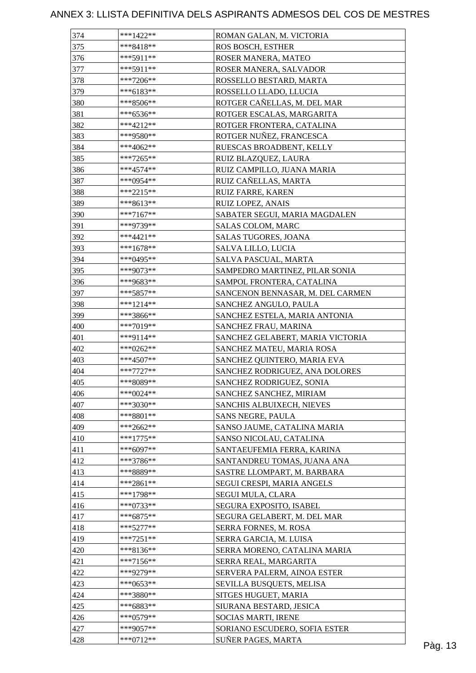| 374        | $***1422**$            | ROMAN GALAN, M. VICTORIA                                   |         |
|------------|------------------------|------------------------------------------------------------|---------|
| 375        | $***8418**$            | <b>ROS BOSCH, ESTHER</b>                                   |         |
| 376        | $***5911**$            | ROSER MANERA, MATEO                                        |         |
| 377        | $***5911**$            | ROSER MANERA, SALVADOR                                     |         |
| 378        | $***7206**$            | ROSSELLO BESTARD, MARTA                                    |         |
| 379        | ***6183**              | ROSSELLO LLADO, LLUCIA                                     |         |
| 380        | ***8506**              | ROTGER CAÑELLAS, M. DEL MAR                                |         |
| 381        | $***6536**$            | ROTGER ESCALAS, MARGARITA                                  |         |
| 382        | $***4212**$            | ROTGER FRONTERA, CATALINA                                  |         |
| 383        | ***9580**              | ROTGER NUÑEZ, FRANCESCA                                    |         |
| 384        | ***4062**              | RUESCAS BROADBENT, KELLY                                   |         |
| 385        | ***7265**              | RUIZ BLAZQUEZ, LAURA                                       |         |
| 386        | $***4574**$            | RUIZ CAMPILLO, JUANA MARIA                                 |         |
| 387        | ***0954**              | RUIZ CAÑELLAS, MARTA                                       |         |
| 388        | ***2215**              | <b>RUIZ FARRE, KAREN</b>                                   |         |
| 389        | $***8613**$            | RUIZ LOPEZ, ANAIS                                          |         |
| 390        | $***7167**$            | SABATER SEGUI, MARIA MAGDALEN                              |         |
| 391        | ***9739**              | SALAS COLOM, MARC                                          |         |
| 392        | ***4421**              | <b>SALAS TUGORES, JOANA</b>                                |         |
| 393        | $***1678**$            | SALVA LILLO, LUCIA                                         |         |
| 394        | ***0495**              | SALVA PASCUAL, MARTA                                       |         |
| 395        | ***9073**              | SAMPEDRO MARTINEZ, PILAR SONIA                             |         |
| 396        | ***9683**              | SAMPOL FRONTERA, CATALINA                                  |         |
| 397        | ***5857**              | SANCENON BENNASAR, M. DEL CARMEN                           |         |
| 398        | $***1214**$            | SANCHEZ ANGULO, PAULA                                      |         |
| 399        | ***3866**              | SANCHEZ ESTELA, MARIA ANTONIA                              |         |
| 400        | ***7019**              | SANCHEZ FRAU, MARINA                                       |         |
| 401        | ***9114**              | SANCHEZ GELABERT, MARIA VICTORIA                           |         |
| 402        | ***0262**              | SANCHEZ MATEU, MARIA ROSA                                  |         |
| 403        | $***4507**$            | SANCHEZ QUINTERO, MARIA EVA                                |         |
| 404        | $***7727**$            | SANCHEZ RODRIGUEZ, ANA DOLORES                             |         |
| 405        | ***8089**              | SANCHEZ RODRIGUEZ, SONIA                                   |         |
| 406        | ***0024**              | SANCHEZ SANCHEZ, MIRIAM                                    |         |
| 407        | $***3030**$            | SANCHIS ALBUIXECH, NIEVES                                  |         |
| 408        | ***8801**              | <b>SANS NEGRE, PAULA</b>                                   |         |
| 409        | ***2662**              | SANSO JAUME, CATALINA MARIA                                |         |
| 410        | $***1775**$            | SANSO NICOLAU, CATALINA                                    |         |
|            | $***6097**$            |                                                            |         |
| 411        |                        | SANTAEUFEMIA FERRA, KARINA                                 |         |
| 412<br>413 | ***3786**<br>***8889** | SANTANDREU TOMAS, JUANA ANA<br>SASTRE LLOMPART, M. BARBARA |         |
| 414        | $***2861**$            |                                                            |         |
|            |                        | SEGUI CRESPI, MARIA ANGELS                                 |         |
| 415        | $***1798**$            | SEGUI MULA, CLARA                                          |         |
| 416        | $***0733**$            | SEGURA EXPOSITO, ISABEL                                    |         |
| 417        | $***6875**$            | SEGURA GELABERT, M. DEL MAR                                |         |
| 418        | $***5277**$            | SERRA FORNES, M. ROSA                                      |         |
| 419        | $***7251**$            | SERRA GARCIA, M. LUISA                                     |         |
| 420        | $***8136**$            | SERRA MORENO, CATALINA MARIA                               |         |
| 421        | $***7156**$            | SERRA REAL, MARGARITA                                      |         |
| 422        | ***9279**              | SERVERA PALERM, AINOA ESTER                                |         |
| 423        | $***0653**$            | SEVILLA BUSQUETS, MELISA                                   |         |
| 424        | ***3880**              | SITGES HUGUET, MARIA                                       |         |
| 425        | ***6883**              | SIURANA BESTARD, JESICA                                    |         |
| 426        | $***0579**$            | SOCIAS MARTI, IRENE                                        |         |
| 427        | $***9057**$            | SORIANO ESCUDERO, SOFIA ESTER                              |         |
| 428        | ***0712**              | SUÑER PAGES, MARTA                                         | Pàg. 13 |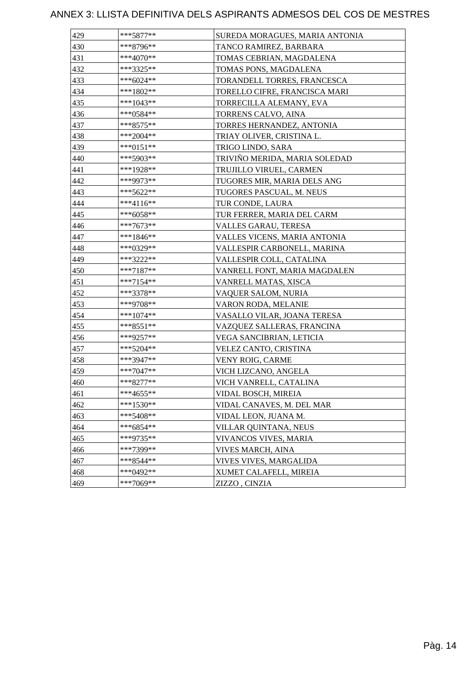| 429 | ***5877**   | SUREDA MORAGUES, MARIA ANTONIA |
|-----|-------------|--------------------------------|
| 430 | $***8796**$ | TANCO RAMIREZ, BARBARA         |
| 431 | ***4070**   | TOMAS CEBRIAN, MAGDALENA       |
| 432 | ***3325**   | TOMAS PONS, MAGDALENA          |
| 433 | ***6024**   | TORANDELL TORRES, FRANCESCA    |
| 434 | $***1802**$ | TORELLO CIFRE, FRANCISCA MARI  |
| 435 | ***1043**   | TORRECILLA ALEMANY, EVA        |
| 436 | ***0584**   | TORRENS CALVO, AINA            |
| 437 | ***8575**   | TORRES HERNANDEZ, ANTONIA      |
| 438 | ***2004**   | TRIAY OLIVER, CRISTINA L.      |
| 439 | ***0151**   | TRIGO LINDO, SARA              |
| 440 | ***5903**   | TRIVIÑO MERIDA, MARIA SOLEDAD  |
| 441 | ***1928**   | TRUJILLO VIRUEL, CARMEN        |
| 442 | ***9973**   | TUGORES MIR, MARIA DELS ANG    |
| 443 | ***5622**   | TUGORES PASCUAL, M. NEUS       |
| 444 | ***4116**   | TUR CONDE, LAURA               |
| 445 | ***6058**   | TUR FERRER, MARIA DEL CARM     |
| 446 | ***7673**   | VALLES GARAU, TERESA           |
| 447 | ***1846**   | VALLES VICENS, MARIA ANTONIA   |
| 448 | ***0329**   | VALLESPIR CARBONELL, MARINA    |
| 449 | ***3222**   | VALLESPIR COLL, CATALINA       |
| 450 | ***7187**   | VANRELL FONT, MARIA MAGDALEN   |
| 451 | ***7154**   | VANRELL MATAS, XISCA           |
| 452 | ***3378**   | VAQUER SALOM, NURIA            |
| 453 | ***9708**   | VARON RODA, MELANIE            |
| 454 | ***1074**   | VASALLO VILAR, JOANA TERESA    |
| 455 | ***8551**   | VAZQUEZ SALLERAS, FRANCINA     |
| 456 | ***9257**   | VEGA SANCIBRIAN, LETICIA       |
| 457 | ***5204**   | VELEZ CANTO, CRISTINA          |
| 458 | ***3947**   | VENY ROIG, CARME               |
| 459 | $***7047**$ | VICH LIZCANO, ANGELA           |
| 460 | ***8277**   | VICH VANRELL, CATALINA         |
| 461 | ***4655**   | VIDAL BOSCH, MIREIA            |
| 462 | ***1530**   | VIDAL CANAVES, M. DEL MAR      |
| 463 | $***5408**$ | VIDAL LEON, JUANA M.           |
| 464 | $***6854**$ | VILLAR QUINTANA, NEUS          |
| 465 | ***9735**   | VIVANCOS VIVES, MARIA          |
| 466 | ***7399**   | VIVES MARCH, AINA              |
| 467 | ***8544**   | VIVES VIVES, MARGALIDA         |
| 468 | ***0492**   | XUMET CALAFELL, MIREIA         |
| 469 | ***7069**   | ZIZZO, CINZIA                  |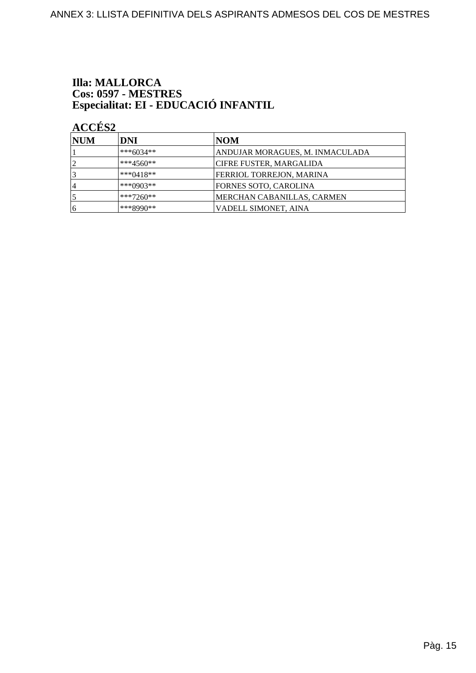# **Illa: MALLORCA** Cos: 0597 - MESTRES<br>Especialitat: EI - EDUCACIÓ INFANTIL

| NUM            | DNI         | NOM                             |
|----------------|-------------|---------------------------------|
|                | ***6034**   | ANDUJAR MORAGUES, M. INMACULADA |
| 12             | $***4560**$ | CIFRE FUSTER, MARGALIDA         |
| $\overline{3}$ | $***0418**$ | FERRIOL TORREJON, MARINA        |
| 4              | ***0903**   | FORNES SOTO, CAROLINA           |
|                | ***7260**   | MERCHAN CABANILLAS, CARMEN      |
| 16             | ***8990**   | VADELL SIMONET, AINA            |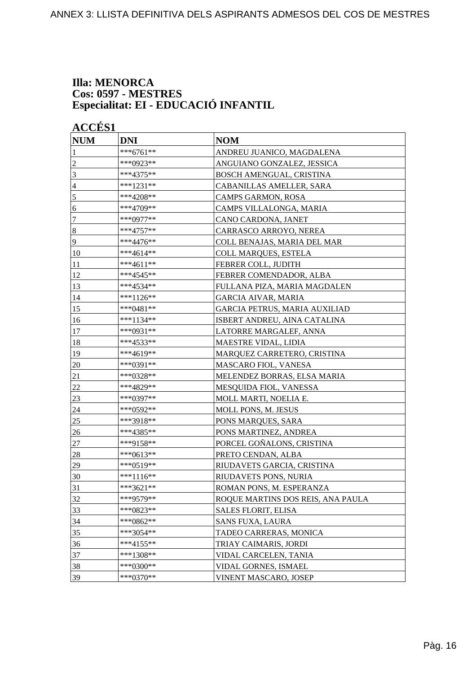#### **Illa: MENORCA Cos: 0597 - MESTRES Especialitat: EI - EDUCACIÓ INFANTIL**

**ACCÉS 1 NUM DNI NOM** \*\*\*6761\*\* ANDREU JUANICO, MAGDALENA 2 \*\*\*0923\*\* ANGUIANO GONZALEZ, JESSICA 3 \*\*\*4375\*\* BOSCH AMENGUAL, CRISTINA 4 \*\*\*1231\*\* CABANILLAS AMELLER, SARA  $\sim$  \*\*\*4208\*\* CAMPS GARMON, ROSA  $6$  \*\*\*4709\*\* CAMPS VILLALONGA, MARIA 7 \*\*\*0977\*\* CANO CARDONA, JANET 8 \*\*\*4757\*\* CARRASCO ARROYO, NEREA 9 \*\*\*4476\*\* COLL BENAJAS, MARIA DEL MAR 10 \*\*\*4614\*\* COLL MARQUES, ESTELA 11 \*\*\* 4611\*\* **FEBRER COLL, JUDITH** 12 \*\*\*4545\*\* FEBRER COMENDADOR, ALBA 13 \*\*\*4534\*\* FULLANA PIZA, MARIA MAGDALEN  $|^{***}1126***$  GARCIA AIVAR, MARIA 15 \*\*\*0481\*\* GARCIA PETRUS, MARIA AUXILIAD 16 \*\*\*\*1134\*\* ISBERT ANDREU, AINA CATALINA 17  $|***0931***$  LATORRE MARGALEF, ANNA 18 \*\*\*4533\*\* MAESTRE VIDAL, LIDIA 19  $|***4619**$  MARQUEZ CARRETERO, CRISTINA 20 \*\*\*0391\*\* MASCARO FIOL, VANESA 21 \*\*\*0328\*\* MELENDEZ BORRAS, ELSA MARIA 22 \*\*\*4829\*\* MESQUIDA FIOL, VANESSA 23 **\*\*\*0397\*\*** MOLL MARTI, NOELIA E. 24 \*\*\*0592\*\* MOLL PONS, M. JESUS 25 \*\*\*3918\*\* PONS MARQUES, SARA 26 \*\*\*4385\*\* PONS MARTINEZ, ANDREA 27 \*\*\*9158\*\* PORCEL GOÑALONS, CRISTINA 28 \*\*\*0613\*\* PRETO CENDAN, ALBA 29 **\*\*\*0519\*\*** RIUDAVETS GARCIA, CRISTINA 30 \*\*\*1116\*\* RIUDAVETS PONS, NURIA 31  $|***3621**$  ROMAN PONS, M. ESPERANZA 32 \*\*\*9579\*\* ROQUE MARTINS DOS REIS, ANA PAULA 33 \*\*\* 0823\*\* SALES FLORIT, ELISA 34 \*\*\*0862\*\* SANS FUXA, LAURA 35 \*\*\*3054\*\* TADEO CARRERAS, MONICA 36 \*\*\* 4155\*\* TRIAY CAIMARIS, JORDI 37 \*\*\*1308\*\* VIDAL CARCELEN, TANIA 38 \*\*\*0300\*\* VIDAL GORNES, ISMAEL 39 \*\*\*0370\*\* VINENT MASCARO, JOSEP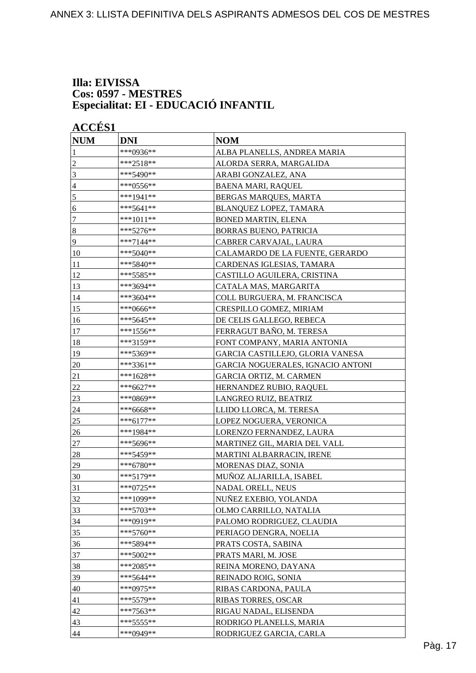#### **Illa: EIVISSA Cos: 0597 - MESTRES Especialitat: EI - EDUCACIÓ INFANTIL**

| <b>ACCÉS 1</b><br><b>NUM</b> | <b>DNI</b>  | <b>NOM</b>                        |
|------------------------------|-------------|-----------------------------------|
| 1                            | ***0936**   | ALBA PLANELLS, ANDREA MARIA       |
| 2                            | ***2518**   | ALORDA SERRA, MARGALIDA           |
| 3                            | ***5490**   | ARABI GONZALEZ, ANA               |
| 4                            | ***0556**   | <b>BAENA MARI, RAQUEL</b>         |
| 5                            | ***1941**   | BERGAS MARQUES, MARTA             |
| 6                            | ***5641**   | BLANQUEZ LOPEZ, TAMARA            |
| 7                            | $***1011**$ | <b>BONED MARTIN, ELENA</b>        |
| $\boldsymbol{8}$             | ***5276**   | <b>BORRAS BUENO, PATRICIA</b>     |
| 9                            | ***7144**   | CABRER CARVAJAL, LAURA            |
|                              | $***5040**$ |                                   |
| 10                           |             | CALAMARDO DE LA FUENTE, GERARDO   |
| 11                           | ***5840**   | CARDENAS IGLESIAS, TAMARA         |
| 12                           | ***5585**   | CASTILLO AGUILERA, CRISTINA       |
| 13                           | ***3694**   | CATALA MAS, MARGARITA             |
| 14                           | ***3604**   | COLL BURGUERA, M. FRANCISCA       |
| 15                           | ***0666**   | CRESPILLO GOMEZ, MIRIAM           |
| 16                           | ***5645**   | DE CELIS GALLEGO, REBECA          |
| 17                           | ***1556**   | FERRAGUT BAÑO, M. TERESA          |
| 18                           | ***3159**   | FONT COMPANY, MARIA ANTONIA       |
| 19                           | ***5369**   | GARCIA CASTILLEJO, GLORIA VANESA  |
| 20                           | ***3361**   | GARCIA NOGUERALES, IGNACIO ANTONI |
| 21                           | ***1628**   | GARCIA ORTIZ, M. CARMEN           |
| 22                           | ***6627**   | HERNANDEZ RUBIO, RAQUEL           |
| 23                           | ***0869**   | LANGREO RUIZ, BEATRIZ             |
| 24                           | ***6668**   | LLIDO LLORCA, M. TERESA           |
| 25                           | ***6177**   | LOPEZ NOGUERA, VERONICA           |
| 26                           | ***1984**   | LORENZO FERNANDEZ, LAURA          |
| 27                           | ***5696**   | MARTINEZ GIL, MARIA DEL VALL      |
| 28                           | ***5459**   | MARTINI ALBARRACIN, IRENE         |
| 29                           | ***6780**   | MORENAS DIAZ, SONIA               |
| 30                           | ***5179**   | MUÑOZ ALJARILLA, ISABEL           |
| 31                           | ***0725**   | <b>NADAL ORELL, NEUS</b>          |
| 32                           | ***1099**   | NUÑEZ EXEBIO, YOLANDA             |
| 33                           | ***5703**   | OLMO CARRILLO, NATALIA            |
| 34                           | ***0919**   | PALOMO RODRIGUEZ, CLAUDIA         |
| 35                           | $***5760**$ | PERIAGO DENGRA, NOELIA            |
| 36                           | ***5894**   | PRATS COSTA, SABINA               |
| 37                           | ***5002**   | PRATS MARI, M. JOSE               |
| 38                           | ***2085**   | REINA MORENO, DAYANA              |
| 39                           | $***5644**$ | REINADO ROIG, SONIA               |
| 40                           | ***0975**   | RIBAS CARDONA, PAULA              |
| 41                           | ***5579**   | RIBAS TORRES, OSCAR               |
| 42                           | ***7563**   | RIGAU NADAL, ELISENDA             |
| 43                           | ***5555**   | RODRIGO PLANELLS, MARIA           |
| 44                           | ***0949**   | RODRIGUEZ GARCIA, CARLA           |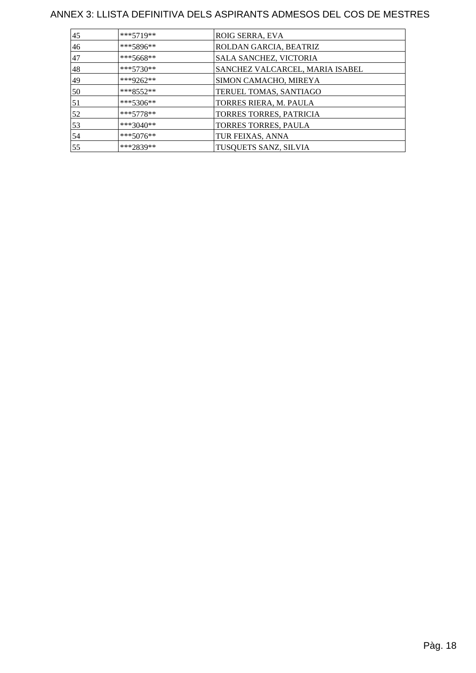| 45 | ***5719**   | ROIG SERRA, EVA                 |
|----|-------------|---------------------------------|
| 46 | ***5896**   | ROLDAN GARCIA, BEATRIZ          |
| 47 | ***5668**   | SALA SANCHEZ, VICTORIA          |
| 48 | $***5730**$ | SANCHEZ VALCARCEL, MARIA ISABEL |
| 49 | ***9262**   | SIMON CAMACHO, MIREYA           |
| 50 | $***8552**$ | TERUEL TOMAS, SANTIAGO          |
| 51 | $***5306**$ | TORRES RIERA, M. PAULA          |
| 52 | $***5778**$ | TORRES TORRES, PATRICIA         |
| 53 | ***3040**   | TORRES TORRES, PAULA            |
| 54 | $***5076**$ | TUR FEIXAS, ANNA                |
| 55 | ***2839**   | TUSQUETS SANZ, SILVIA           |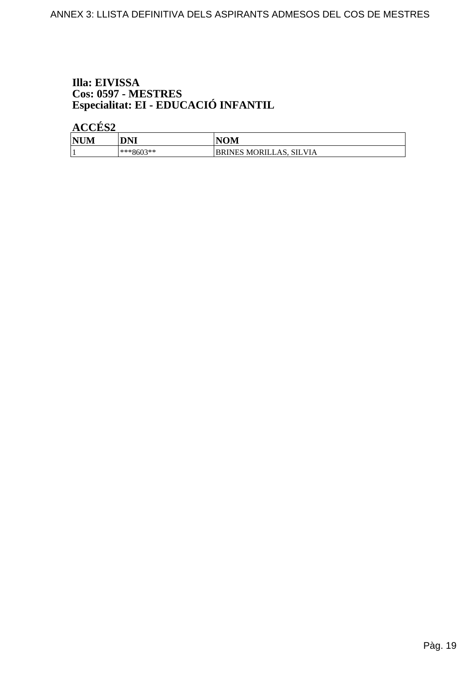# Illa: EIVISSA Cos: 0597 - MESTRES<br>Especialitat: EI - EDUCACIÓ INFANTIL

| <b>NUM</b> | DNI       | <b>NOM</b>              |
|------------|-----------|-------------------------|
|            | ***8603** | BRINES MORILLAS, SILVIA |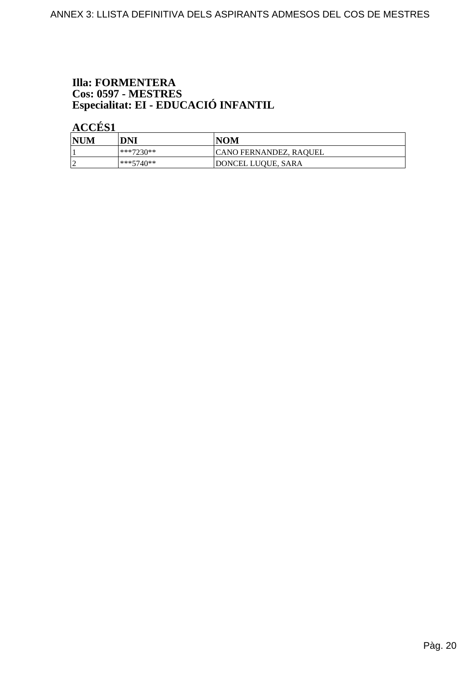# **Illa: FORMENTERA** Cos: 0597 - MESTRES<br>Especialitat: EI - EDUCACIÓ INFANTIL

| <b>NUM</b> | DNI       | <b>NOM</b>             |
|------------|-----------|------------------------|
|            | ***7230** | CANO FERNANDEZ, RAQUEL |
|            | ***5740** | DONCEL LUQUE, SARA     |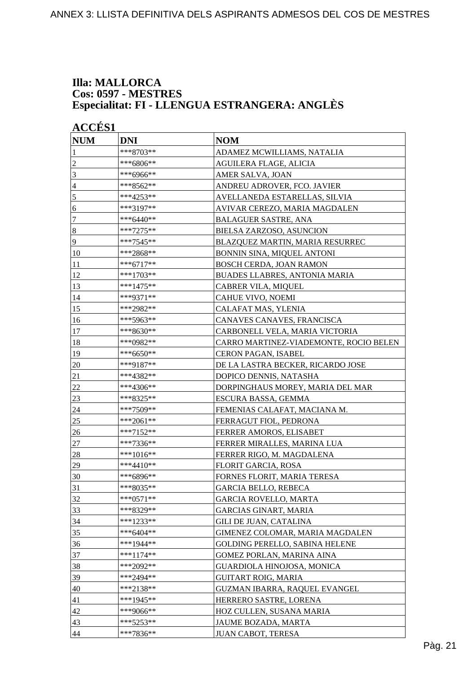#### **Illa: MALLORCA Cos: 0597 - MESTRES Especialitat: FI - LLENGUA ESTRANGERA: ANGLÈS**

| <b>ACCES 1</b>   |             |                                        |
|------------------|-------------|----------------------------------------|
| <b>NUM</b>       | <b>DNI</b>  | <b>NOM</b>                             |
| 1                | ***8703**   | ADAMEZ MCWILLIAMS, NATALIA             |
| $\overline{2}$   | ***6806**   | AGUILERA FLAGE, ALICIA                 |
| 3                | ***6966**   | AMER SALVA, JOAN                       |
| $\overline{4}$   | ***8562**   | ANDREU ADROVER, FCO. JAVIER            |
| $\sqrt{5}$       | ***4253**   | AVELLANEDA ESTARELLAS, SILVIA          |
| 6                | ***3197**   | AVIVAR CEREZO, MARIA MAGDALEN          |
| $\tau$           | ***6440**   | <b>BALAGUER SASTRE, ANA</b>            |
| $\boldsymbol{8}$ | $***7275**$ | BIELSA ZARZOSO, ASUNCION               |
| 9                | ***7545**   | BLAZQUEZ MARTIN, MARIA RESURREC        |
| 10               | ***2868**   | BONNIN SINA, MIQUEL ANTONI             |
| 11               | ***6717**   | BOSCH CERDA, JOAN RAMON                |
| 12               | ***1703**   | BUADES LLABRES, ANTONIA MARIA          |
| 13               | ***1475**   | CABRER VILA, MIQUEL                    |
| 14               | ***9371**   | <b>CAHUE VIVO, NOEMI</b>               |
| 15               | ***2982**   | CALAFAT MAS, YLENIA                    |
| 16               | ***5963**   | CANAVES CANAVES, FRANCISCA             |
| 17               | ***8630**   | CARBONELL VELA, MARIA VICTORIA         |
| 18               | ***0982**   | CARRO MARTINEZ-VIADEMONTE, ROCIO BELEN |
| 19               | ***6650**   | <b>CERON PAGAN, ISABEL</b>             |
| 20               | ***9187**   | DE LA LASTRA BECKER, RICARDO JOSE      |
| 21               | ***4382**   | DOPICO DENNIS, NATASHA                 |
| 22               | ***4306**   | DORPINGHAUS MOREY, MARIA DEL MAR       |
| 23               | ***8325**   | ESCURA BASSA, GEMMA                    |
| 24               | ***7509**   | FEMENIAS CALAFAT, MACIANA M.           |
| 25               | ***2061**   | FERRAGUT FIOL, PEDRONA                 |
| 26               | ***7152**   | FERRER AMOROS, ELISABET                |
| 27               | ***7336**   | FERRER MIRALLES, MARINA LUA            |
| 28               | ***1016**   | FERRER RIGO, M. MAGDALENA              |
| 29               | ***4410**   | FLORIT GARCIA, ROSA                    |
| 30               | ***6896**   | FORNES FLORIT, MARIA TERESA            |
| 31               | ***8035**   | <b>GARCIA BELLO, REBECA</b>            |
| 32               | $***0571**$ | <b>GARCIA ROVELLO, MARTA</b>           |
| 33               | ***8329**   | <b>GARCIAS GINART, MARIA</b>           |
| 34               | ***1233**   | GILI DE JUAN, CATALINA                 |
| 35               | $***6404**$ | GIMENEZ COLOMAR, MARIA MAGDALEN        |
| 36               | ***1944**   | <b>GOLDING PERELLO, SABINA HELENE</b>  |
| 37               | ***1174**   | GOMEZ PORLAN, MARINA AINA              |
| 38               | ***2092**   | GUARDIOLA HINOJOSA, MONICA             |
| 39               | ***2494**   | <b>GUITART ROIG, MARIA</b>             |
| 40               | ***2138**   | GUZMAN IBARRA, RAQUEL EVANGEL          |
| 41               | ***1945**   | HERRERO SASTRE, LORENA                 |
| 42               | ***9066**   | HOZ CULLEN, SUSANA MARIA               |
| 43               | ***5253**   | JAUME BOZADA, MARTA                    |
| 44               | ***7836**   | JUAN CABOT, TERESA                     |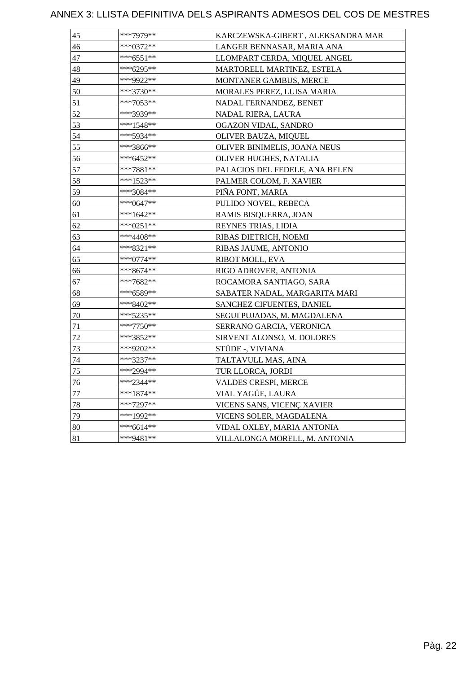| 45 | ***7979** | KARCZEWSKA-GIBERT, ALEKSANDRA MAR |
|----|-----------|-----------------------------------|
| 46 | ***0372** | LANGER BENNASAR, MARIA ANA        |
| 47 | ***6551** | LLOMPART CERDA, MIQUEL ANGEL      |
| 48 | ***6295** | MARTORELL MARTINEZ, ESTELA        |
| 49 | ***9922** | MONTANER GAMBUS, MERCE            |
| 50 | ***3730** | MORALES PEREZ, LUISA MARIA        |
| 51 | ***7053** | NADAL FERNANDEZ, BENET            |
| 52 | ***3939** | NADAL RIERA, LAURA                |
| 53 | ***1548** | OGAZON VIDAL, SANDRO              |
| 54 | ***5934** | OLIVER BAUZA, MIQUEL              |
| 55 | ***3866** | OLIVER BINIMELIS, JOANA NEUS      |
| 56 | ***6452** | OLIVER HUGHES, NATALIA            |
| 57 | ***7881** | PALACIOS DEL FEDELE, ANA BELEN    |
| 58 | ***1523** | PALMER COLOM, F. XAVIER           |
| 59 | ***3084** | PIÑA FONT, MARIA                  |
| 60 | ***0647** | PULIDO NOVEL, REBECA              |
| 61 | ***1642** | RAMIS BISQUERRA, JOAN             |
| 62 | ***0251** | REYNES TRIAS, LIDIA               |
| 63 | ***4408** | RIBAS DIETRICH, NOEMI             |
| 64 | ***8321** | RIBAS JAUME, ANTONIO              |
| 65 | ***0774** | RIBOT MOLL, EVA                   |
| 66 | ***8674** | RIGO ADROVER, ANTONIA             |
| 67 | ***7682** | ROCAMORA SANTIAGO, SARA           |
| 68 | ***6589** | SABATER NADAL, MARGARITA MARI     |
| 69 | ***8402** | SANCHEZ CIFUENTES, DANIEL         |
| 70 | ***5235** | SEGUI PUJADAS, M. MAGDALENA       |
| 71 | ***7750** | SERRANO GARCIA, VERONICA          |
| 72 | ***3852** | SIRVENT ALONSO, M. DOLORES        |
| 73 | ***9202** | STÜDE -, VIVIANA                  |
| 74 | ***3237** | TALTAVULL MAS, AINA               |
| 75 | ***2994** | TUR LLORCA, JORDI                 |
| 76 | ***2344** | VALDES CRESPI, MERCE              |
| 77 | ***1874** | VIAL YAGÜE, LAURA                 |
| 78 | ***7297** | VICENS SANS, VICENÇ XAVIER        |
| 79 | ***1992** | VICENS SOLER, MAGDALENA           |
| 80 | ***6614** | VIDAL OXLEY, MARIA ANTONIA        |
| 81 | ***9481** | VILLALONGA MORELL, M. ANTONIA     |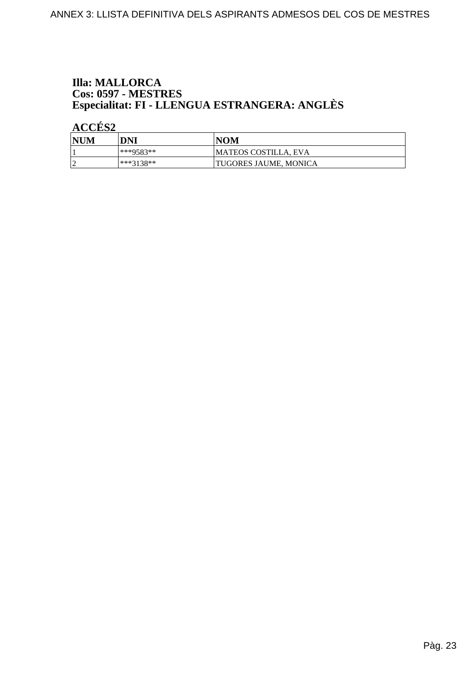# **Illa: MALLORCA** Cos: 0597 - MESTRES<br>Especialitat: FI - LLENGUA ESTRANGERA: ANGLÈS

| NUM | DNI       | <b>NOM</b>            |
|-----|-----------|-----------------------|
|     | ***9583** | MATEOS COSTILLA, EVA  |
|     | ***3138** | TUGORES JAUME, MONICA |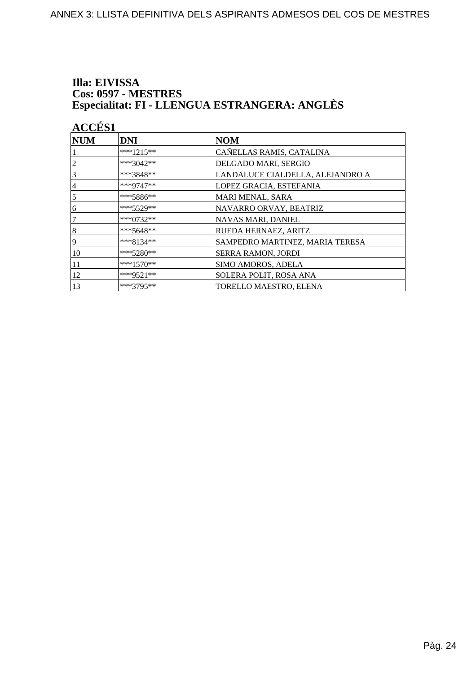#### Illa: EIVISSA **Cos: 0597 - MESTRES** Especialitat: FI - LLENGUA ESTRANGERA: ANGLÈS

| <b>ACCÉS 1</b>   |             |                                  |
|------------------|-------------|----------------------------------|
| <b>NUM</b>       | <b>DNI</b>  | <b>NOM</b>                       |
|                  | $***1215**$ | CAÑELLAS RAMIS, CATALINA         |
|                  | $***3042**$ | DELGADO MARI, SERGIO             |
| 3                | ***3848**   | LANDALUCE CIALDELLA, ALEJANDRO A |
| 4                | ***9747**   | LOPEZ GRACIA, ESTEFANIA          |
| 5                | $***5886**$ | MARI MENAL, SARA                 |
| 6                | $***5529**$ | NAVARRO ORVAY, BEATRIZ           |
|                  | ***0732**   | NAVAS MARI, DANIEL               |
| $\boldsymbol{8}$ | $***5648**$ | RUEDA HERNAEZ, ARITZ             |
| 9                | $***8134**$ | SAMPEDRO MARTINEZ, MARIA TERESA  |
| 10               | ***5280**   | SERRA RAMON, JORDI               |
| 11               | $***1570**$ | SIMO AMOROS, ADELA               |
| 12               | ***9521**   | SOLERA POLIT, ROSA ANA           |
| 13               | $***3795**$ | TORELLO MAESTRO, ELENA           |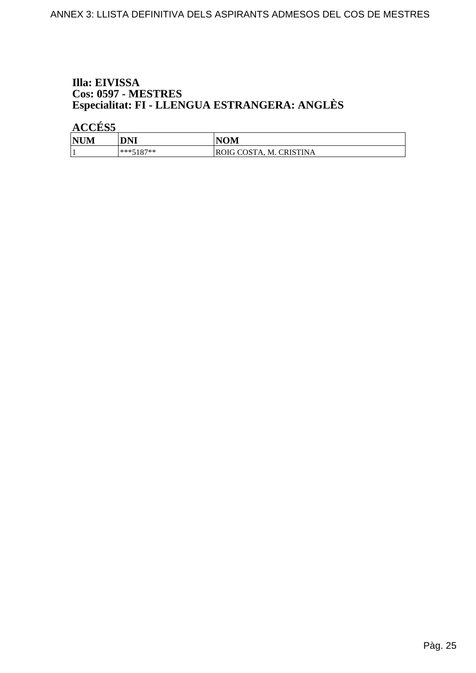#### Illa: EIVISSA **Cos: 0597 - MESTRES** Especialitat: FI - LLENGUA ESTRANGERA: ANGLÈS

| <b>NUM</b> | DNI         | <b>NOM</b>              |
|------------|-------------|-------------------------|
|            | $***5187**$ | ROIG COSTA, M. CRISTINA |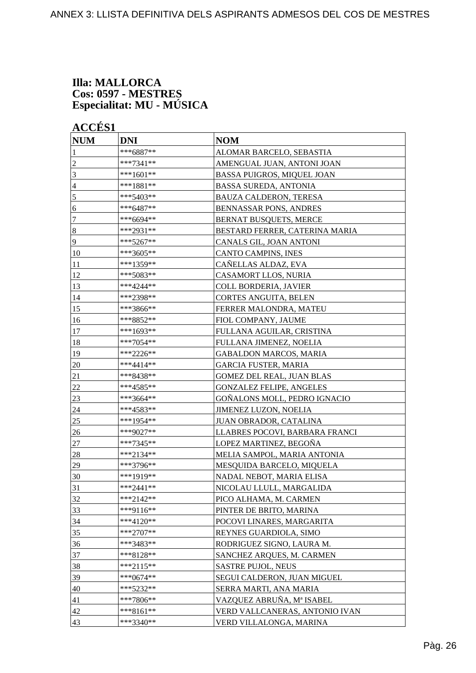#### **Illa: MALLORCA Cos: 0597 - MESTRES Especialitat: MU - MÚSICA**

| <b>NUM</b>       | <b>DNI</b>  | <b>NOM</b>                        |
|------------------|-------------|-----------------------------------|
| 1                | ***6887**   | ALOMAR BARCELO, SEBASTIA          |
| $\overline{2}$   | ***7341**   | AMENGUAL JUAN, ANTONI JOAN        |
| 3                | ***1601**   | <b>BASSA PUIGROS, MIQUEL JOAN</b> |
| $\overline{4}$   | ***1881**   | <b>BASSA SUREDA, ANTONIA</b>      |
| $\mathfrak s$    | ***5403**   | <b>BAUZA CALDERON, TERESA</b>     |
| 6                | ***6487**   | <b>BENNASSAR PONS, ANDRES</b>     |
| 7                | ***6694**   | <b>BERNAT BUSQUETS, MERCE</b>     |
| $\boldsymbol{8}$ | ***2931**   | BESTARD FERRER, CATERINA MARIA    |
| 9                | ***5267**   | CANALS GIL, JOAN ANTONI           |
| 10               | ***3605**   | CANTO CAMPINS, INES               |
| 11               | ***1359**   | CAÑELLAS ALDAZ, EVA               |
| 12               | ***5083**   | CASAMORT LLOS, NURIA              |
| 13               | ***4244**   | COLL BORDERIA, JAVIER             |
| 14               | ***2398**   | CORTES ANGUITA, BELEN             |
| 15               | ***3866**   | FERRER MALONDRA, MATEU            |
| 16               | ***8852**   | FIOL COMPANY, JAUME               |
| 17               | ***1693**   | FULLANA AGUILAR, CRISTINA         |
| 18               | ***7054**   | FULLANA JIMENEZ, NOELIA           |
| 19               | ***2226**   | <b>GABALDON MARCOS, MARIA</b>     |
| 20               | ***4414**   | <b>GARCIA FUSTER, MARIA</b>       |
| 21               | ***8438**   | GOMEZ DEL REAL, JUAN BLAS         |
| 22               | ***4585**   | <b>GONZALEZ FELIPE, ANGELES</b>   |
| 23               | ***3664**   | GOÑALONS MOLL, PEDRO IGNACIO      |
| 24               | ***4583**   | <b>JIMENEZ LUZON, NOELIA</b>      |
| 25               | ***1954**   | JUAN OBRADOR, CATALINA            |
| 26               | ***9027**   | LLABRES POCOVI, BARBARA FRANCI    |
| $27\,$           | ***7345**   | LOPEZ MARTINEZ, BEGOÑA            |
| 28               | ***2134**   | MELIA SAMPOL, MARIA ANTONIA       |
| 29               | ***3796**   | MESQUIDA BARCELO, MIQUELA         |
| 30               | ***1919**   | NADAL NEBOT, MARIA ELISA          |
| 31               | ***2441**   | NICOLAU LLULL. MARGALIDA          |
| 32               | ***2142**   | PICO ALHAMA, M. CARMEN            |
| 33               | ***9116**   | PINTER DE BRITO, MARINA           |
| 34               | ***4120**   | POCOVI LINARES, MARGARITA         |
| 35               | $***2707**$ | REYNES GUARDIOLA, SIMO            |
| 36               | ***3483**   | RODRIGUEZ SIGNO, LAURA M.         |
| 37               | ***8128**   | SANCHEZ ARQUES, M. CARMEN         |
| 38               | $***2115**$ | SASTRE PUJOL, NEUS                |
| 39               | ***0674**   | SEGUI CALDERON, JUAN MIGUEL       |
| 40               | ***5232**   | SERRA MARTI, ANA MARIA            |
| 41               | ***7806**   | VAZQUEZ ABRUÑA, Mª ISABEL         |
| 42               | ***8161**   | VERD VALLCANERAS, ANTONIO IVAN    |
| 43               | ***3340**   | VERD VILLALONGA, MARINA           |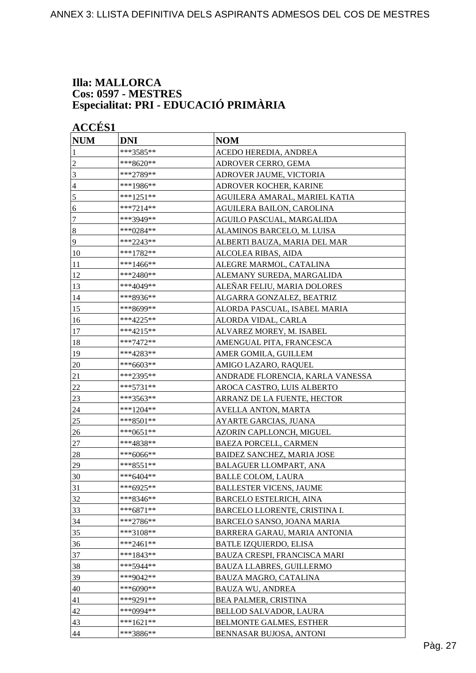#### **Illa: MALLORCA Cos: 0597 - MESTRES Especialitat: PRI - EDUCACIÓ PRIMÀRIA**

| <b>ACCÉS 1</b> |             |                                  |
|----------------|-------------|----------------------------------|
| <b>NUM</b>     | <b>DNI</b>  | <b>NOM</b>                       |
| 1              | ***3585**   | ACEDO HEREDIA, ANDREA            |
| $\overline{c}$ | ***8620**   | ADROVER CERRO, GEMA              |
| 3              | ***2789**   | ADROVER JAUME, VICTORIA          |
| $\overline{4}$ | ***1986**   | ADROVER KOCHER, KARINE           |
| 5              | ***1251**   | AGUILERA AMARAL, MARIEL KATIA    |
| 6              | $***7214**$ | AGUILERA BAILON, CAROLINA        |
| $\tau$         | ***3949**   | AGUILO PASCUAL, MARGALIDA        |
| $\vert 8$      | ***0284**   | ALAMINOS BARCELO, M. LUISA       |
| $\overline{9}$ | ***2243**   | ALBERTI BAUZA, MARIA DEL MAR     |
| 10             | ***1782**   | ALCOLEA RIBAS, AIDA              |
| 11             | $***1466**$ | ALEGRE MARMOL, CATALINA          |
| 12             | ***2480**   | ALEMANY SUREDA, MARGALIDA        |
| 13             | ***4049**   | ALEÑAR FELIU, MARIA DOLORES      |
| 14             | ***8936**   | ALGARRA GONZALEZ, BEATRIZ        |
| 15             | ***8699**   | ALORDA PASCUAL, ISABEL MARIA     |
| 16             | ***4225**   | ALORDA VIDAL, CARLA              |
| 17             | ***4215**   | ALVAREZ MOREY, M. ISABEL         |
| 18             | ***7472**   | AMENGUAL PITA, FRANCESCA         |
| 19             | ***4283**   | AMER GOMILA, GUILLEM             |
| 20             | ***6603**   | AMIGO LAZARO, RAQUEL             |
| 21             | ***2395**   | ANDRADE FLORENCIA, KARLA VANESSA |
| $22\,$         | ***5731**   | AROCA CASTRO, LUIS ALBERTO       |
| 23             | ***3563**   | ARRANZ DE LA FUENTE, HECTOR      |
| 24             | ***1204**   | AVELLA ANTON, MARTA              |
| 25             | ***8501**   | AYARTE GARCIAS, JUANA            |
| 26             | ***0651**   | AZORIN CAPLLONCH, MIGUEL         |
| 27             | ***4838**   | <b>BAEZA PORCELL, CARMEN</b>     |
| 28             | ***6066**   | BAIDEZ SANCHEZ, MARIA JOSE       |
| 29             | ***8551**   | BALAGUER LLOMPART, ANA           |
| 30             | ***6404**   | <b>BALLE COLOM, LAURA</b>        |
| 31             | ***6925**   | <b>BALLESTER VICENS, JAUME</b>   |
| 32             | ***8346**   | <b>BARCELO ESTELRICH, AINA</b>   |
| 33             | $***6871**$ | BARCELO LLORENTE, CRISTINA I.    |
| 34             | ***2786**   | BARCELO SANSO, JOANA MARIA       |
| 35             | ***3108**   | BARRERA GARAU, MARIA ANTONIA     |
| 36             | ***2461**   | <b>BATLE IZQUIERDO, ELISA</b>    |
| 37             | ***1843**   | BAUZA CRESPI, FRANCISCA MARI     |
| 38             | ***5944**   | <b>BAUZA LLABRES, GUILLERMO</b>  |
| 39             | ***9042**   | BAUZA MAGRO, CATALINA            |
| 40             | ***6090**   | <b>BAUZA WU, ANDREA</b>          |
| 41             | ***9291**   | <b>BEA PALMER, CRISTINA</b>      |
| 42             | ***0994**   | <b>BELLOD SALVADOR, LAURA</b>    |
| 43             | ***1621**   | <b>BELMONTE GALMES, ESTHER</b>   |
| 44             | ***3886**   | BENNASAR BUJOSA, ANTONI          |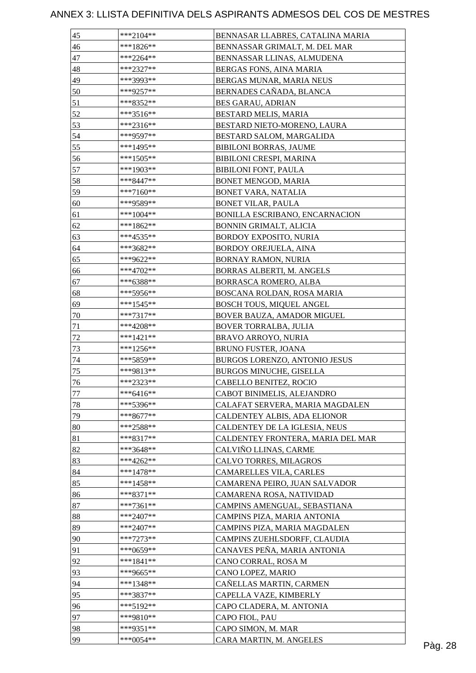| 45     | $***2104**$ | BENNASAR LLABRES, CATALINA MARIA  |         |
|--------|-------------|-----------------------------------|---------|
| 46     | $***1826**$ | BENNASSAR GRIMALT, M. DEL MAR     |         |
| 47     | $***2264**$ | BENNASSAR LLINAS, ALMUDENA        |         |
| 48     | ***2327**   | BERGAS FONS, AINA MARIA           |         |
| 49     | ***3993**   | BERGAS MUNAR, MARIA NEUS          |         |
| 50     | ***9257**   | BERNADES CAÑADA, BLANCA           |         |
| 51     | ***8352**   | <b>BES GARAU, ADRIAN</b>          |         |
| 52     | ***3516**   | BESTARD MELIS, MARIA              |         |
| 53     | ***2316**   | BESTARD NIETO-MORENO, LAURA       |         |
| 54     | ***9597**   | BESTARD SALOM, MARGALIDA          |         |
| 55     | ***1495**   | <b>BIBILONI BORRAS, JAUME</b>     |         |
| 56     | ***1505**   | BIBILONI CRESPI, MARINA           |         |
| 57     | ***1903**   | <b>BIBILONI FONT, PAULA</b>       |         |
| 58     | ***8447**   | BONET MENGOD, MARIA               |         |
| 59     | ***7160**   | BONET VARA, NATALIA               |         |
| 60     | ***9589**   | <b>BONET VILAR, PAULA</b>         |         |
| 61     | ***1004**   | BONILLA ESCRIBANO, ENCARNACION    |         |
| 62     | $***1862**$ | BONNIN GRIMALT, ALICIA            |         |
| 63     | ***4535**   | BORDOY EXPOSITO, NURIA            |         |
| 64     | ***3682**   | <b>BORDOY OREJUELA, AINA</b>      |         |
| 65     | ***9622**   | BORNAY RAMON, NURIA               |         |
| 66     | ***4702**   | BORRAS ALBERTI, M. ANGELS         |         |
| 67     | ***6388**   | BORRASCA ROMERO, ALBA             |         |
| 68     | ***5956**   | BOSCANA ROLDAN, ROSA MARIA        |         |
| 69     | ***1545**   | BOSCH TOUS, MIQUEL ANGEL          |         |
| 70     | $***7317**$ | BOVER BAUZA, AMADOR MIGUEL        |         |
| 71     | ***4208**   | BOVER TORRALBA, JULIA             |         |
| $72\,$ | $***1421**$ | <b>BRAVO ARROYO, NURIA</b>        |         |
| 73     | $***1256**$ | BRUNO FUSTER, JOANA               |         |
| 74     | ***5859**   | BURGOS LORENZO, ANTONIO JESUS     |         |
| 75     | ***9813**   | BURGOS MINUCHE, GISELLA           |         |
| 76     | ***2323**   | CABELLO BENITEZ, ROCIO            |         |
| 77     | $***6416**$ | CABOT BINIMELIS, ALEJANDRO        |         |
| 78     | ***5396**   | CALAFAT SERVERA, MARIA MAGDALEN   |         |
| 79     | ***8677**   | CALDENTEY ALBIS, ADA ELIONOR      |         |
|        | ***2588**   |                                   |         |
| 80     |             | CALDENTEY DE LA IGLESIA, NEUS     |         |
| 81     | $***8317**$ | CALDENTEY FRONTERA, MARIA DEL MAR |         |
| 82     | ***3648**   | CALVIÑO LLINAS, CARME             |         |
| 83     | ***4262**   | CALVO TORRES, MILAGROS            |         |
| 84     | $***1478**$ | <b>CAMARELLES VILA, CARLES</b>    |         |
| 85     | $***1458**$ | CAMARENA PEIRO, JUAN SALVADOR     |         |
| 86     | $***8371**$ | CAMARENA ROSA, NATIVIDAD          |         |
| 87     | $***7361**$ | CAMPINS AMENGUAL, SEBASTIANA      |         |
| 88     | $***2407**$ | CAMPINS PIZA, MARIA ANTONIA       |         |
| 89     | $***2407**$ | CAMPINS PIZA, MARIA MAGDALEN      |         |
| 90     | $***7273**$ | CAMPINS ZUEHLSDORFF, CLAUDIA      |         |
| 91     | ***0659**   | CANAVES PEÑA, MARIA ANTONIA       |         |
| 92     | $***1841**$ | CANO CORRAL, ROSA M               |         |
| 93     | ***9665**   | CANO LOPEZ, MARIO                 |         |
| 94     | $***1348**$ | CAÑELLAS MARTIN, CARMEN           |         |
| 95     | ***3837**   | CAPELLA VAZE, KIMBERLY            |         |
| 96     | ***5192**   | CAPO CLADERA, M. ANTONIA          |         |
| 97     | ***9810**   | CAPO FIOL, PAU                    |         |
| 98     | ***9351**   | CAPO SIMON, M. MAR                |         |
| 99     | ***0054**   | CARA MARTIN, M. ANGELES           | Pàg. 28 |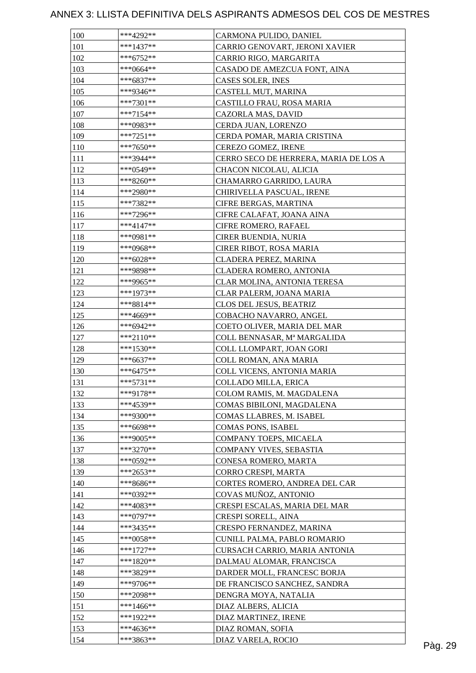| 100 | $***4292**$            | CARMONA PULIDO, DANIEL                |         |
|-----|------------------------|---------------------------------------|---------|
| 101 | $***1437**$            | CARRIO GENOVART, JERONI XAVIER        |         |
| 102 | $***6752**$            | CARRIO RIGO, MARGARITA                |         |
| 103 | ***0664**              | CASADO DE AMEZCUA FONT, AINA          |         |
| 104 | $***6837**$            | CASES SOLER, INES                     |         |
| 105 | ***9346**              | CASTELL MUT, MARINA                   |         |
| 106 | ***7301**              | CASTILLO FRAU, ROSA MARIA             |         |
| 107 | $***7154**$            | CAZORLA MAS, DAVID                    |         |
| 108 | ***0983**              | CERDA JUAN, LORENZO                   |         |
| 109 | ***7251**              | CERDA POMAR, MARIA CRISTINA           |         |
| 110 | ***7650**              | CEREZO GOMEZ, IRENE                   |         |
| 111 | ***3944**              | CERRO SECO DE HERRERA, MARIA DE LOS A |         |
| 112 | ***0549**              | CHACON NICOLAU, ALICIA                |         |
| 113 | $***8260**$            | CHAMARRO GARRIDO, LAURA               |         |
| 114 | ***2980**              | CHIRIVELLA PASCUAL, IRENE             |         |
| 115 | $***7382**$            | CIFRE BERGAS, MARTINA                 |         |
| 116 | $***7296**$            | CIFRE CALAFAT, JOANA AINA             |         |
| 117 | $***4147**$            | CIFRE ROMERO, RAFAEL                  |         |
| 118 | ***0981**              | CIRER BUENDIA, NURIA                  |         |
| 119 | ***0968**              | CIRER RIBOT, ROSA MARIA               |         |
| 120 | $***6028**$            | CLADERA PEREZ, MARINA                 |         |
| 121 | ***9898**              | CLADERA ROMERO, ANTONIA               |         |
| 122 | ***9965**              | CLAR MOLINA, ANTONIA TERESA           |         |
| 123 | ***1973**              | CLAR PALERM, JOANA MARIA              |         |
| 124 | ***8814**              | CLOS DEL JESUS, BEATRIZ               |         |
| 125 | ***4669**              | COBACHO NAVARRO, ANGEL                |         |
| 126 | ***6942**              | COETO OLIVER, MARIA DEL MAR           |         |
| 127 | ***2110**              | COLL BENNASAR, Mª MARGALIDA           |         |
| 128 | $***1530**$            | COLL LLOMPART, JOAN GORI              |         |
| 129 | ***6637**              | COLL ROMAN, ANA MARIA                 |         |
| 130 | $***6475**$            | COLL VICENS, ANTONIA MARIA            |         |
| 131 | $***5731**$            | COLLADO MILLA, ERICA                  |         |
| 132 | ***9178**              | COLOM RAMIS, M. MAGDALENA             |         |
| 133 | ***4539**              | COMAS BIBILONI, MAGDALENA             |         |
| 134 | ***9300**              |                                       |         |
|     |                        | COMAS LLABRES, M. ISABEL              |         |
| 135 | ***6698**              | COMAS PONS, ISABEL                    |         |
| 136 | ***9005**<br>***3270** | COMPANY TOEPS, MICAELA                |         |
| 137 |                        | COMPANY VIVES, SEBASTIA               |         |
| 138 | ***0592**              | CONESA ROMERO, MARTA                  |         |
| 139 | ***2653**              | CORRO CRESPI, MARTA                   |         |
| 140 | ***8686**              | CORTES ROMERO, ANDREA DEL CAR         |         |
| 141 | ***0392**              | COVAS MUÑOZ, ANTONIO                  |         |
| 142 | $***4083**$            | CRESPI ESCALAS, MARIA DEL MAR         |         |
| 143 | $***0797**$            | CRESPI SORELL, AINA                   |         |
| 144 | ***3435**              | CRESPO FERNANDEZ, MARINA              |         |
| 145 | $***0058**$            | CUNILL PALMA, PABLO ROMARIO           |         |
| 146 | $***1727**$            | CURSACH CARRIO, MARIA ANTONIA         |         |
| 147 | $***1820**$            | DALMAU ALOMAR, FRANCISCA              |         |
| 148 | ***3829**              | DARDER MOLL, FRANCESC BORJA           |         |
| 149 | ***9706**              | DE FRANCISCO SANCHEZ, SANDRA          |         |
| 150 | ***2098**              | DENGRA MOYA, NATALIA                  |         |
| 151 | ***1466**              | DIAZ ALBERS, ALICIA                   |         |
| 152 | ***1922**              | DIAZ MARTINEZ, IRENE                  |         |
| 153 | ***4636**              | DIAZ ROMAN, SOFIA                     |         |
| 154 | ***3863**              | DIAZ VARELA, ROCIO                    | Pàg. 29 |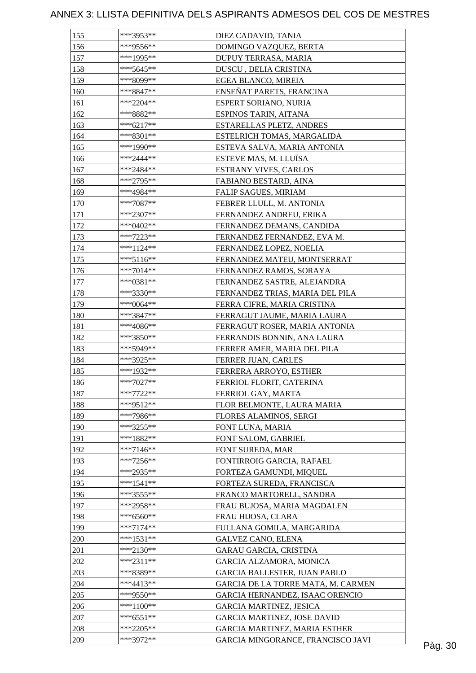| 155 | ***3953**                  | DIEZ CADAVID, TANIA                  |         |
|-----|----------------------------|--------------------------------------|---------|
| 156 | ***9556**                  | DOMINGO VAZQUEZ, BERTA               |         |
| 157 | ***1995**                  | DUPUY TERRASA, MARIA                 |         |
| 158 | $***5645**$                | DUSCU, DELIA CRISTINA                |         |
| 159 | ***8099**                  | EGEA BLANCO, MIREIA                  |         |
| 160 | ***8847**                  | ENSEÑAT PARETS, FRANCINA             |         |
| 161 | $***2204**$                | ESPERT SORIANO, NURIA                |         |
| 162 | ***8882**                  | ESPINOS TARIN, AITANA                |         |
| 163 | ***6217**                  | ESTARELLAS PLETZ, ANDRES             |         |
| 164 | ***8301**                  | ESTELRICH TOMAS, MARGALIDA           |         |
| 165 | ***1990**                  | ESTEVA SALVA, MARIA ANTONIA          |         |
| 166 | ***2444**                  | ESTEVE MAS, M. LLUÏSA                |         |
| 167 | ***2484**                  | <b>ESTRANY VIVES, CARLOS</b>         |         |
| 168 | $***2795**$                | FABIANO BESTARD, AINA                |         |
| 169 | ***4984**                  | <b>FALIP SAGUES, MIRIAM</b>          |         |
| 170 | $***7087**$                | FEBRER LLULL, M. ANTONIA             |         |
| 171 | $***2307**$                | FERNANDEZ ANDREU, ERIKA              |         |
| 172 | $***0402**$                | FERNANDEZ DEMANS, CANDIDA            |         |
| 173 | ***7223**                  | FERNANDEZ FERNANDEZ, EVA M.          |         |
| 174 | $***1124**$                | FERNANDEZ LOPEZ, NOELIA              |         |
| 175 | ***5116**                  | FERNANDEZ MATEU, MONTSERRAT          |         |
| 176 | $***7014**$                | FERNANDEZ RAMOS, SORAYA              |         |
| 177 | $***0381**$                | FERNANDEZ SASTRE, ALEJANDRA          |         |
|     |                            |                                      |         |
| 178 | $***3330**$<br>$***0064**$ | FERNANDEZ TRIAS, MARIA DEL PILA      |         |
| 179 |                            | FERRA CIFRE, MARIA CRISTINA          |         |
| 180 | ***3847**                  | FERRAGUT JAUME, MARIA LAURA          |         |
| 181 | ***4086**                  | FERRAGUT ROSER, MARIA ANTONIA        |         |
| 182 | ***3850**                  | FERRANDIS BONNIN, ANA LAURA          |         |
| 183 | ***5949**                  | FERRER AMER, MARIA DEL PILA          |         |
| 184 | ***3925**                  | FERRER JUAN, CARLES                  |         |
| 185 | ***1932**                  | FERRERA ARROYO, ESTHER               |         |
| 186 | $***7027**$                | FERRIOL FLORIT, CATERINA             |         |
| 187 | $***7722**$                | FERRIOL GAY, MARTA                   |         |
| 188 | ***9512**                  | FLOR BELMONTE, LAURA MARIA           |         |
| 189 | ***7986**                  | FLORES ALAMINOS, SERGI               |         |
| 190 | ***3255**                  | FONT LUNA, MARIA                     |         |
| 191 | $***1882**$                | FONT SALOM, GABRIEL                  |         |
| 192 | $***7146**$                | FONT SUREDA, MAR                     |         |
| 193 | $***7256**$                | FONTIRROIG GARCIA, RAFAEL            |         |
| 194 | ***2935**                  | FORTEZA GAMUNDI, MIQUEL              |         |
| 195 | $***1541**$                | FORTEZA SUREDA, FRANCISCA            |         |
| 196 | ***3555**                  | FRANCO MARTORELL, SANDRA             |         |
| 197 | ***2958**                  | FRAU BUJOSA, MARIA MAGDALEN          |         |
| 198 | $***6560**$                | FRAU HIJOSA, CLARA                   |         |
| 199 | $***7174**$                | FULLANA GOMILA, MARGARIDA            |         |
| 200 | ***1531**                  | <b>GALVEZ CANO, ELENA</b>            |         |
| 201 | ***2130**                  | <b>GARAU GARCIA, CRISTINA</b>        |         |
| 202 | $***2311**$                | GARCIA ALZAMORA, MONICA              |         |
| 203 | ***8389**                  | <b>GARCIA BALLESTER, JUAN PABLO</b>  |         |
| 204 | $***4413**$                | GARCIA DE LA TORRE MATA, M. CARMEN   |         |
| 205 | ***9550**                  | GARCIA HERNANDEZ, ISAAC ORENCIO      |         |
| 206 | ***1100**                  | <b>GARCIA MARTINEZ, JESICA</b>       |         |
| 207 | $***6551**$                | <b>GARCIA MARTINEZ, JOSE DAVID</b>   |         |
| 208 | $***2205**$                | <b>GARCIA MARTINEZ, MARIA ESTHER</b> |         |
| 209 | ***3972**                  | GARCIA MINGORANCE, FRANCISCO JAVI    | Pàg. 30 |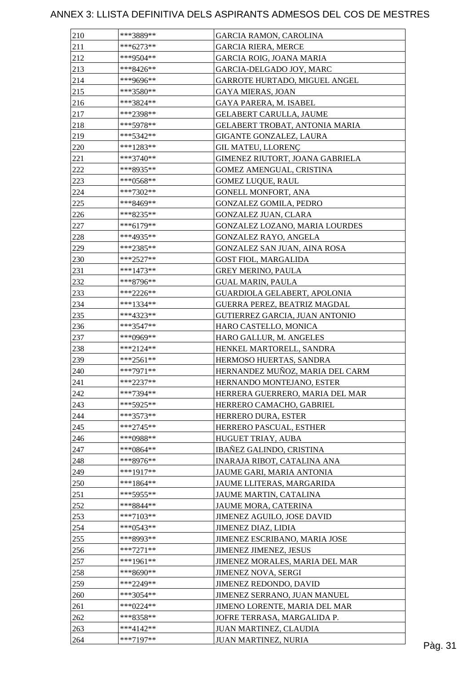| 210        | ***3889**   | <b>GARCIA RAMON, CAROLINA</b>                       |         |
|------------|-------------|-----------------------------------------------------|---------|
| 211        | $***6273**$ | <b>GARCIA RIERA, MERCE</b>                          |         |
| 212        | ***9504**   | <b>GARCIA ROIG, JOANA MARIA</b>                     |         |
| 213        | ***8426**   | GARCIA-DELGADO JOY, MARC                            |         |
| 214        | ***9696**   | GARROTE HURTADO, MIGUEL ANGEL                       |         |
| 215        | ***3580**   | <b>GAYA MIERAS, JOAN</b>                            |         |
| 216        | ***3824**   | GAYA PARERA, M. ISABEL                              |         |
| 217        | ***2398**   | GELABERT CARULLA, JAUME                             |         |
| 218        | $***5978**$ | GELABERT TROBAT, ANTONIA MARIA                      |         |
| 219        | ***5342**   | GIGANTE GONZALEZ, LAURA                             |         |
| 220        | ***1283**   | <b>GIL MATEU, LLORENÇ</b>                           |         |
| 221        | ***3740**   | GIMENEZ RIUTORT, JOANA GABRIELA                     |         |
| 222        | ***8935**   | GOMEZ AMENGUAL, CRISTINA                            |         |
| 223        | ***0568**   | <b>GOMEZ LUQUE, RAUL</b>                            |         |
| 224        | ***7302**   | GONELL MONFORT, ANA                                 |         |
| 225        | ***8469**   | <b>GONZALEZ GOMILA, PEDRO</b>                       |         |
| 226        | ***8235**   | GONZALEZ JUAN, CLARA                                |         |
| 227        | ***6179**   | GONZALEZ LOZANO, MARIA LOURDES                      |         |
| 228        | ***4935**   | GONZALEZ RAYO, ANGELA                               |         |
| 229        | ***2385**   | GONZALEZ SAN JUAN, AINA ROSA                        |         |
| 230        | $***2527**$ | <b>GOST FIOL, MARGALIDA</b>                         |         |
| 231        | $***1473**$ | <b>GREY MERINO, PAULA</b>                           |         |
| 232        | ***8796**   | <b>GUAL MARIN, PAULA</b>                            |         |
| 233        | $***2226**$ | GUARDIOLA GELABERT, APOLONIA                        |         |
| 234        | ***1334**   | GUERRA PEREZ, BEATRIZ MAGDAL                        |         |
| 235        | $***4323**$ | GUTIERREZ GARCIA, JUAN ANTONIO                      |         |
| 236        | $***3547**$ |                                                     |         |
| 237        | ***0969**   | HARO CASTELLO, MONICA                               |         |
| 238        | $***2124**$ | HARO GALLUR, M. ANGELES<br>HENKEL MARTORELL, SANDRA |         |
| 239        | $***2561**$ | HERMOSO HUERTAS, SANDRA                             |         |
| 240        | $***7971**$ | HERNANDEZ MUÑOZ, MARIA DEL CARM                     |         |
|            | $***2237**$ |                                                     |         |
| 241        | $***7394**$ | HERNANDO MONTEJANO, ESTER                           |         |
| 242<br>243 | ***5925**   | HERRERA GUERRERO, MARIA DEL MAR                     |         |
|            | $***3573**$ | HERRERO CAMACHO, GABRIEL                            |         |
| 244        |             | HERRERO DURA, ESTER                                 |         |
| 245        | $***2745**$ | HERRERO PASCUAL, ESTHER                             |         |
| 246        | ***0988**   | HUGUET TRIAY, AUBA                                  |         |
| 247        | $***0864**$ | IBAÑEZ GALINDO, CRISTINA                            |         |
| 248        | ***8976**   | INARAJA RIBOT, CATALINA ANA                         |         |
| 249        | $***1917**$ | JAUME GARI, MARIA ANTONIA                           |         |
| 250        | ***1864**   | JAUME LLITERAS, MARGARIDA                           |         |
| 251        | ***5955**   | JAUME MARTIN, CATALINA                              |         |
| 252        | ***8844**   | JAUME MORA, CATERINA                                |         |
| 253        | $***7103**$ | JIMENEZ AGUILO, JOSE DAVID                          |         |
| 254        | $***0543**$ | JIMENEZ DIAZ, LIDIA                                 |         |
| 255        | ***8993**   | JIMENEZ ESCRIBANO, MARIA JOSE                       |         |
| 256        | $***7271**$ | JIMENEZ JIMENEZ, JESUS                              |         |
| 257        | ***1961**   | JIMENEZ MORALES, MARIA DEL MAR                      |         |
| 258        | $***8690**$ | <b>JIMENEZ NOVA, SERGI</b>                          |         |
| 259        | ***2249**   | JIMENEZ REDONDO, DAVID                              |         |
| 260        | $***3054**$ | JIMENEZ SERRANO, JUAN MANUEL                        |         |
| 261        | $***0224**$ | JIMENO LORENTE, MARIA DEL MAR                       |         |
| 262        | ***8358**   | JOFRE TERRASA, MARGALIDA P.                         |         |
| 263        | ***4142**   | JUAN MARTINEZ, CLAUDIA                              |         |
| 264        | $***7197**$ | JUAN MARTINEZ, NURIA                                | Pàg. 31 |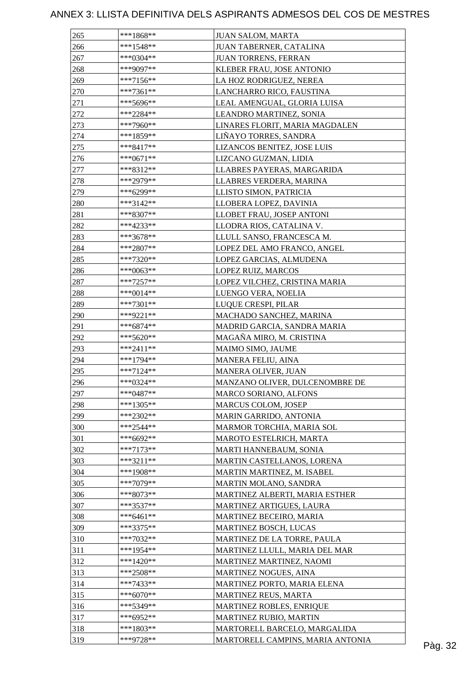| 265        | $***1868**$ | <b>JUAN SALOM, MARTA</b>                |         |
|------------|-------------|-----------------------------------------|---------|
| 266        | $***1548**$ | JUAN TABERNER, CATALINA                 |         |
| 267        | $***0304**$ | <b>JUAN TORRENS, FERRAN</b>             |         |
| 268        | ***9097**   | KLEBER FRAU, JOSE ANTONIO               |         |
| 269        | $***7156**$ | LA HOZ RODRIGUEZ, NEREA                 |         |
| 270        | $***7361**$ | LANCHARRO RICO, FAUSTINA                |         |
| 271        | ***5696**   | LEAL AMENGUAL, GLORIA LUISA             |         |
| 272        | ***2284**   | LEANDRO MARTINEZ, SONIA                 |         |
| 273        | ***7960**   | LINARES FLORIT, MARIA MAGDALEN          |         |
| 274        | ***1859**   | LIÑAYO TORRES, SANDRA                   |         |
| 275        | $***8417**$ | LIZANCOS BENITEZ, JOSE LUIS             |         |
| 276        | ***0671**   | LIZCANO GUZMAN, LIDIA                   |         |
| 277        | ***8312**   | LLABRES PAYERAS, MARGARIDA              |         |
| 278        | ***2979**   | LLABRES VERDERA, MARINA                 |         |
| 279        | ***6299**   | LLISTO SIMON, PATRICIA                  |         |
| 280        | ***3142**   | LLOBERA LOPEZ, DAVINIA                  |         |
| 281        | ***8307**   | LLOBET FRAU, JOSEP ANTONI               |         |
| 282        | ***4233**   | LLODRA RIOS, CATALINA V.                |         |
| 283        | ***3678**   | LLULL SANSO, FRANCESCA M.               |         |
| 284        | $***2807**$ | LOPEZ DEL AMO FRANCO, ANGEL             |         |
| 285        | $***7320**$ | LOPEZ GARCIAS, ALMUDENA                 |         |
| 286        | $***0063**$ | LOPEZ RUIZ, MARCOS                      |         |
| 287        | $***7257**$ | LOPEZ VILCHEZ, CRISTINA MARIA           |         |
| 288        | ***0014**   | LUENGO VERA, NOELIA                     |         |
| 289        | $***7301**$ | LUQUE CRESPI, PILAR                     |         |
| 290        | ***9221**   | MACHADO SANCHEZ, MARINA                 |         |
| 291        | $***6874**$ | MADRID GARCIA, SANDRA MARIA             |         |
| 292        | ***5620**   | MAGAÑA MIRO, M. CRISTINA                |         |
|            | $***2411**$ |                                         |         |
| 293<br>294 | $***1794**$ | MAIMO SIMO, JAUME<br>MANERA FELIU, AINA |         |
| 295        | $***7124**$ | <b>MANERA OLIVER, JUAN</b>              |         |
|            | ***0324**   |                                         |         |
| 296        |             | MANZANO OLIVER, DULCENOMBRE DE          |         |
| 297        | $***0487**$ | MARCO SORIANO, ALFONS                   |         |
| 298        | $***1305**$ | <b>MARCUS COLOM, JOSEP</b>              |         |
| 299        | $***2302**$ | MARIN GARRIDO, ANTONIA                  |         |
| 300        | $***2544**$ | MARMOR TORCHIA, MARIA SOL               |         |
| 301        | ***6692**   | MAROTO ESTELRICH, MARTA                 |         |
| 302        | $***7173**$ | MARTI HANNEBAUM, SONIA                  |         |
| 303        | $***3211**$ | MARTIN CASTELLANOS, LORENA              |         |
| 304        | ***1908**   | MARTIN MARTINEZ, M. ISABEL              |         |
| 305        | ***7079**   | MARTIN MOLANO, SANDRA                   |         |
| 306        | ***8073**   | MARTINEZ ALBERTI, MARIA ESTHER          |         |
| 307        | ***3537**   | MARTINEZ ARTIGUES, LAURA                |         |
| 308        | $***6461**$ | MARTINEZ BECEIRO, MARIA                 |         |
| 309        | ***3375**   | MARTINEZ BOSCH, LUCAS                   |         |
| 310        | $***7032**$ | MARTINEZ DE LA TORRE, PAULA             |         |
| 311        | $***1954**$ | MARTINEZ LLULL, MARIA DEL MAR           |         |
| 312        | $***1420**$ | MARTINEZ MARTINEZ, NAOMI                |         |
| 313        | $***2508**$ | MARTINEZ NOGUES, AINA                   |         |
| 314        | $***7433**$ | MARTINEZ PORTO, MARIA ELENA             |         |
| 315        | $***6070**$ | MARTINEZ REUS, MARTA                    |         |
| 316        | ***5349**   | MARTINEZ ROBLES, ENRIQUE                |         |
| 317        | $***6952**$ | MARTINEZ RUBIO, MARTIN                  |         |
| 318        | $***1803**$ | MARTORELL BARCELO, MARGALIDA            |         |
| 319        | ***9728**   | MARTORELL CAMPINS, MARIA ANTONIA        | Pàg. 32 |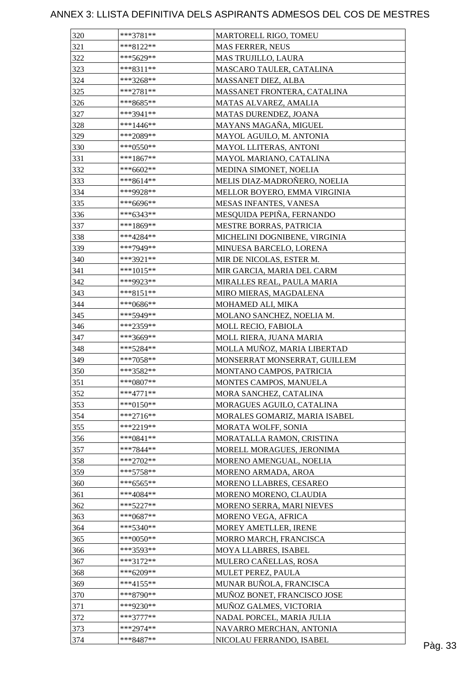| 320        | $***3781**$ | MARTORELL RIGO, TOMEU         |  |
|------------|-------------|-------------------------------|--|
| 321        | $***8122**$ | <b>MAS FERRER, NEUS</b>       |  |
| 322        | ***5629**   | MAS TRUJILLO, LAURA           |  |
| 323        | $***8311**$ | MASCARO TAULER, CATALINA      |  |
| 324        | $***3268**$ | MASSANET DIEZ, ALBA           |  |
| 325        | $***2781**$ | MASSANET FRONTERA, CATALINA   |  |
| 326        | ***8685**   | MATAS ALVAREZ, AMALIA         |  |
| 327        | $***3941**$ | MATAS DURENDEZ, JOANA         |  |
| 328        | $***1446**$ | MAYANS MAGAÑA, MIGUEL         |  |
| 329        | ***2089**   | MAYOL AGUILO, M. ANTONIA      |  |
| 330        | $***0550**$ | MAYOL LLITERAS, ANTONI        |  |
| 331        | ***1867**   | MAYOL MARIANO, CATALINA       |  |
| 332        | $***6602**$ | MEDINA SIMONET, NOELIA        |  |
| 333        | $***8614**$ | MELIS DIAZ-MADROÑERO, NOELIA  |  |
| 334        | ***9928**   | MELLOR BOYERO, EMMA VIRGINIA  |  |
| 335        | ***6696**   | MESAS INFANTES, VANESA        |  |
| 336        | $***6343**$ | MESQUIDA PEPIÑA, FERNANDO     |  |
| 337        | ***1869**   | MESTRE BORRAS, PATRICIA       |  |
| 338        | ***4284**   | MICHELINI DOGNIBENE, VIRGINIA |  |
|            | ***7949**   | MINUESA BARCELO, LORENA       |  |
| 339<br>340 | ***3921**   | MIR DE NICOLAS, ESTER M.      |  |
|            | $***1015**$ |                               |  |
| 341        |             | MIR GARCIA, MARIA DEL CARM    |  |
| 342        | ***9923**   | MIRALLES REAL, PAULA MARIA    |  |
| 343        | ***8151**   | MIRO MIERAS, MAGDALENA        |  |
| 344        | $***0686**$ | MOHAMED ALI, MIKA             |  |
| 345        | ***5949**   | MOLANO SANCHEZ, NOELIA M.     |  |
| 346        | ***2359**   | MOLL RECIO, FABIOLA           |  |
| 347        | ***3669**   | MOLL RIERA, JUANA MARIA       |  |
| 348        | ***5284**   | MOLLA MUÑOZ, MARIA LIBERTAD   |  |
| 349        | $***7058**$ | MONSERRAT MONSERRAT, GUILLEM  |  |
| 350        | ***3582**   | MONTANO CAMPOS, PATRICIA      |  |
| 351        | ***0807**   | MONTES CAMPOS, MANUELA        |  |
| 352        | $***4771**$ | MORA SANCHEZ, CATALINA        |  |
| 353        | $***0150**$ | MORAGUES AGUILO, CATALINA     |  |
| 354        | $***2716**$ | MORALES GOMARIZ, MARIA ISABEL |  |
| 355        | ***2219**   | MORATA WOLFF, SONIA           |  |
| 356        | $***0841**$ | MORATALLA RAMON, CRISTINA     |  |
| 357        | $***7844**$ | MORELL MORAGUES, JERONIMA     |  |
| 358        | $***2702**$ | MORENO AMENGUAL, NOELIA       |  |
| 359        | ***5758**   | MORENO ARMADA, AROA           |  |
| 360        | $***6565**$ | MORENO LLABRES, CESAREO       |  |
| 361        | $***4084**$ | MORENO MORENO, CLAUDIA        |  |
| 362        | $***5227**$ | MORENO SERRA, MARI NIEVES     |  |
| 363        | $***0687**$ | MORENO VEGA, AFRICA           |  |
| 364        | ***5340**   | MOREY AMETLLER, IRENE         |  |
| 365        | $***0050**$ | MORRO MARCH, FRANCISCA        |  |
| 366        | ***3593**   | MOYA LLABRES, ISABEL          |  |
| 367        | $***3172**$ | MULERO CAÑELLAS, ROSA         |  |
| 368        | ***6209**   | MULET PEREZ, PAULA            |  |
| 369        | $***4155**$ | MUNAR BUÑOLA, FRANCISCA       |  |
| 370        | ***8790**   | MUÑOZ BONET, FRANCISCO JOSE   |  |
| 371        | ***9230**   | MUÑOZ GALMES, VICTORIA        |  |
| 372        | $***3777**$ | NADAL PORCEL, MARIA JULIA     |  |
| 373        | $***2974**$ | NAVARRO MERCHAN, ANTONIA      |  |
| 374        | ***8487**   | NICOLAU FERRANDO, ISABEL      |  |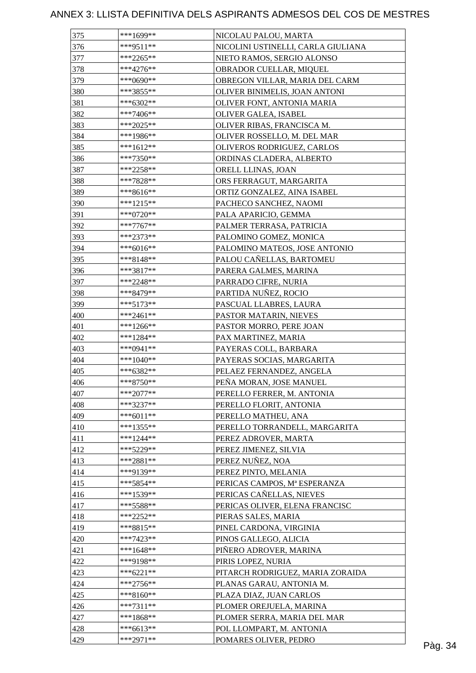| 375 | ***1699**   | NICOLAU PALOU, MARTA               |  |
|-----|-------------|------------------------------------|--|
| 376 | $***9511**$ | NICOLINI USTINELLI, CARLA GIULIANA |  |
| 377 | $***2265**$ | NIETO RAMOS, SERGIO ALONSO         |  |
| 378 | $***4276**$ | OBRADOR CUELLAR, MIQUEL            |  |
| 379 | $***0690**$ | OBREGON VILLAR, MARIA DEL CARM     |  |
| 380 | ***3855**   | OLIVER BINIMELIS, JOAN ANTONI      |  |
| 381 | ***6302**   | OLIVER FONT, ANTONIA MARIA         |  |
| 382 | $***7406**$ | OLIVER GALEA, ISABEL               |  |
| 383 | ***2025**   | OLIVER RIBAS, FRANCISCA M.         |  |
| 384 | ***1986**   | OLIVER ROSSELLO, M. DEL MAR        |  |
| 385 | ***1612**   | OLIVEROS RODRIGUEZ, CARLOS         |  |
| 386 | ***7350**   | ORDINAS CLADERA, ALBERTO           |  |
| 387 | ***2258**   | ORELL LLINAS, JOAN                 |  |
| 388 | ***7828**   | ORS FERRAGUT, MARGARITA            |  |
| 389 | $***8616**$ | ORTIZ GONZALEZ, AINA ISABEL        |  |
| 390 | $***1215**$ | PACHECO SANCHEZ, NAOMI             |  |
| 391 | $***0720**$ | PALA APARICIO, GEMMA               |  |
| 392 | $***7767**$ | PALMER TERRASA, PATRICIA           |  |
| 393 | ***2373**   | PALOMINO GOMEZ, MONICA             |  |
| 394 | $***6016**$ | PALOMINO MATEOS, JOSE ANTONIO      |  |
| 395 | $***8148**$ | PALOU CAÑELLAS, BARTOMEU           |  |
| 396 | ***3817**   |                                    |  |
|     |             | PARERA GALMES, MARINA              |  |
| 397 | ***2248**   | PARRADO CIFRE, NURIA               |  |
| 398 | ***8479**   | PARTIDA NUÑEZ, ROCIO               |  |
| 399 | $***5173**$ | PASCUAL LLABRES, LAURA             |  |
| 400 | ***2461**   | PASTOR MATARIN, NIEVES             |  |
| 401 | $***1266**$ | PASTOR MORRO, PERE JOAN            |  |
| 402 | $***1284**$ | PAX MARTINEZ, MARIA                |  |
| 403 | ***0941**   | PAYERAS COLL, BARBARA              |  |
| 404 | ***1040**   | PAYERAS SOCIAS, MARGARITA          |  |
| 405 | ***6382**   | PELAEZ FERNANDEZ, ANGELA           |  |
| 406 | $***8750**$ | PEÑA MORAN, JOSE MANUEL            |  |
| 407 | $***2077**$ | PERELLO FERRER, M. ANTONIA         |  |
| 408 | ***3237**   | PERELLO FLORIT, ANTONIA            |  |
| 409 | $***6011**$ | PERELLO MATHEU, ANA                |  |
| 410 | $***1355**$ | PERELLO TORRANDELL, MARGARITA      |  |
| 411 | $***1244**$ | PEREZ ADROVER, MARTA               |  |
| 412 | ***5229**   | PEREZ JIMENEZ, SILVIA              |  |
| 413 | $***2881**$ | PEREZ NUÑEZ, NOA                   |  |
| 414 | ***9139**   | PEREZ PINTO, MELANIA               |  |
| 415 | ***5854**   | PERICAS CAMPOS, Mª ESPERANZA       |  |
| 416 | ***1539**   | PERICAS CAÑELLAS, NIEVES           |  |
| 417 | ***5588**   | PERICAS OLIVER, ELENA FRANCISC     |  |
| 418 | $***2252**$ | PIERAS SALES, MARIA                |  |
| 419 | $***8815**$ | PINEL CARDONA, VIRGINIA            |  |
| 420 | ***7423**   | PINOS GALLEGO, ALICIA              |  |
| 421 | $***1648**$ | PIÑERO ADROVER, MARINA             |  |
| 422 | ***9198**   | PIRIS LOPEZ, NURIA                 |  |
| 423 | $***6221**$ | PITARCH RODRIGUEZ, MARIA ZORAIDA   |  |
| 424 | $***2756**$ | PLANAS GARAU, ANTONIA M.           |  |
| 425 | $***8160**$ | PLAZA DIAZ, JUAN CARLOS            |  |
| 426 | $***7311**$ | PLOMER OREJUELA, MARINA            |  |
| 427 | $***1868**$ | PLOMER SERRA, MARIA DEL MAR        |  |
| 428 | $***6613**$ | POL LLOMPART, M. ANTONIA           |  |
| 429 | ***2971**   | POMARES OLIVER, PEDRO              |  |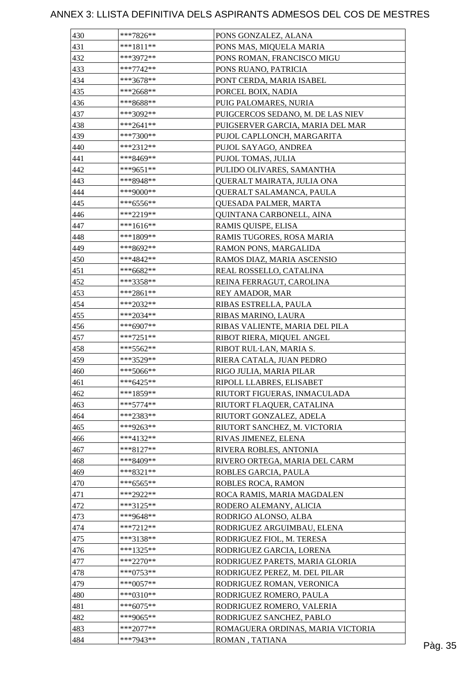| 430 | ***7826**   | PONS GONZALEZ, ALANA              |  |
|-----|-------------|-----------------------------------|--|
| 431 | $***1811**$ | PONS MAS, MIQUELA MARIA           |  |
| 432 | ***3972**   | PONS ROMAN, FRANCISCO MIGU        |  |
| 433 | ***7742**   | PONS RUANO, PATRICIA              |  |
| 434 | ***3678**   | PONT CERDA, MARIA ISABEL          |  |
| 435 | ***2668**   | PORCEL BOIX, NADIA                |  |
| 436 | ***8688**   | PUIG PALOMARES, NURIA             |  |
| 437 | ***3092**   | PUIGCERCOS SEDANO, M. DE LAS NIEV |  |
| 438 | ***2641**   | PUIGSERVER GARCIA, MARIA DEL MAR  |  |
| 439 | ***7300**   | PUJOL CAPLLONCH, MARGARITA        |  |
| 440 | $***2312**$ | PUJOL SAYAGO, ANDREA              |  |
| 441 | ***8469**   | PUJOL TOMAS, JULIA                |  |
| 442 | ***9651**   | PULIDO OLIVARES, SAMANTHA         |  |
| 443 | ***8948**   | QUERALT MAIRATA, JULIA ONA        |  |
| 444 | ***9000**   | QUERALT SALAMANCA, PAULA          |  |
| 445 | $***6556**$ | <b>QUESADA PALMER, MARTA</b>      |  |
| 446 | ***2219**   | QUINTANA CARBONELL, AINA          |  |
| 447 | ***1616**   | RAMIS QUISPE, ELISA               |  |
| 448 | ***1809**   | RAMIS TUGORES, ROSA MARIA         |  |
| 449 | ***8692**   | RAMON PONS, MARGALIDA             |  |
| 450 | ***4842**   | RAMOS DIAZ, MARIA ASCENSIO        |  |
| 451 | ***6682**   | REAL ROSSELLO, CATALINA           |  |
|     |             |                                   |  |
| 452 | ***3358**   | REINA FERRAGUT, CAROLINA          |  |
| 453 | ***2861**   | REY AMADOR, MAR                   |  |
| 454 | ***2032**   | RIBAS ESTRELLA, PAULA             |  |
| 455 | $***2034**$ | RIBAS MARINO, LAURA               |  |
| 456 | ***6907**   | RIBAS VALIENTE, MARIA DEL PILA    |  |
| 457 | ***7251**   | RIBOT RIERA, MIQUEL ANGEL         |  |
| 458 | $***5562**$ | RIBOT RUL-LAN, MARIA S.           |  |
| 459 | ***3529**   | RIERA CATALA, JUAN PEDRO          |  |
| 460 | $***5066**$ | RIGO JULIA, MARIA PILAR           |  |
| 461 | $***6425**$ | RIPOLL LLABRES, ELISABET          |  |
| 462 | ***1859**   | RIUTORT FIGUERAS, INMACULADA      |  |
| 463 | $***5774**$ | RIUTORT FLAQUER, CATALINA         |  |
| 464 | ***2383**   | RIUTORT GONZALEZ, ADELA           |  |
| 465 | ***9263**   | RIUTORT SANCHEZ, M. VICTORIA      |  |
| 466 | ***4132**   | RIVAS JIMENEZ, ELENA              |  |
| 467 | $***8127**$ | RIVERA ROBLES, ANTONIA            |  |
| 468 | $***8409**$ | RIVERO ORTEGA, MARIA DEL CARM     |  |
| 469 | ***8321**   | ROBLES GARCIA, PAULA              |  |
| 470 | ***6565**   | ROBLES ROCA, RAMON                |  |
| 471 | ***2922**   | ROCA RAMIS, MARIA MAGDALEN        |  |
| 472 | $***3125**$ | RODERO ALEMANY, ALICIA            |  |
| 473 | ***9648**   | RODRIGO ALONSO, ALBA              |  |
| 474 | ***7212**   | RODRIGUEZ ARGUIMBAU, ELENA        |  |
| 475 | ***3138**   | RODRIGUEZ FIOL, M. TERESA         |  |
| 476 | $***1325**$ | RODRIGUEZ GARCIA, LORENA          |  |
| 477 | $***2270**$ | RODRIGUEZ PARETS, MARIA GLORIA    |  |
| 478 | $***0753**$ | RODRIGUEZ PEREZ, M. DEL PILAR     |  |
| 479 | $***0057**$ | RODRIGUEZ ROMAN, VERONICA         |  |
| 480 | ***0310**   | RODRIGUEZ ROMERO, PAULA           |  |
| 481 | $***6075**$ | RODRIGUEZ ROMERO, VALERIA         |  |
| 482 | ***9065**   | RODRIGUEZ SANCHEZ, PABLO          |  |
| 483 | ***2077**   | ROMAGUERA ORDINAS, MARIA VICTORIA |  |
| 484 | ***7943**   | ROMAN, TATIANA                    |  |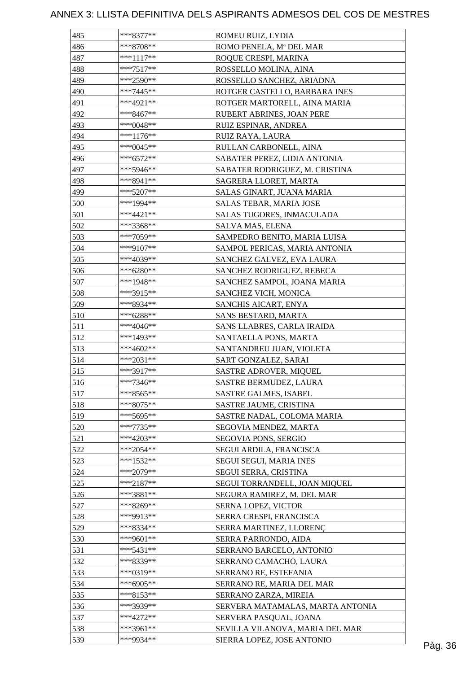| 485 | ***8377**   | ROMEU RUIZ, LYDIA                |         |
|-----|-------------|----------------------------------|---------|
| 486 | $***8708**$ | ROMO PENELA, Mª DEL MAR          |         |
| 487 | $***1117**$ | ROQUE CRESPI, MARINA             |         |
| 488 | $***7517**$ | ROSSELLO MOLINA, AINA            |         |
| 489 | $***2590**$ | ROSSELLO SANCHEZ, ARIADNA        |         |
| 490 | ***7445**   | ROTGER CASTELLO, BARBARA INES    |         |
| 491 | ***4921**   | ROTGER MARTORELL, AINA MARIA     |         |
| 492 | ***8467**   | RUBERT ABRINES, JOAN PERE        |         |
| 493 | ***0048**   | RUIZ ESPINAR, ANDREA             |         |
| 494 | $***1176**$ | RUIZ RAYA, LAURA                 |         |
| 495 | ***0045**   | RULLAN CARBONELL, AINA           |         |
| 496 | $***6572**$ | SABATER PEREZ, LIDIA ANTONIA     |         |
| 497 | ***5946**   | SABATER RODRIGUEZ, M. CRISTINA   |         |
| 498 | ***8941**   | SAGRERA LLORET, MARTA            |         |
| 499 | $***5207**$ | SALAS GINART, JUANA MARIA        |         |
| 500 | ***1994**   | SALAS TEBAR, MARIA JOSE          |         |
| 501 | $***4421**$ | SALAS TUGORES, INMACULADA        |         |
| 502 | ***3368**   | SALVA MAS, ELENA                 |         |
| 503 | ***7059**   | SAMPEDRO BENITO, MARIA LUISA     |         |
| 504 | ***9107**   | SAMPOL PERICAS, MARIA ANTONIA    |         |
| 505 | ***4039**   | SANCHEZ GALVEZ, EVA LAURA        |         |
| 506 | $***6280**$ | SANCHEZ RODRIGUEZ, REBECA        |         |
| 507 | $***1948**$ | SANCHEZ SAMPOL, JOANA MARIA      |         |
| 508 | $***3915**$ | SANCHEZ VICH, MONICA             |         |
| 509 | ***8934**   | SANCHIS AICART, ENYA             |         |
| 510 | $***6288**$ | SANS BESTARD, MARTA              |         |
| 511 | ***4046**   | SANS LLABRES, CARLA IRAIDA       |         |
| 512 | ***1493**   | SANTAELLA PONS, MARTA            |         |
| 513 | $***4602**$ | SANTANDREU JUAN, VIOLETA         |         |
| 514 | $***2031**$ | SART GONZALEZ, SARAI             |         |
| 515 | ***3917**   | SASTRE ADROVER, MIQUEL           |         |
| 516 | ***7346**   | SASTRE BERMUDEZ, LAURA           |         |
| 517 | $***8565**$ | SASTRE GALMES, ISABEL            |         |
| 518 | ***8075**   | SASTRE JAUME, CRISTINA           |         |
| 519 | ***5695**   | SASTRE NADAL, COLOMA MARIA       |         |
|     | $***7735**$ |                                  |         |
| 520 |             | SEGOVIA MENDEZ, MARTA            |         |
| 521 | $***4203**$ | SEGOVIA PONS, SERGIO             |         |
| 522 | $***2054**$ | SEGUI ARDILA, FRANCISCA          |         |
| 523 | $***1532**$ | SEGUI SEGUI, MARIA INES          |         |
| 524 | ***2079**   | SEGUI SERRA, CRISTINA            |         |
| 525 | $***2187**$ | SEGUI TORRANDELL, JOAN MIQUEL    |         |
| 526 | ***3881**   | SEGURA RAMIREZ, M. DEL MAR       |         |
| 527 | ***8269**   | <b>SERNA LOPEZ, VICTOR</b>       |         |
| 528 | ***9913**   | SERRA CRESPI, FRANCISCA          |         |
| 529 | ***8334**   | SERRA MARTINEZ, LLORENÇ          |         |
| 530 | ***9601**   | SERRA PARRONDO, AIDA             |         |
| 531 | $***5431**$ | SERRANO BARCELO, ANTONIO         |         |
| 532 | ***8339**   | SERRANO CAMACHO, LAURA           |         |
| 533 | ***0319**   | SERRANO RE, ESTEFANIA            |         |
| 534 | $***6905**$ | SERRANO RE, MARIA DEL MAR        |         |
| 535 | ***8153**   | SERRANO ZARZA, MIREIA            |         |
| 536 | ***3939**   | SERVERA MATAMALAS, MARTA ANTONIA |         |
| 537 | $***4272**$ | SERVERA PASQUAL, JOANA           |         |
| 538 | ***3961**   | SEVILLA VILANOVA, MARIA DEL MAR  |         |
| 539 | ***9934**   | SIERRA LOPEZ, JOSE ANTONIO       | Pàg. 36 |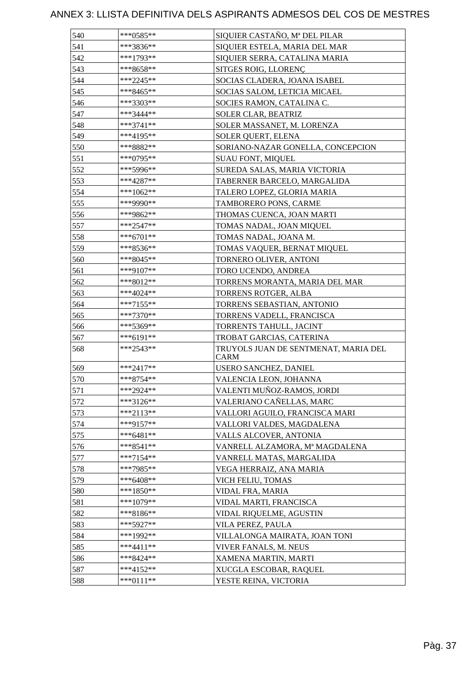| 540 | ***0585**   | SIQUIER CASTAÑO, Mª DEL PILAR                |
|-----|-------------|----------------------------------------------|
| 541 | ***3836**   | SIQUIER ESTELA, MARIA DEL MAR                |
|     |             |                                              |
| 542 | ***1793**   | SIQUIER SERRA, CATALINA MARIA                |
| 543 | ***8658**   | SITGES ROIG, LLORENÇ                         |
| 544 | ***2245**   | SOCIAS CLADERA, JOANA ISABEL                 |
| 545 | ***8465**   | SOCIAS SALOM, LETICIA MICAEL                 |
| 546 | ***3303**   | SOCIES RAMON, CATALINA C.                    |
| 547 | ***3444**   | SOLER CLAR, BEATRIZ                          |
| 548 | ***3741**   | SOLER MASSANET, M. LORENZA                   |
| 549 | ***4195**   | SOLER QUERT, ELENA                           |
| 550 | ***8882**   | SORIANO-NAZAR GONELLA, CONCEPCION            |
| 551 | ***0795**   | <b>SUAU FONT, MIQUEL</b>                     |
| 552 | ***5996**   | SUREDA SALAS, MARIA VICTORIA                 |
| 553 | ***4287**   | TABERNER BARCELO, MARGALIDA                  |
| 554 | ***1062**   | TALERO LOPEZ, GLORIA MARIA                   |
| 555 | ***9990**   | TAMBORERO PONS, CARME                        |
| 556 | ***9862**   | THOMAS CUENCA, JOAN MARTI                    |
| 557 | ***2547**   | TOMAS NADAL, JOAN MIQUEL                     |
| 558 | ***6701**   | TOMAS NADAL, JOANA M.                        |
| 559 | ***8536**   | TOMAS VAQUER, BERNAT MIQUEL                  |
| 560 | ***8045**   | TORNERO OLIVER, ANTONI                       |
| 561 | ***9107**   | TORO UCENDO, ANDREA                          |
| 562 | ***8012**   | TORRENS MORANTA, MARIA DEL MAR               |
| 563 | ***4024**   | TORRENS ROTGER, ALBA                         |
| 564 | $***7155**$ | TORRENS SEBASTIAN, ANTONIO                   |
| 565 | ***7370**   | TORRENS VADELL, FRANCISCA                    |
| 566 | ***5369**   | TORRENTS TAHULL, JACINT                      |
| 567 | ***6191**   | TROBAT GARCIAS, CATERINA                     |
| 568 | ***2543**   | TRUYOLS JUAN DE SENTMENAT, MARIA DEL<br>CARM |
| 569 | ***2417**   | USERO SANCHEZ, DANIEL                        |
| 570 | ***8754**   | VALENCIA LEON, JOHANNA                       |
| 571 | ***2924**   | VALENTI MUÑOZ-RAMOS, JORDI                   |
| 572 | ***3126**   | VALERIANO CAÑELLAS, MARC                     |
| 573 | ***2113**   | VALLORI AGUILO, FRANCISCA MARI               |
| 574 | ***9157**   | VALLORI VALDES, MAGDALENA                    |
| 575 | ***6481**   | VALLS ALCOVER, ANTONIA                       |
| 576 | $***8541**$ | VANRELL ALZAMORA, Mª MAGDALENA               |
| 577 | $***7154**$ | VANRELL MATAS, MARGALIDA                     |
| 578 | ***7985**   | VEGA HERRAIZ, ANA MARIA                      |
| 579 | ***6408**   | VICH FELIU, TOMAS                            |
| 580 | ***1850**   | VIDAL FRA, MARIA                             |
| 581 | ***1079**   | VIDAL MARTI, FRANCISCA                       |
| 582 | ***8186**   | VIDAL RIQUELME, AGUSTIN                      |
| 583 | $***5927**$ | VILA PEREZ, PAULA                            |
| 584 | ***1992**   | VILLALONGA MAIRATA, JOAN TONI                |
| 585 | $***4411**$ | VIVER FANALS, M. NEUS                        |
| 586 | ***8424**   | XAMENA MARTIN, MARTI                         |
| 587 | ***4152**   | XUCGLA ESCOBAR, RAQUEL                       |
| 588 | ***0111**   | YESTE REINA, VICTORIA                        |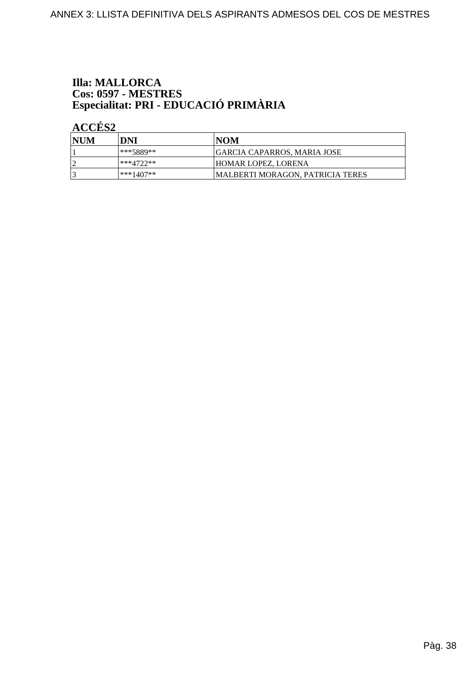# **Illa: MALLORCA** Cos: 0597 - MESTRES<br>Especialitat: PRI - EDUCACIÓ PRIMÀRIA

| NUM | DNI         | INOM                                     |
|-----|-------------|------------------------------------------|
|     | ***5889**   | GARCIA CAPARROS. MARIA JOSE              |
|     | $***4722**$ | <b>HOMAR LOPEZ. LORENA</b>               |
|     | ***1407**   | <b>IMALBERTI MORAGON. PATRICIA TERES</b> |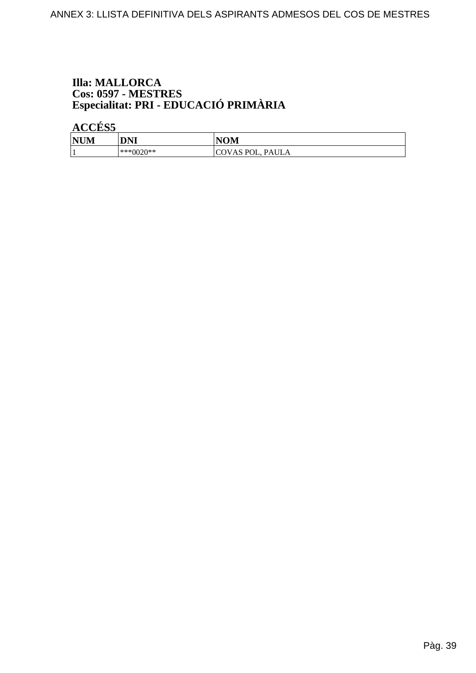# **Illa: MALLORCA** Cos: 0597 - MESTRES<br>Especialitat: PRI - EDUCACIÓ PRIMÀRIA

| <b>NUM</b> | DNI       | <b>NOM</b>       |
|------------|-----------|------------------|
|            | ***0020** | COVAS POL, PAULA |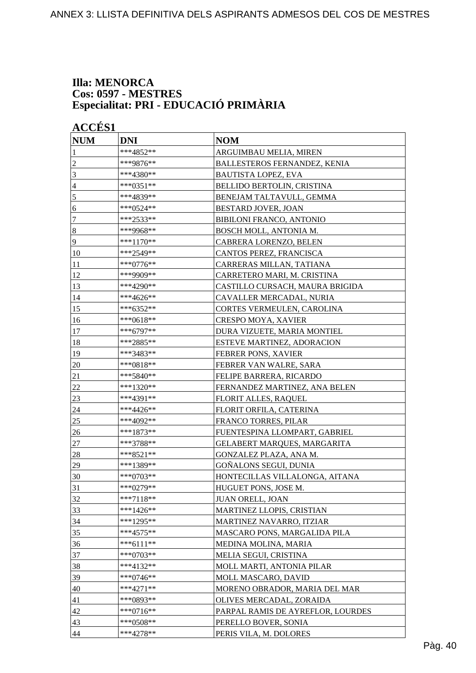#### **Illa: MENORCA Cos: 0597 - MESTRES Especialitat: PRI - EDUCACIÓ PRIMÀRIA**

| <b>NUM</b>     | <b>DNI</b>  | <b>NOM</b>                          |
|----------------|-------------|-------------------------------------|
| 1              | ***4852**   | ARGUIMBAU MELIA, MIREN              |
| $\overline{c}$ | ***9876**   | <b>BALLESTEROS FERNANDEZ, KENIA</b> |
| 3              | ***4380**   | <b>BAUTISTA LOPEZ, EVA</b>          |
| 4              | ***0351**   | BELLIDO BERTOLIN, CRISTINA          |
| 5              | ***4839**   | BENEJAM TALTAVULL, GEMMA            |
| 6              | $***0524**$ | BESTARD JOVER, JOAN                 |
| $\tau$         | ***2533**   | <b>BIBILONI FRANCO, ANTONIO</b>     |
| $\vert 8$      | ***9968**   | BOSCH MOLL, ANTONIA M.              |
| $\overline{9}$ | ***1170**   | CABRERA LORENZO, BELEN              |
| 10             | ***2549**   | CANTOS PEREZ, FRANCISCA             |
| 11             | ***0776**   | CARRERAS MILLAN, TATIANA            |
| 12             | ***9909**   | CARRETERO MARI, M. CRISTINA         |
| 13             | ***4290**   | CASTILLO CURSACH, MAURA BRIGIDA     |
| 14             | ***4626**   | CAVALLER MERCADAL, NURIA            |
| 15             | ***6352**   | CORTES VERMEULEN, CAROLINA          |
| 16             | ***0618**   | <b>CRESPO MOYA, XAVIER</b>          |
| 17             | ***6797**   | DURA VIZUETE, MARIA MONTIEL         |
| 18             | ***2885**   | ESTEVE MARTINEZ, ADORACION          |
| 19             | ***3483**   | FEBRER PONS, XAVIER                 |
| 20             | ***0818**   | FEBRER VAN WALRE, SARA              |
| 21             | ***5840**   | FELIPE BARRERA, RICARDO             |
| $22\,$         | ***1320**   | FERNANDEZ MARTINEZ, ANA BELEN       |
| 23             | ***4391**   | <b>FLORIT ALLES, RAQUEL</b>         |
| 24             | ***4426**   | FLORIT ORFILA, CATERINA             |
| 25             | ***4092**   | FRANCO TORRES, PILAR                |
| 26             | ***1873**   | FUENTESPINA LLOMPART, GABRIEL       |
| 27             | ***3788**   | GELABERT MARQUES, MARGARITA         |
| 28             | ***8521**   | GONZALEZ PLAZA, ANA M.              |
| 29             | ***1389**   | GOÑALONS SEGUI, DUNIA               |
| 30             | ***0703**   | HONTECILLAS VILLALONGA, AITANA      |
| 31             | $***0279**$ | HUGUET PONS, JOSE M.                |
| 32             | $***7118**$ | <b>JUAN ORELL, JOAN</b>             |
| 33             | ***1426**   | MARTINEZ LLOPIS, CRISTIAN           |
| 34             | ***1295**   | MARTINEZ NAVARRO, ITZIAR            |
| 35             | ***4575**   | MASCARO PONS, MARGALIDA PILA        |
| 36             | $***6111**$ | MEDINA MOLINA, MARIA                |
| 37             | ***0703**   | MELIA SEGUI, CRISTINA               |
| 38             | ***4132**   | MOLL MARTI, ANTONIA PILAR           |
| 39             | $***0746**$ | MOLL MASCARO, DAVID                 |
| 40             | $***4271**$ | MORENO OBRADOR, MARIA DEL MAR       |
| 41             | ***0893**   | OLIVES MERCADAL, ZORAIDA            |
| 42             | $***0716**$ | PARPAL RAMIS DE AYREFLOR, LOURDES   |
| 43             | ***0508**   | PERELLO BOVER, SONIA                |
| 44             | ***4278**   | PERIS VILA, M. DOLORES              |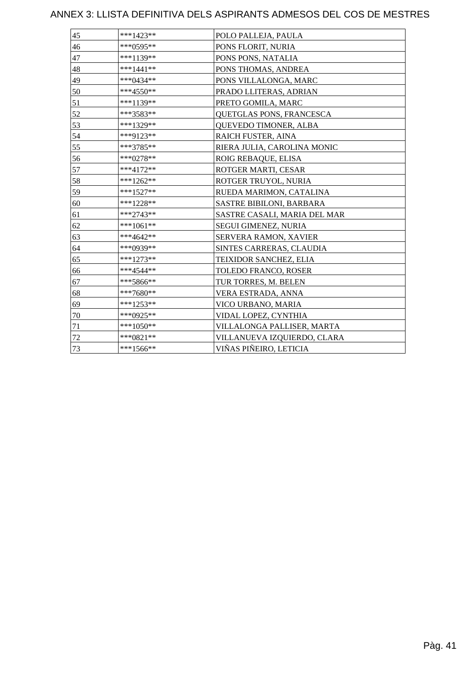| 45 | $***1423**$ | POLO PALLEJA, PAULA          |
|----|-------------|------------------------------|
| 46 | ***0595**   | PONS FLORIT, NURIA           |
| 47 | $***1139**$ | PONS PONS, NATALIA           |
| 48 | $***1441**$ | PONS THOMAS, ANDREA          |
| 49 | ***0434**   | PONS VILLALONGA, MARC        |
| 50 | $***4550**$ | PRADO LLITERAS, ADRIAN       |
| 51 | ***1139**   | PRETO GOMILA, MARC           |
| 52 | ***3583**   | QUETGLAS PONS, FRANCESCA     |
| 53 | ***1329**   | QUEVEDO TIMONER, ALBA        |
| 54 | ***9123**   | RAICH FUSTER, AINA           |
| 55 | ***3785**   | RIERA JULIA, CAROLINA MONIC  |
| 56 | ***0278**   | ROIG REBAQUE, ELISA          |
| 57 | $***4172**$ | ROTGER MARTI, CESAR          |
| 58 | $***1262**$ | ROTGER TRUYOL, NURIA         |
| 59 | $***1527**$ | RUEDA MARIMON, CATALINA      |
| 60 | ***1228**   | SASTRE BIBILONI, BARBARA     |
| 61 | ***2743**   | SASTRE CASALI, MARIA DEL MAR |
| 62 | $***1061**$ | SEGUI GIMENEZ, NURIA         |
| 63 | ***4642**   | SERVERA RAMON, XAVIER        |
| 64 | ***0939**   | SINTES CARRERAS, CLAUDIA     |
| 65 | ***1273**   | TEIXIDOR SANCHEZ, ELIA       |
| 66 | ***4544**   | TOLEDO FRANCO, ROSER         |
| 67 | ***5866**   | TUR TORRES, M. BELEN         |
| 68 | $***7680**$ | VERA ESTRADA, ANNA           |
| 69 | $***1253**$ | VICO URBANO, MARIA           |
| 70 | ***0925**   | VIDAL LOPEZ, CYNTHIA         |
| 71 | $***1050**$ | VILLALONGA PALLISER, MARTA   |
| 72 | $***0821**$ | VILLANUEVA IZQUIERDO, CLARA  |
| 73 | $***1566**$ | VIÑAS PIÑEIRO, LETICIA       |
|    |             |                              |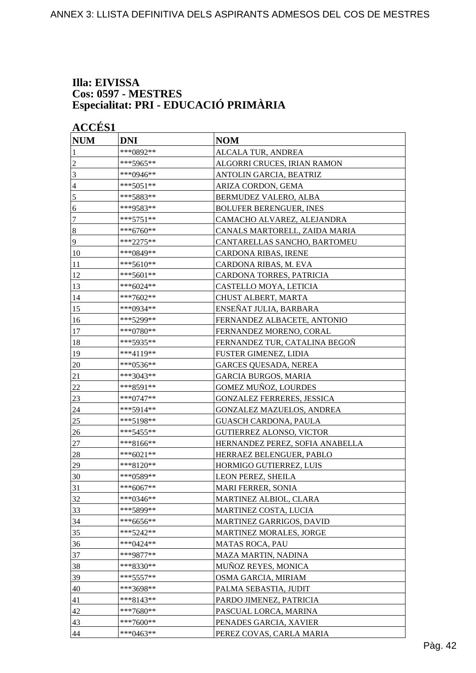#### **Illa: EIVISSA Cos: 0597 - MESTRES Especialitat: PRI - EDUCACIÓ PRIMÀRIA**

|                | <b>ACCÉS 1</b> |                                            |  |  |
|----------------|----------------|--------------------------------------------|--|--|
| <b>NUM</b>     | <b>DNI</b>     | <b>NOM</b>                                 |  |  |
| 1              | ***0892**      | ALCALA TUR, ANDREA                         |  |  |
| $\overline{c}$ | ***5965**      | ALGORRI CRUCES, IRIAN RAMON                |  |  |
| 3              | ***0946**      | ANTOLIN GARCIA, BEATRIZ                    |  |  |
| 4              | ***5051**      | ARIZA CORDON, GEMA                         |  |  |
| 5              | ***5883**      | BERMUDEZ VALERO, ALBA                      |  |  |
| 6              | ***9583**      | <b>BOLUFER BERENGUER, INES</b>             |  |  |
| $\tau$         | ***5751**      | CAMACHO ALVAREZ, ALEJANDRA                 |  |  |
| $\bf 8$        | ***6760**      | CANALS MARTORELL, ZAIDA MARIA              |  |  |
| 9              | ***2275**      | CANTARELLAS SANCHO, BARTOMEU               |  |  |
| 10             | ***0849**      | CARDONA RIBAS, IRENE                       |  |  |
| 11             | ***5610**      | CARDONA RIBAS, M. EVA                      |  |  |
| 12             | ***5601**      | CARDONA TORRES, PATRICIA                   |  |  |
| 13             | ***6024**      | CASTELLO MOYA, LETICIA                     |  |  |
| 14             | ***7602**      | CHUST ALBERT, MARTA                        |  |  |
| 15             | ***0934**      | ENSEÑAT JULIA, BARBARA                     |  |  |
| 16             | ***5299**      | FERNANDEZ ALBACETE, ANTONIO                |  |  |
| 17             | ***0780**      | FERNANDEZ MORENO, CORAL                    |  |  |
| 18             | ***5935**      | FERNANDEZ TUR, CATALINA BEGOÑ              |  |  |
| 19             | ***4119**      | FUSTER GIMENEZ, LIDIA                      |  |  |
| 20             | ***0536**      | <b>GARCES QUESADA, NEREA</b>               |  |  |
| 21             | ***3043**      | <b>GARCIA BURGOS, MARIA</b>                |  |  |
| $22\,$         | ***8591**      | GOMEZ MUÑOZ, LOURDES                       |  |  |
| 23             | ***0747**      | <b>GONZALEZ FERRERES, JESSICA</b>          |  |  |
| 24             | ***5914**      | <b>GONZALEZ MAZUELOS, ANDREA</b>           |  |  |
| 25             | ***5198**      | <b>GUASCH CARDONA, PAULA</b>               |  |  |
| 26             | ***5455**      | <b>GUTIERREZ ALONSO, VICTOR</b>            |  |  |
| 27             | ***8166**      | HERNANDEZ PEREZ, SOFIA ANABELLA            |  |  |
| 28             | ***6021**      | HERRAEZ BELENGUER, PABLO                   |  |  |
| 29             | ***8120**      | HORMIGO GUTIERREZ, LUIS                    |  |  |
| 30             | ***0589**      | LEON PEREZ, SHEILA                         |  |  |
| 31             | ***6067**      | <b>MARI FERRER, SONIA</b>                  |  |  |
| 32             | ***0346**      | MARTINEZ ALBIOL, CLARA                     |  |  |
| 33             | ***5899**      | MARTINEZ COSTA, LUCIA                      |  |  |
| 34             | ***6656**      | MARTINEZ GARRIGOS, DAVID                   |  |  |
| 35             | *** 5242**     | MARTINEZ MORALES, JORGE                    |  |  |
|                | ***0424**      |                                            |  |  |
| 36             | ***9877**      | MATAS ROCA, PAU                            |  |  |
| 37             | ***8330**      | MAZA MARTIN, NADINA<br>MUÑOZ REYES, MONICA |  |  |
| 38             | *** 5557**     |                                            |  |  |
| 39             |                | OSMA GARCIA, MIRIAM                        |  |  |
| 40             | ***3698**      | PALMA SEBASTIA, JUDIT                      |  |  |
| 41             | ***8143**      | PARDO JIMENEZ, PATRICIA                    |  |  |
| 42             | ***7680**      | PASCUAL LORCA, MARINA                      |  |  |
| 43             | $***7600**$    | PENADES GARCIA, XAVIER                     |  |  |
| 44             | ***0463**      | PEREZ COVAS, CARLA MARIA                   |  |  |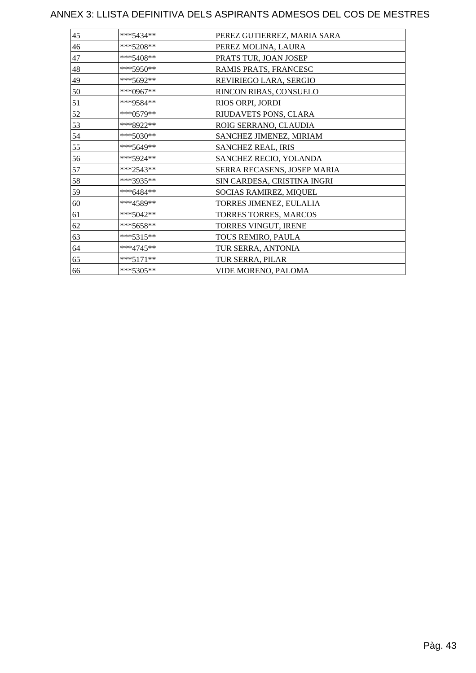| 45 | ***5434**   | PEREZ GUTIERREZ, MARIA SARA |
|----|-------------|-----------------------------|
| 46 | $***5208**$ | PEREZ MOLINA, LAURA         |
| 47 | $***5408**$ | PRATS TUR, JOAN JOSEP       |
| 48 | $***5950**$ | RAMIS PRATS, FRANCESC       |
| 49 | ***5692**   | REVIRIEGO LARA, SERGIO      |
| 50 | ***0967**   | RINCON RIBAS, CONSUELO      |
| 51 | ***9584**   | RIOS ORPI, JORDI            |
| 52 | ***0579**   | RIUDAVETS PONS, CLARA       |
| 53 | ***8922**   | ROIG SERRANO, CLAUDIA       |
| 54 | ***5030**   | SANCHEZ JIMENEZ, MIRIAM     |
| 55 | ***5649**   | <b>SANCHEZ REAL, IRIS</b>   |
| 56 | ***5924**   | SANCHEZ RECIO, YOLANDA      |
| 57 | ***2543**   | SERRA RECASENS, JOSEP MARIA |
| 58 | ***3935**   | SIN CARDESA, CRISTINA INGRI |
| 59 | $***6484**$ | SOCIAS RAMIREZ, MIQUEL      |
| 60 | ***4589**   | TORRES JIMENEZ, EULALIA     |
| 61 | $***5042**$ | TORRES TORRES, MARCOS       |
| 62 | $***5658**$ | TORRES VINGUT, IRENE        |
| 63 | $***5315**$ | TOUS REMIRO, PAULA          |
| 64 | $***4745**$ | TUR SERRA, ANTONIA          |
| 65 | $***5171**$ | TUR SERRA, PILAR            |
| 66 | $***5305**$ | VIDE MORENO, PALOMA         |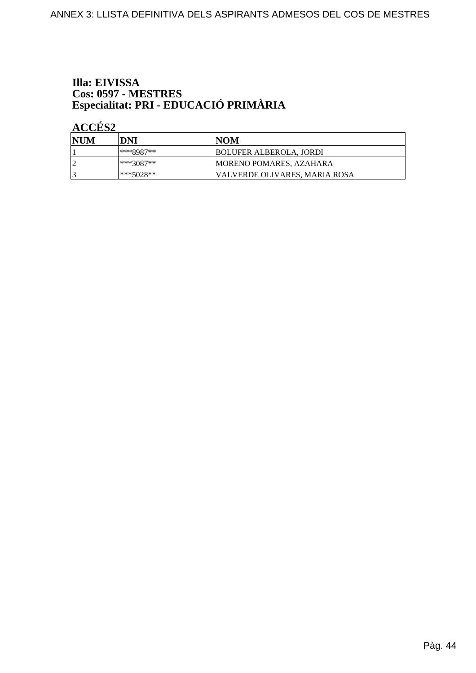# Illa: EIVISSA Cos: 0597 - MESTRES<br>Especialitat: PRI - EDUCACIÓ PRIMÀRIA

| NUM | DNI         | INOM                           |
|-----|-------------|--------------------------------|
|     | $***8987**$ | BOLUFER ALBEROLA, JORDI        |
|     | ***3087**   | <b>MORENO POMARES, AZAHARA</b> |
|     | ***5028**   | VALVERDE OLIVARES, MARIA ROSA  |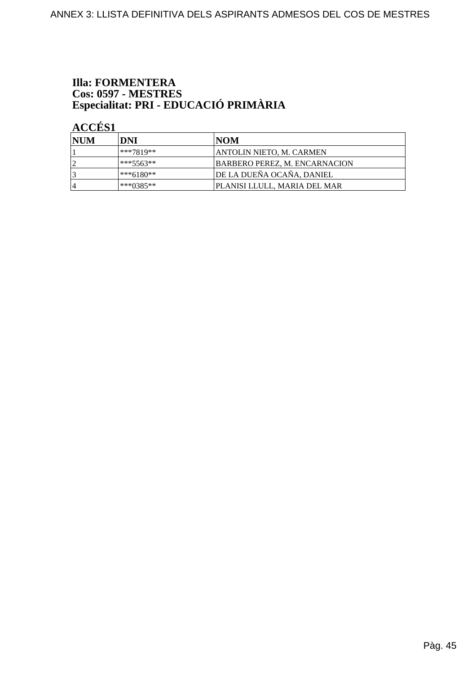# **Illa: FORMENTERA** Cos: 0597 - MESTRES<br>Especialitat: PRI - EDUCACIÓ PRIMÀRIA

| <b>NUM</b> | DNI       | <b>INOM</b>                          |
|------------|-----------|--------------------------------------|
|            | ***7819** | ANTOLIN NIETO, M. CARMEN             |
| ി          | ***5563** | <b>BARBERO PEREZ, M. ENCARNACION</b> |
| 3          | ***6180** | DE LA DUEÑA OCAÑA, DANIEL            |
| 14         | ***0385** | IPLANISI LLULL. MARIA DEL MAR        |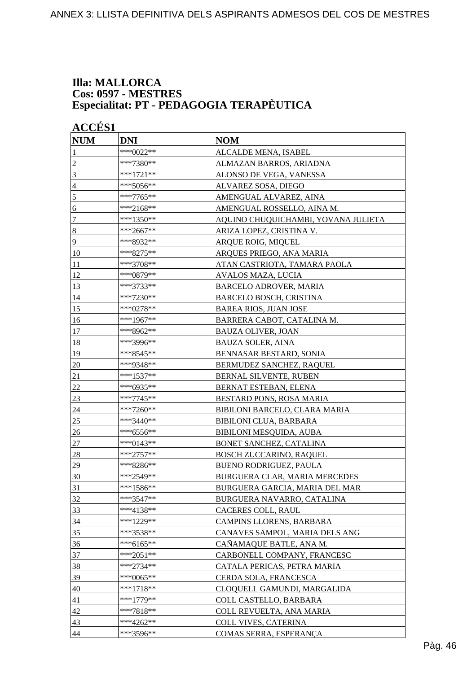#### **Illa: MALLORCA Cos: 0597 - MESTRES Especialitat: PT - PEDAGOGIA TERAPÈUTICA**

| <b>NUM</b>       | <b>DNI</b> | <b>NOM</b>                          |
|------------------|------------|-------------------------------------|
| 1                | ***0022**  | ALCALDE MENA, ISABEL                |
| $\overline{c}$   | ***7380**  | ALMAZAN BARROS, ARIADNA             |
| 3                | ***1721**  | ALONSO DE VEGA, VANESSA             |
| 4                | ***5056**  | ALVAREZ SOSA, DIEGO                 |
| 5                | ***7765**  | AMENGUAL ALVAREZ, AINA              |
| 6                | ***2168**  | AMENGUAL ROSSELLO, AINA M.          |
| 7                | ***1350**  | AQUINO CHUQUICHAMBI, YOVANA JULIETA |
| $\boldsymbol{8}$ | ***2667**  | ARIZA LOPEZ, CRISTINA V.            |
| 9                | ***8932**  | ARQUE ROIG, MIQUEL                  |
| 10               | ***8275**  | ARQUES PRIEGO, ANA MARIA            |
| 11               | ***3708**  | ATAN CASTRIOTA, TAMARA PAOLA        |
| 12               | ***0879**  | AVALOS MAZA, LUCIA                  |
| 13               | ***3733**  | <b>BARCELO ADROVER, MARIA</b>       |
| 14               | ***7230**  | <b>BARCELO BOSCH, CRISTINA</b>      |
| 15               | ***0278**  | <b>BAREA RIOS, JUAN JOSE</b>        |
| 16               | ***1967**  | BARRERA CABOT, CATALINA M.          |
| 17               | ***8962**  | <b>BAUZA OLIVER, JOAN</b>           |
| 18               | ***3996**  | <b>BAUZA SOLER, AINA</b>            |
| 19               | ***8545**  | BENNASAR BESTARD, SONIA             |
| $20\,$           | ***9348**  | BERMUDEZ SANCHEZ, RAQUEL            |
| 21               | ***1537**  | BERNAL SILVENTE, RUBEN              |
| 22               | ***6935**  | BERNAT ESTEBAN, ELENA               |
| 23               | ***7745**  | BESTARD PONS, ROSA MARIA            |
| 24               | ***7260**  | BIBILONI BARCELO, CLARA MARIA       |
| 25               | ***3440**  | <b>BIBILONI CLUA, BARBARA</b>       |
| 26               | ***6556**  | BIBILONI MESQUIDA, AUBA             |
| 27               | ***0143**  | BONET SANCHEZ, CATALINA             |
| 28               | ***2757**  | <b>BOSCH ZUCCARINO, RAQUEL</b>      |
| 29               | ***8286**  | BUENO RODRIGUEZ, PAULA              |
| 30               | ***2549**  | BURGUERA CLAR, MARIA MERCEDES       |
| 31               | ***1586**  | BURGUERA GARCIA, MARIA DEL MAR      |
| 32               | ***3547**  | BURGUERA NAVARRO, CATALINA          |
| 33               | ***4138**  | CACERES COLL, RAUL                  |
| 34               | ***1229**  | CAMPINS LLORENS, BARBARA            |
| 35               | ***3538**  | CANAVES SAMPOL, MARIA DELS ANG      |
| 36               | ***6165**  | CAÑAMAQUE BATLE, ANA M.             |
| 37               | ***2051**  | CARBONELL COMPANY, FRANCESC         |
| 38               | ***2734**  | CATALA PERICAS, PETRA MARIA         |
| 39               | ***0065**  | CERDA SOLA, FRANCESCA               |
| 40               | ***1718**  | CLOQUELL GAMUNDI, MARGALIDA         |
| 41               | ***1779**  | COLL CASTELLO, BARBARA              |
| 42               | ***7818**  | COLL REVUELTA, ANA MARIA            |
| 43               | ***4262**  | COLL VIVES, CATERINA                |
| 44               | ***3596**  | COMAS SERRA, ESPERANÇA              |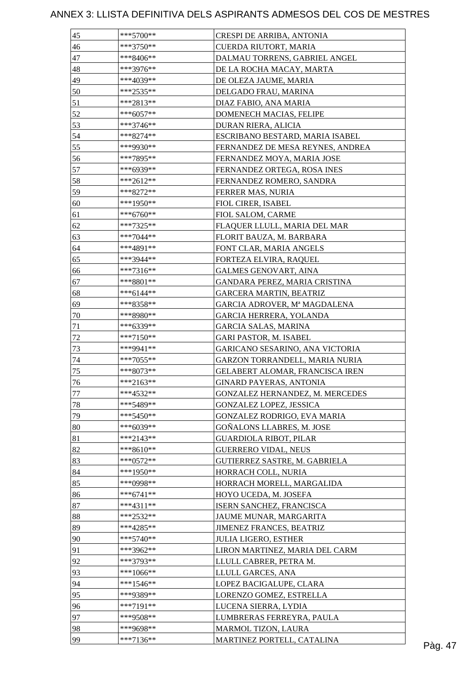| 45       | ***5700**   | CRESPI DE ARRIBA, ANTONIA                                        |         |
|----------|-------------|------------------------------------------------------------------|---------|
| 46       | $***3750**$ | CUERDA RIUTORT, MARIA                                            |         |
| 47       | ***8406**   | DALMAU TORRENS, GABRIEL ANGEL                                    |         |
| 48       | ***3976**   | DE LA ROCHA MACAY, MARTA                                         |         |
| 49       | ***4039**   | DE OLEZA JAUME, MARIA                                            |         |
| 50       | ***2535**   | DELGADO FRAU, MARINA                                             |         |
| 51       | ***2813**   | DIAZ FABIO, ANA MARIA                                            |         |
| 52       | $***6057**$ | DOMENECH MACIAS, FELIPE                                          |         |
| 53       | ***3746**   | DURAN RIERA, ALICIA                                              |         |
| 54       | $***8274**$ | ESCRIBANO BESTARD, MARIA ISABEL                                  |         |
| 55       | ***9930**   | FERNANDEZ DE MESA REYNES, ANDREA                                 |         |
| 56       | ***7895**   | FERNANDEZ MOYA, MARIA JOSE                                       |         |
| 57       | ***6939**   | FERNANDEZ ORTEGA, ROSA INES                                      |         |
| 58       | ***2612**   | FERNANDEZ ROMERO, SANDRA                                         |         |
| 59       | ***8272**   | FERRER MAS, NURIA                                                |         |
| 60       | ***1950**   | FIOL CIRER, ISABEL                                               |         |
| 61       | $***6760**$ | FIOL SALOM, CARME                                                |         |
| 62       | ***7325**   | FLAQUER LLULL, MARIA DEL MAR                                     |         |
| 63       | $***7044**$ | FLORIT BAUZA, M. BARBARA                                         |         |
| 64       | ***4891**   | FONT CLAR, MARIA ANGELS                                          |         |
| 65       | ***3944**   | FORTEZA ELVIRA, RAQUEL                                           |         |
| 66       | $***7316**$ | <b>GALMES GENOVART, AINA</b>                                     |         |
| 67       | $***8801**$ | GANDARA PEREZ, MARIA CRISTINA                                    |         |
| 68       | ***6144**   | <b>GARCERA MARTIN, BEATRIZ</b>                                   |         |
| 69       | ***8358**   | GARCIA ADROVER, Mª MAGDALENA                                     |         |
|          |             | GARCIA HERRERA, YOLANDA                                          |         |
| 70       | ***8980**   |                                                                  |         |
| 71<br>72 | ***6339**   | <b>GARCIA SALAS, MARINA</b>                                      |         |
|          | ***7150**   | <b>GARI PASTOR, M. ISABEL</b><br>GARICANO SESARINO, ANA VICTORIA |         |
| 73       | ***9941**   |                                                                  |         |
| 74       | ***7055**   | GARZON TORRANDELL, MARIA NURIA                                   |         |
| 75       | ***8073**   | GELABERT ALOMAR, FRANCISCA IREN                                  |         |
| 76       | ***2163**   | <b>GINARD PAYERAS, ANTONIA</b>                                   |         |
| $77\,$   | ***4532**   | GONZALEZ HERNANDEZ, M. MERCEDES                                  |         |
| 78       | ***5489**   | GONZALEZ LOPEZ, JESSICA                                          |         |
| 79       | $***5450**$ | GONZALEZ RODRIGO, EVA MARIA                                      |         |
| 80       | ***6039**   | GOÑALONS LLABRES, M. JOSE                                        |         |
| 81       | $***2143**$ | <b>GUARDIOLA RIBOT, PILAR</b>                                    |         |
| 82       | ***8610**   | <b>GUERRERO VIDAL, NEUS</b>                                      |         |
| 83       | $***0572**$ | GUTIERREZ SASTRE, M. GABRIELA                                    |         |
| 84       | ***1950**   | HORRACH COLL, NURIA                                              |         |
| 85       | ***0998**   | HORRACH MORELL, MARGALIDA                                        |         |
| 86       | $***6741**$ | HOYO UCEDA, M. JOSEFA                                            |         |
| 87       | $***4311**$ | ISERN SANCHEZ, FRANCISCA                                         |         |
| 88       | $***2532**$ | JAUME MUNAR, MARGARITA                                           |         |
| 89       | ***4285**   | <b>JIMENEZ FRANCES, BEATRIZ</b>                                  |         |
| 90       | $***5740**$ | <b>JULIA LIGERO, ESTHER</b>                                      |         |
| 91       | ***3962**   | LIRON MARTINEZ, MARIA DEL CARM                                   |         |
| 92       | ***3793**   | LLULL CABRER, PETRA M.                                           |         |
| 93       | $***1066**$ | LLULL GARCES, ANA                                                |         |
| 94       | $***1546**$ | LOPEZ BACIGALUPE, CLARA                                          |         |
| 95       | ***9389**   | LORENZO GOMEZ, ESTRELLA                                          |         |
| 96       | $***7191**$ | LUCENA SIERRA, LYDIA                                             |         |
| 97       | ***9508**   | LUMBRERAS FERREYRA, PAULA                                        |         |
| 98       | ***9698**   | MARMOL TIZON, LAURA                                              |         |
| 99       | $***7136**$ | MARTINEZ PORTELL, CATALINA                                       | Pàg. 47 |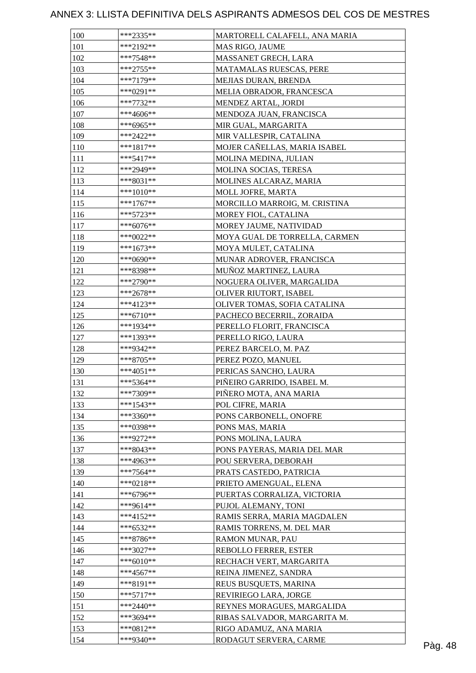| 100 | ***2335**   | MARTORELL CALAFELL, ANA MARIA |         |
|-----|-------------|-------------------------------|---------|
| 101 | ***2192**   | MAS RIGO, JAUME               |         |
| 102 | ***7548**   | MASSANET GRECH, LARA          |         |
| 103 | $***2755**$ | MATAMALAS RUESCAS, PERE       |         |
| 104 | ***7179**   | MEJIAS DURAN, BRENDA          |         |
| 105 | ***0291**   | MELIA OBRADOR, FRANCESCA      |         |
| 106 | $***7732**$ | MENDEZ ARTAL, JORDI           |         |
| 107 | ***4606**   | MENDOZA JUAN, FRANCISCA       |         |
| 108 | ***6965**   | MIR GUAL, MARGARITA           |         |
| 109 | ***2422**   | MIR VALLESPIR, CATALINA       |         |
| 110 | $***1817**$ | MOJER CAÑELLAS, MARIA ISABEL  |         |
| 111 | $***5417**$ | MOLINA MEDINA, JULIAN         |         |
| 112 | ***2949**   | MOLINA SOCIAS, TERESA         |         |
| 113 | ***8031**   | MOLINES ALCARAZ, MARIA        |         |
| 114 | $***1010**$ | MOLL JOFRE, MARTA             |         |
| 115 | $***1767**$ | MORCILLO MARROIG, M. CRISTINA |         |
| 116 | ***5723**   | MOREY FIOL, CATALINA          |         |
| 117 | $***6076**$ | MOREY JAUME, NATIVIDAD        |         |
| 118 | ***0022**   | MOYA GUAL DE TORRELLA, CARMEN |         |
| 119 | $***1673**$ | MOYA MULET, CATALINA          |         |
| 120 | ***0690**   | MUNAR ADROVER, FRANCISCA      |         |
| 121 | ***8398**   |                               |         |
|     |             | MUÑOZ MARTINEZ, LAURA         |         |
| 122 | ***2790**   | NOGUERA OLIVER, MARGALIDA     |         |
| 123 | $***2678**$ | OLIVER RIUTORT, ISABEL        |         |
| 124 | ***4123**   | OLIVER TOMAS, SOFIA CATALINA  |         |
| 125 | $***6710**$ | PACHECO BECERRIL, ZORAIDA     |         |
| 126 | ***1934**   | PERELLO FLORIT, FRANCISCA     |         |
| 127 | ***1393**   | PERELLO RIGO, LAURA           |         |
| 128 | ***9342**   | PEREZ BARCELO, M. PAZ         |         |
| 129 | $***8705**$ | PEREZ POZO, MANUEL            |         |
| 130 | ***4051**   | PERICAS SANCHO, LAURA         |         |
| 131 | ***5364**   | PIÑEIRO GARRIDO, ISABEL M.    |         |
| 132 | ***7309**   | PIÑERO MOTA, ANA MARIA        |         |
| 133 | $***1543**$ | POL CIFRE, MARIA              |         |
| 134 | ***3360**   | PONS CARBONELL, ONOFRE        |         |
| 135 | ***0398**   | PONS MAS, MARIA               |         |
| 136 | ***9272**   | PONS MOLINA, LAURA            |         |
| 137 | ***8043**   | PONS PAYERAS, MARIA DEL MAR   |         |
| 138 | ***4963**   | POU SERVERA, DEBORAH          |         |
| 139 | ***7564**   | PRATS CASTEDO, PATRICIA       |         |
| 140 | ***0218**   | PRIETO AMENGUAL, ELENA        |         |
| 141 | ***6796**   | PUERTAS CORRALIZA, VICTORIA   |         |
| 142 | ***9614**   | PUJOL ALEMANY, TONI           |         |
| 143 | ***4152**   | RAMIS SERRA, MARIA MAGDALEN   |         |
| 144 | ***6532**   | RAMIS TORRENS, M. DEL MAR     |         |
| 145 | $***8786**$ | RAMON MUNAR, PAU              |         |
| 146 | ***3027**   | REBOLLO FERRER, ESTER         |         |
| 147 | $***6010**$ | RECHACH VERT, MARGARITA       |         |
| 148 | $***4567**$ | REINA JIMENEZ, SANDRA         |         |
| 149 | ***8191**   | REUS BUSQUETS, MARINA         |         |
| 150 | $***5717**$ | REVIRIEGO LARA, JORGE         |         |
| 151 | ***2440**   | REYNES MORAGUES, MARGALIDA    |         |
| 152 | ***3694**   | RIBAS SALVADOR, MARGARITA M.  |         |
| 153 | ***0812**   | RIGO ADAMUZ, ANA MARIA        |         |
| 154 | ***9340**   | RODAGUT SERVERA, CARME        | Pàg. 48 |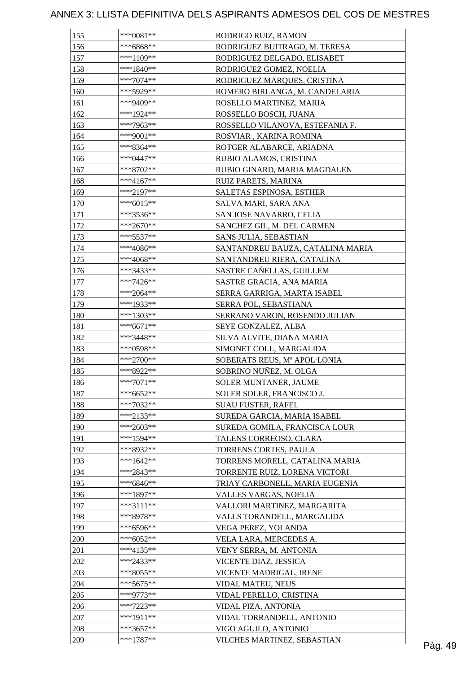| 155 | $***0081**$ | RODRIGO RUIZ, RAMON              |  |
|-----|-------------|----------------------------------|--|
| 156 | ***6868**   | RODRIGUEZ BUITRAGO, M. TERESA    |  |
| 157 | $***1109**$ | RODRIGUEZ DELGADO, ELISABET      |  |
| 158 | $***1840**$ | RODRIGUEZ GOMEZ, NOELIA          |  |
| 159 | $***7074**$ | RODRIGUEZ MARQUES, CRISTINA      |  |
| 160 | ***5929**   | ROMERO BIRLANGA, M. CANDELARIA   |  |
| 161 | ***9409**   | ROSELLO MARTINEZ, MARIA          |  |
| 162 | ***1924**   | ROSSELLO BOSCH, JUANA            |  |
| 163 | ***7963**   | ROSSELLO VILANOVA, ESTEFANIA F.  |  |
| 164 | $***9001**$ | ROSVIAR, KARINA ROMINA           |  |
| 165 | ***8364**   | ROTGER ALABARCE, ARIADNA         |  |
| 166 | ***0447**   | RUBIO ALAMOS, CRISTINA           |  |
| 167 | $***8702**$ | RUBIO GINARD, MARIA MAGDALEN     |  |
| 168 | ***4167**   | RUIZ PARETS, MARINA              |  |
| 169 | ***2197**   | SALETAS ESPINOSA, ESTHER         |  |
| 170 | $***6015**$ | SALVA MARI, SARA ANA             |  |
| 171 | ***3536**   | SAN JOSE NAVARRO, CELIA          |  |
| 172 | ***2670**   | SANCHEZ GIL, M. DEL CARMEN       |  |
| 173 | $***5537**$ | SANS JULIA, SEBASTIAN            |  |
| 174 | $***4086**$ | SANTANDREU BAUZA, CATALINA MARIA |  |
| 175 | ***4068**   | SANTANDREU RIERA, CATALINA       |  |
| 176 | ***3433**   | SASTRE CAÑELLAS, GUILLEM         |  |
|     |             |                                  |  |
| 177 | ***7426**   | SASTRE GRACIA, ANA MARIA         |  |
| 178 | ***2064**   | SERRA GARRIGA, MARTA ISABEL      |  |
| 179 | ***1933**   | SERRA POL, SEBASTIANA            |  |
| 180 | ***1303**   | SERRANO VARON, ROSENDO JULIAN    |  |
| 181 | ***6671**   | SEYE GONZALEZ, ALBA              |  |
| 182 | ***3448**   | SILVA ALVITE, DIANA MARIA        |  |
| 183 | ***0598**   | SIMONET COLL, MARGALIDA          |  |
| 184 | ***2700**   | SOBERATS REUS, Mª APOL·LONIA     |  |
| 185 | ***8922**   | SOBRINO NUÑEZ, M. OLGA           |  |
| 186 | $***7071**$ | SOLER MUNTANER, JAUME            |  |
| 187 | $***6652**$ | SOLER SOLER, FRANCISCO J.        |  |
| 188 | ***7032**   | <b>SUAU FUSTER, RAFEL</b>        |  |
| 189 | $***2133**$ | SUREDA GARCIA, MARIA ISABEL      |  |
| 190 | ***2603**   | SUREDA GOMILA, FRANCISCA LOUR    |  |
| 191 | $***1594**$ | TALENS CORREOSO, CLARA           |  |
| 192 | ***8932**   | TORRENS CORTES, PAULA            |  |
| 193 | ***1642**   | TORRENS MORELL, CATALINA MARIA   |  |
| 194 | ***2843**   | TORRENTE RUIZ, LORENA VICTORI    |  |
| 195 | ***6846**   | TRIAY CARBONELL, MARIA EUGENIA   |  |
| 196 | ***1897**   | VALLES VARGAS, NOELIA            |  |
| 197 | $***3111**$ | VALLORI MARTINEZ, MARGARITA      |  |
| 198 | ***8978**   | VALLS TORANDELL, MARGALIDA       |  |
| 199 | ***6596**   | VEGA PEREZ, YOLANDA              |  |
| 200 | $***6052**$ | VELA LARA, MERCEDES A.           |  |
| 201 | ***4135**   | VENY SERRA, M. ANTONIA           |  |
| 202 | ***2433**   | VICENTE DIAZ, JESSICA            |  |
| 203 | ***8055**   | VICENTE MADRIGAL, IRENE          |  |
| 204 | $***5675**$ | VIDAL MATEU, NEUS                |  |
| 205 | ***9773**   | VIDAL PERELLO, CRISTINA          |  |
| 206 | ***7223**   | VIDAL PIZA, ANTONIA              |  |
| 207 | ***1911**   | VIDAL TORRANDELL, ANTONIO        |  |
| 208 | ***3657**   | VIGO AGUILO, ANTONIO             |  |
|     |             | VILCHES MARTINEZ, SEBASTIAN      |  |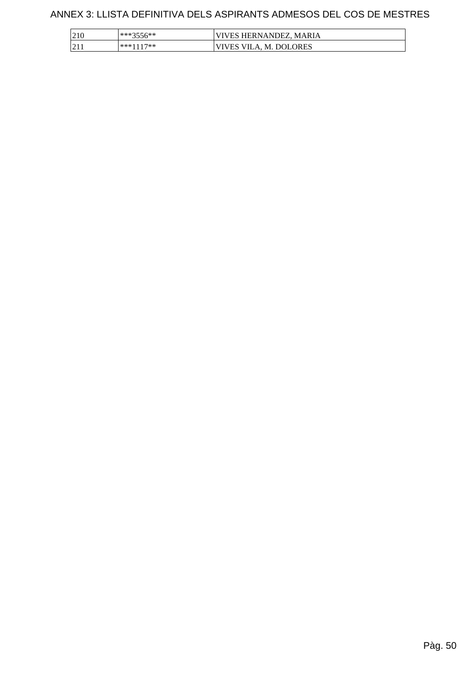| 210 | ***3556**   | VIVES HERNANDEZ, MARIA |
|-----|-------------|------------------------|
| 211 | $***1117**$ | VIVES VILA, M. DOLORES |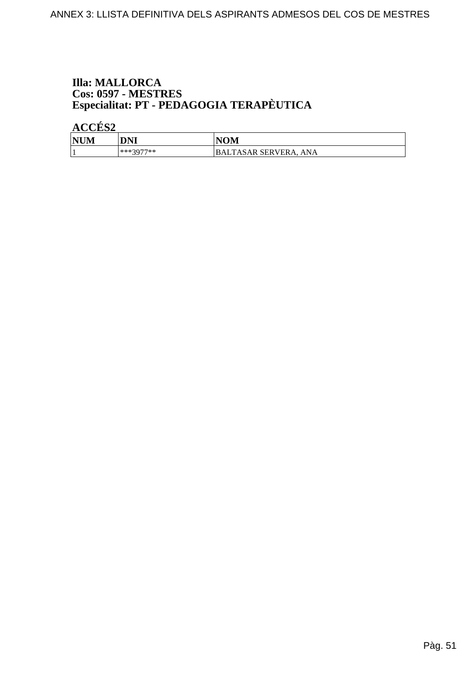# **Illa: MALLORCA Cos: 0597 - MESTRES<br>Especialitat: PT - PEDAGOGIA TERAPÈUTICA**

| <b>NUM</b> | DNI       | <b>NOM</b>                   |
|------------|-----------|------------------------------|
|            | ***3077** | TASAR SERVERA,<br>ANA<br>BAL |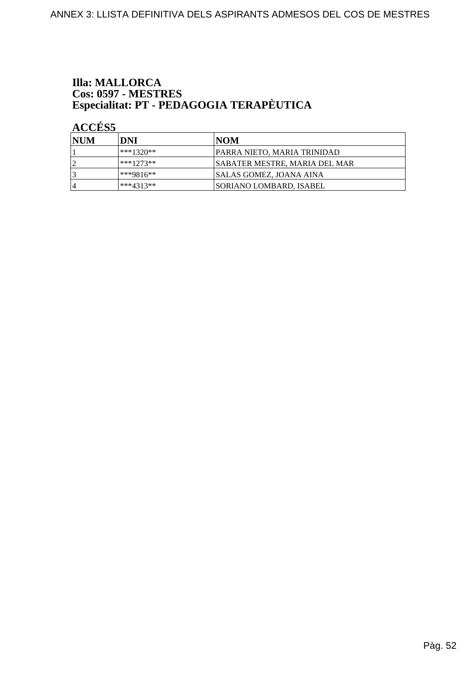# **Illa: MALLORCA Cos: 0597 - MESTRES<br>Especialitat: PT - PEDAGOGIA TERAPÈUTICA**

| <b>INUM</b> | DNI         | INOM                                 |
|-------------|-------------|--------------------------------------|
|             | ***1320**   | <b>PARRA NIETO, MARIA TRINIDAD</b>   |
|             | ***1273**   | <b>SABATER MESTRE, MARIA DEL MAR</b> |
|             | $***9816**$ | <b>SALAS GOMEZ, JOANA AINA</b>       |
| 4           | ***4313**   | <b>ISORIANO LOMBARD. ISABEL</b>      |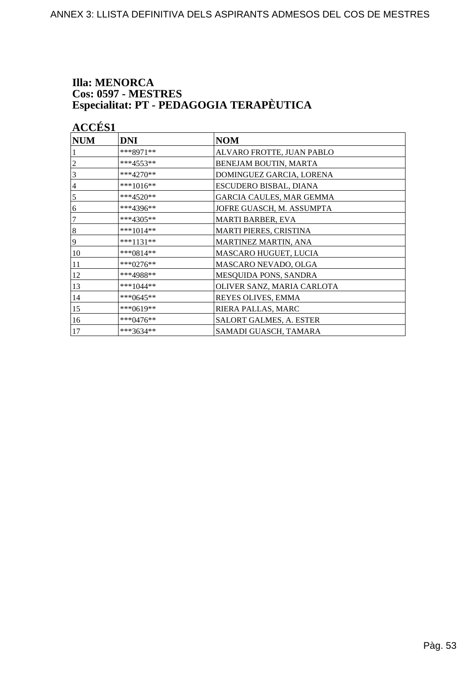#### **Illa: MENORCA Cos: 0597 - MESTRES** Especialitat: PT - PEDAGOGIA TERAPÈUTICA

**ACCÉS 1 NUM DNI NOM** \*\*\*8971\*\* ALVARO FROTTE, JUAN PABLO \*\*\*4553\*\*  $\overline{2}$ **BENEJAM BOUTIN, MARTA**  $\overline{3}$ \*\*\*4270\*\* DOMINGUEZ GARCIA, LORENA  $\overline{4}$ \*\*\*1016\*\* **ESCUDERO BISBAL, DIANA**  $\overline{5}$ \*\*\*4520\*\* **GARCIA CAULES, MAR GEMMA**  $\overline{6}$ \*\*\*4396\*\* JOFRE GUASCH, M. ASSUMPTA \*\*\*4305\*\*  $\overline{7}$ **MARTI BARBER, EVA**  $\overline{8}$ \*\*\*1014\*\* **MARTI PIERES, CRISTINA**  $\overline{9}$ \*\*\*1131\*\* MARTINEZ MARTIN, ANA 10 \*\*\*0814\*\* **MASCARO HUGUET, LUCIA**  $11$ \*\*\*0276\*\* MASCARO NEVADO, OLGA  $12$ \*\*\*4988\*\* MESQUIDA PONS, SANDRA \*\*\*1044\*\* 13 OLIVER SANZ, MARIA CARLOTA  $14$ \*\*\*0645\*\* REYES OLIVES, EMMA 15 \*\*\*0619\*\* RIERA PALLAS, MARC 16 \*\*\*0476\*\* SALORT GALMES, A. ESTER  $17$ \*\*\*3634\*\* SAMADI GUASCH, TAMARA